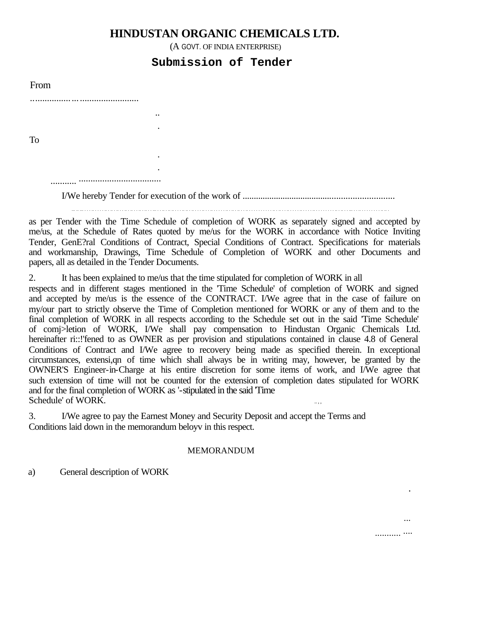## **HINDUSTAN ORGANIC CHEMICALS LTD.**

(A GOVT. OF INDIA ENTERPRISE)

## **Submission of Tender**

| From      |   |  |
|-----------|---|--|
| . .       |   |  |
|           |   |  |
|           | ٠ |  |
| <b>To</b> |   |  |
|           | ٠ |  |

................................... ...........

.

I/We hereby Tender for execution of the work of ...................................................................

... .. ... . . . .. . . . . .. . .. . .. . . .. . .. . . .. . .. . . ... . . .. . .. .. . . . .. .. . .. . . . .. . . .. . . . . . .. . .. . .. . . .. . . . . . . . . . . .. . .. . . .. . . . . .. . . . . .. . . . . . . . . .. . .. . . ... . . .. . . . . . . . . .. .. .

as per Tender with the Time Schedule of completion of WORK as separately signed and accepted by me/us, at the Schedule of Rates quoted by me/us for the WORK in accordance with Notice Inviting Tender, GenE?ral Conditions of Contract, Special Conditions of Contract. Specifications for materials and workmanship, Drawings, Time Schedule of Completion of WORK and other Documents and papers, all as detailed in the Tender Documents.

2. It has been explained to me/us that the time stipulated for completion of WORK in all

respects and in different stages mentioned in the 'Time Schedule' of completion of WORK and signed and accepted by me/us is the essence of the CONTRACT. I/We agree that in the case of failure on my/our part to strictly observe the Time of Completion mentioned for WORK or any of them and to the final completion of WORK in all respects according to the Schedule set out in the said 'Time Schedule' of comj>letion of WORK, I/We shall pay compensation to Hindustan Organic Chemicals Ltd. hereinafter ri::!'fened to as OWNER as per provision and stipulations contained in clause 4.8 of General Conditions of Contract and I/We agree to recovery being made as specified therein. In exceptional circumstances, extensi,qn of time which shall always be in writing may, however, be granted by the OWNER'S Engineer-in-Charge at his entire discretion for some items of work, and I/We agree that such extension of time will not be counted for the extension of completion dates stipulated for WORK and for the final completion of WORK as '-stipulated in the said 'Time Schedule' of WORK.  $\ldots$ 

3. I/We agree to pay the Earnest Money and Security Deposit and accept the Terms and Conditions laid down in the memorandum beloyv in this respect.

## MEMORANDUM

a) General description of WORK

...

..........<sup>....</sup>

.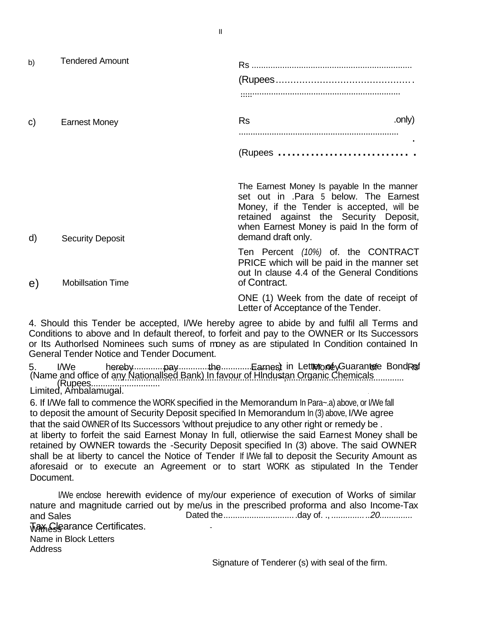b) Tendered Amount Rs .................................................................... (Rupees............................................... .................................................................... ..... c) Earnest Money **RS** ... (2015) .................................................................... . (Rupees ................................ e) The Earnest Money Is payable In the manner set out in .Para 5 below. The Earnest Money, if the Tender is accepted, will be retained against the Security Deposit, when Earnest Money is paid In the form of demand draft only. Ten Percent *(10%)* of. the CONTRACT PRICE which will be paid in the manner set out In clause 4.4 of the General Conditions of Contract. ONE (1) Week from the date of receipt of Letter of Acceptance of the Tender. d) Security Deposit Mobillsation Time

4. Should this Tender be accepted, I/We hereby agree to abide by and fulfil all Terms and Conditions to above and In default thereof, to forfeit and pay to the OWNER or Its Successors or Its Authorlsed Nominees such sums of money as are stipulated In Condition contained In General Tender Notice and Tender Document.

5. I/We hereby..............pay...............the.............Earnest in Letterone Guarantee Bond Ref (Rupees............................. .... Limited, Ambalamugal. . (Name and office of any Nationallsed Bank) In favour of Hindustan Organic Chemicals.............

6. If I/We fall to commence the WORK specified in the Memorandum In Para~.a) above, or I/We fall to deposit the amount of Security Deposit specified In Memorandum In (3) above, I/We agree that the said OWNER of Its Successors 'wlthout prejudice to any other right or remedy be . at liberty to forfeit the said Earnest Monay In full, otlierwise the said Earnest Money shall be retained by OWNER towards the -Security Deposit specified In (3) above. The said OWNER shall be at liberty to cancel the Notice of Tender If I/We fall to deposit the Security Amount as aforesaid or to execute an Agreement or to start WORK as stipulated In the Tender Document.

I/We enclose herewith evidence of my/our experience of execution of Works of similar nature and magnitude carried out by me/us in the prescribed proforma and also Income-Tax and Sales **With Life Certificates.** Dated the...............................day of. ., *................20..............* Name in Block Letters **Address** 

Signature of Tenderer (s) with seal of the firm.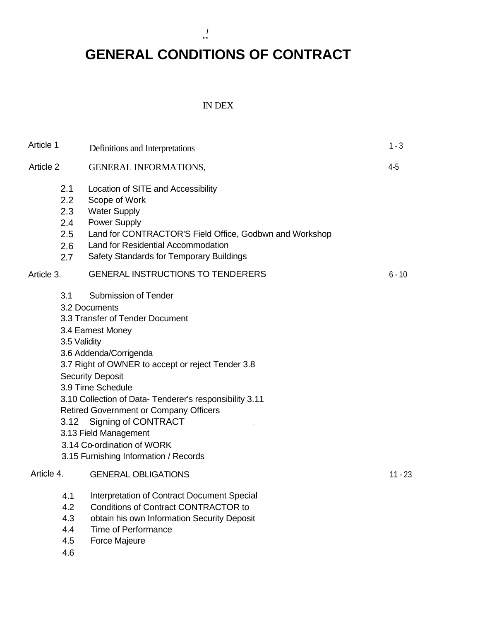*I*  '"'

# **GENERAL CONDITIONS OF CONTRACT**

## IN DEX

| Article 1  |                                               | Definitions and Interpretations                                                                                                                                                                                                                                                                                                                                                                                                                                               | $1 - 3$   |
|------------|-----------------------------------------------|-------------------------------------------------------------------------------------------------------------------------------------------------------------------------------------------------------------------------------------------------------------------------------------------------------------------------------------------------------------------------------------------------------------------------------------------------------------------------------|-----------|
| Article 2  |                                               | <b>GENERAL INFORMATIONS,</b>                                                                                                                                                                                                                                                                                                                                                                                                                                                  | $4-5$     |
|            | 2.1<br>2.2<br>2.3<br>2.4<br>2.5<br>2.6<br>2.7 | Location of SITE and Accessibility<br>Scope of Work<br><b>Water Supply</b><br><b>Power Supply</b><br>Land for CONTRACTOR'S Field Office, Godbwn and Workshop<br>Land for Residential Accommodation<br>Safety Standards for Temporary Buildings                                                                                                                                                                                                                                |           |
| Article 3. |                                               | <b>GENERAL INSTRUCTIONS TO TENDERERS</b>                                                                                                                                                                                                                                                                                                                                                                                                                                      | $6 - 10$  |
|            | 3.1<br>3.5 Validity<br>3.12                   | <b>Submission of Tender</b><br>3.2 Documents<br>3.3 Transfer of Tender Document<br>3.4 Earnest Money<br>3.6 Addenda/Corrigenda<br>3.7 Right of OWNER to accept or reject Tender 3.8<br><b>Security Deposit</b><br>3.9 Time Schedule<br>3.10 Collection of Data- Tenderer's responsibility 3.11<br><b>Retired Government or Company Officers</b><br><b>Signing of CONTRACT</b><br>3.13 Field Management<br>3.14 Co-ordination of WORK<br>3.15 Furnishing Information / Records |           |
| Article 4. |                                               | <b>GENERAL OBLIGATIONS</b>                                                                                                                                                                                                                                                                                                                                                                                                                                                    | $11 - 23$ |
|            | 4.1<br>4.2<br>4.3<br>4.4<br>4.5               | Interpretation of Contract Document Special<br><b>Conditions of Contract CONTRACTOR to</b><br>obtain his own Information Security Deposit<br><b>Time of Performance</b><br><b>Force Majeure</b>                                                                                                                                                                                                                                                                               |           |

4.6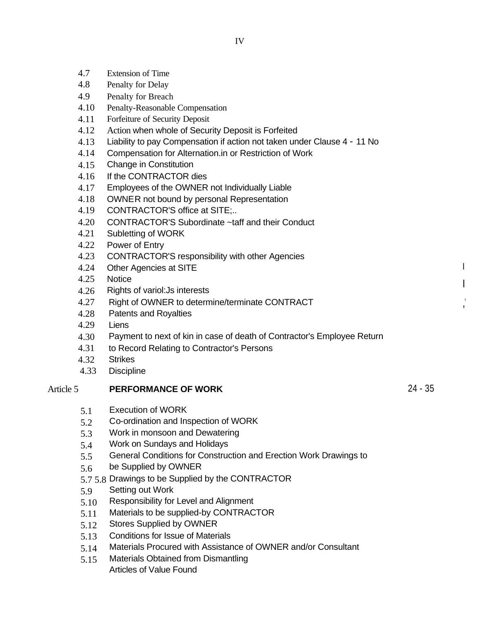- 4.7 Extension of Time
- 4.8 Penalty for Delay
- 4.9 Penalty for Breach
- 4.10 Penalty-Reasonable Compensation
- 4.11 Forfeiture of Security Deposit
- 4.12 Action when whole of Security Deposit is Forfeited
- 4.13 Liability to pay Compensation if action not taken under Clause 4 - 11 No
- 4.14 Compensation for Alternation.in or Restriction of Work
- 4.15 Change in Constitution
- 4.16 If the CONTRACTOR dies
- 4.17 Employees of the OWNER not Individually Liable
- 4.18 OWNER not bound by personal Representation
- 4.19 CONTRACTOR'S office at SITE;..
- 4.20 CONTRACTOR'S Subordinate ~taff and their Conduct
- 4.21 Subletting of WORK
- 4.22 Power of Entry
- 4.23 CONTRACTOR'S responsibility with other Agencies
- 4.24 Other Agencies at SITE
- 4.25 **Notice**
- 4.26 Rights of variol:Js interests
- 4.27 Right of OWNER to determine/terminate CONTRACT
- 4.28 Patents and Royalties
- 4.29 Liens
- 4.30 Payment to next of kin in case of death of Contractor's Employee Return
- 4.31 to Record Relating to Contractor's Persons
- 4.32 **Strikes**
- 4.33 **Discipline**

#### Article 5 **PERFORMANCE OF WORK**

- 5.1 Execution of WORK
- 5.2 Co-ordination and Inspection of WORK
- 5.3 Work in monsoon and Dewatering
- 5.4 Work on Sundays and Holidays
- 5.5 General Conditions for Construction and Erection Work Drawings to
- 5.6 be Supplied by OWNER
- 5.7 5.8 Drawings to be Supplied by the CONTRACTOR
- 5.9 Setting out Work
- 5.10 Responsibility for Level and Alignment
- 5.11 Materials to be supplied-by CONTRACTOR
- 5.12 Stores Supplied by OWNER
- 5.13 Conditions for Issue of Materials
- 5.14 Materials Procured with Assistance of OWNER and/or Consultant
- 5.15 Materials Obtained from Dismantling Articles of Value Found

24 - 35

I

I

 $\frac{1}{1}$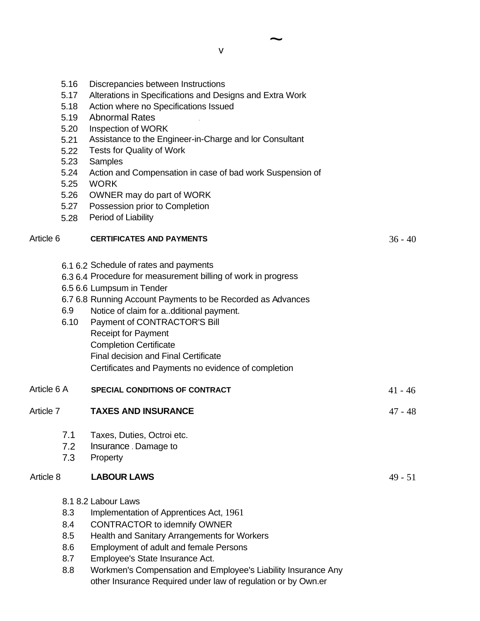| 5.16<br>5.17<br>5.18<br>5.19<br>5.20<br>5.21<br>5.22<br>5.23<br>5.24<br>5.25<br>5.26<br>5.27<br>5.28 | Discrepancies between Instructions<br>Alterations in Specifications and Designs and Extra Work<br>Action where no Specifications Issued<br><b>Abnormal Rates</b><br>Inspection of WORK<br>Assistance to the Engineer-in-Charge and lor Consultant<br>Tests for Quality of Work<br>Samples<br>Action and Compensation in case of bad work Suspension of<br><b>WORK</b><br>OWNER may do part of WORK<br>Possession prior to Completion<br>Period of Liability |           |
|------------------------------------------------------------------------------------------------------|-------------------------------------------------------------------------------------------------------------------------------------------------------------------------------------------------------------------------------------------------------------------------------------------------------------------------------------------------------------------------------------------------------------------------------------------------------------|-----------|
| Article 6                                                                                            | <b>CERTIFICATES AND PAYMENTS</b>                                                                                                                                                                                                                                                                                                                                                                                                                            | $36 - 40$ |
| 6.9<br>6.10                                                                                          | 6.1 6.2 Schedule of rates and payments<br>6.3 6.4 Procedure for measurement billing of work in progress<br>6.5 6.6 Lumpsum in Tender<br>6.7 6.8 Running Account Payments to be Recorded as Advances<br>Notice of claim for additional payment.<br>Payment of CONTRACTOR'S Bill<br><b>Receipt for Payment</b><br><b>Completion Certificate</b><br><b>Final decision and Final Certificate</b><br>Certificates and Payments no evidence of completion         |           |
| Article 6 A                                                                                          | SPECIAL CONDITIONS OF CONTRACT                                                                                                                                                                                                                                                                                                                                                                                                                              | $41 - 46$ |
| Article 7                                                                                            | <b>TAXES AND INSURANCE</b>                                                                                                                                                                                                                                                                                                                                                                                                                                  | $47 - 48$ |
| 7.1<br>7.2<br>7.3                                                                                    | Taxes, Duties, Octroi etc.<br>Insurance . Damage to<br>Property                                                                                                                                                                                                                                                                                                                                                                                             |           |
| Article 8                                                                                            | <b>LABOUR LAWS</b>                                                                                                                                                                                                                                                                                                                                                                                                                                          | $49 - 51$ |
| 8.3<br>8.4<br>8.5<br>8.6<br>8.7<br>8.8                                                               | 8.1 8.2 Labour Laws<br>Implementation of Apprentices Act, 1961<br><b>CONTRACTOR to idemnify OWNER</b><br>Health and Sanitary Arrangements for Workers<br>Employment of adult and female Persons<br>Employee's State Insurance Act.<br>Workmen's Compensation and Employee's Liability Insurance Any<br>other Insurance Required under law of regulation or by Own.er                                                                                        |           |

 $\sim$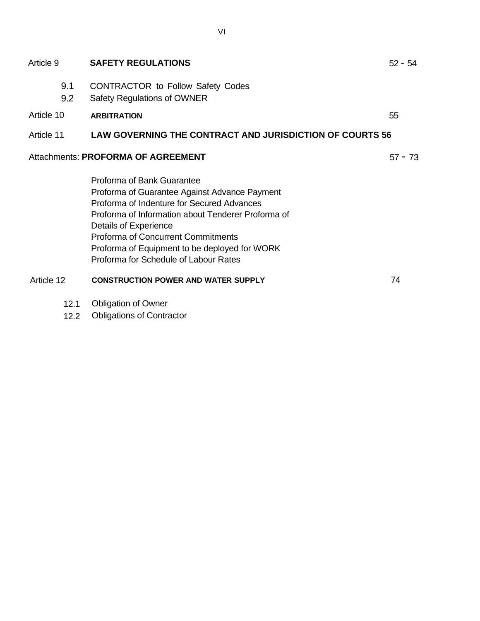| Article 9                          | <b>SAFETY REGULATIONS</b>                                                                                                                                                                                                                                                                                                                       | $52 - 54$ |  |
|------------------------------------|-------------------------------------------------------------------------------------------------------------------------------------------------------------------------------------------------------------------------------------------------------------------------------------------------------------------------------------------------|-----------|--|
| 9.1<br>9.2                         | <b>CONTRACTOR to Follow Safety Codes</b><br><b>Safety Regulations of OWNER</b>                                                                                                                                                                                                                                                                  |           |  |
| Article 10                         | <b>ARBITRATION</b>                                                                                                                                                                                                                                                                                                                              | 55        |  |
| Article 11                         | <b>LAW GOVERNING THE CONTRACT AND JURISDICTION OF COURTS 56</b>                                                                                                                                                                                                                                                                                 |           |  |
| Attachments: PROFORMA OF AGREEMENT |                                                                                                                                                                                                                                                                                                                                                 |           |  |
|                                    | Proforma of Bank Guarantee<br>Proforma of Guarantee Against Advance Payment<br>Proforma of Indenture for Secured Advances<br>Proforma of Information about Tenderer Proforma of<br>Details of Experience<br><b>Proforma of Concurrent Commitments</b><br>Proforma of Equipment to be deployed for WORK<br>Proforma for Schedule of Labour Rates |           |  |
| Article 12                         | <b>CONSTRUCTION POWER AND WATER SUPPLY</b>                                                                                                                                                                                                                                                                                                      | 74        |  |
|                                    | $10.4$ Obligation of Ourors                                                                                                                                                                                                                                                                                                                     |           |  |

- 12.1 Obligation of Owner
- 12.2 Obligations of Contractor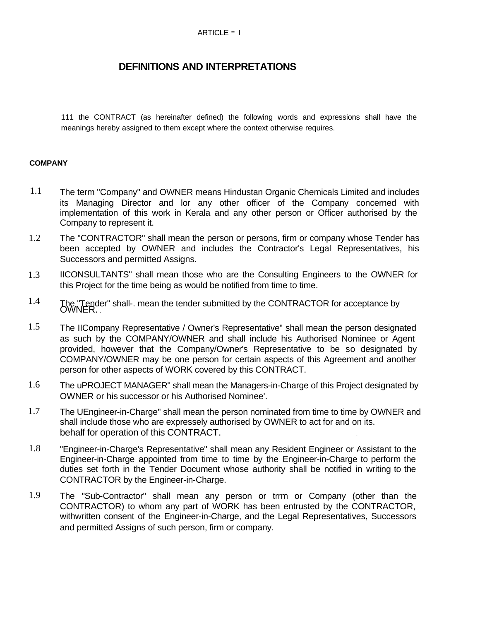## ARTICLE - <sup>I</sup>

## **DEFINITIONS AND INTERPRETATIONS**

111 the CONTRACT (as hereinafter defined) the following words and expressions shall have the meanings hereby assigned to them except where the context otherwise requires.

## **COMPANY**

- 1.1 The term "Company" and OWNER means Hindustan Organic Chemicals Limited and includes its Managing Director and lor any other officer of the Company concerned with implementation of this work in Kerala and any other person or Officer authorised by the Company to represent it.
- 1.2 The "CONTRACTOR" shall mean the person or persons, firm or company whose Tender has been accepted by OWNER and includes the Contractor's Legal Representatives, his Successors and permitted Assigns.
- 1.3 IICONSULTANTS" shall mean those who are the Consulting Engineers to the OWNER for this Project for the time being as would be notified from time to time.
- 1.4 The "Tender" shall-. mean the tender submitted by the CONTRACTOR for acceptance by OWNER.
- 1.5 The IICompany Representative / Owner's Representative" shall mean the person designated as such by the COMPANY/OWNER and shall include his Authorised Nominee or Agent provided, however that the Company/Owner's Representative to be so designated by COMPANY/OWNER may be one person for certain aspects of this Agreement and another person for other aspects of WORK covered by this CONTRACT.
- 1.6 The uPROJECT MANAGER" shall mean the Managers-in-Charge of this Project designated by OWNER or his successor or his Authorised Nominee'.
- 1.7 The UEngineer-in-Charge" shall mean the person nominated from time to time by OWNER and shall include those who are expressely authorised by OWNER to act for and on its. behalf for operation of this CONTRACT. .
- 1.8 "Engineer-in-Charge's Representative" shall mean any Resident Engineer or Assistant to the Engineer-in-Charge appointed from time to time by the Engineer-in-Charge to perform the duties set forth in the Tender Document whose authority shall be notified in writing to the CONTRACTOR by the Engineer-in-Charge.
- 1.9 The "Sub-Contractor" shall mean any person or trrm or Company (other than the CONTRACTOR) to whom any part of WORK has been entrusted by the CONTRACTOR, withwritten consent of the Engineer-in-Charge, and the Legal Representatives, Successors and permitted Assigns of such person, firm or company.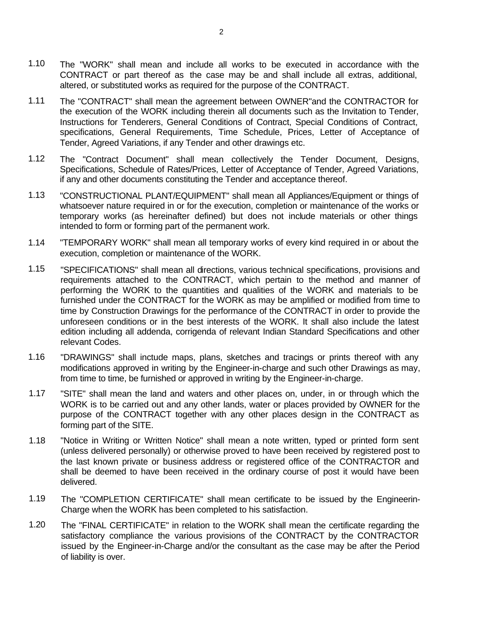- 1.10 The "WORK" shall mean and include all works to be executed in accordance with the CONTRACT or part thereof as the case may be and shall include all extras, additional, altered, or substituted works as required for the purpose of the CONTRACT.
- 1.11 The "CONTRACT" shall mean the agreement between OWNER"and the CONTRACTOR for the execution of the WORK including therein all documents such as the Invitation to Tender, Instructions for Tenderers, General Conditions of Contract, Special Conditions of Contract, specifications, General Requirements, Time Schedule, Prices, Letter of Acceptance of Tender, Agreed Variations, if any Tender and other drawings etc.
- 1.12 The "Contract Document" shall mean collectively the Tender Document, Designs, Specifications, Schedule of Rates/Prices, Letter of Acceptance of Tender, Agreed Variations, if any and other documents constituting the Tender and acceptance thereof.
- 1.13 "CONSTRUCTIONAL PLANT/EQUIPMENT" shall mean all Appliances/Equipment or things of whatsoever nature required in or for the execution, completion or maintenance of the works or temporary works (as hereinafter defined) but does not include materials or other things intended to form or forming part of the permanent work.
- 1.14 "TEMPORARY WORK" shall mean all temporary works of every kind required in or about the execution, completion or maintenance of the WORK.
- 1.15 "SPECIFICATIONS" shall mean all directions, various technical specifications, provisions and requirements attached to the CONTRACT, which pertain to the method and manner of performing the WORK to the quantities and qualities of the WORK and materials to be furnished under the CONTRACT for the WORK as may be amplified or modified from time to time by Construction Drawings for the performance of the CONTRACT in order to provide the unforeseen conditions or in the best interests of the WORK. It shall also include the latest edition including all addenda, corrigenda of relevant Indian Standard Specifications and other relevant Codes.
- 1.16 "DRAWINGS" shall inctude maps, plans, sketches and tracings or prints thereof with any modifications approved in writing by the Engineer-in-charge and such other Drawings as may, from time to time, be furnished or approved in writing by the Engineer-in-charge.
- 1.17 "SITE" shall mean the land and waters and other places on, under, in or through which the WORK is to be carried out and any other lands, water or places provided by OWNER for the purpose of the CONTRACT together with any other places design in the CONTRACT as forming part of the SITE.
- 1.18 "Notice in Writing or Written Notice" shall mean a note written, typed or printed form sent (unless delivered personally) or otherwise proved to have been received by registered post to the last known private or business address or registered office of the CONTRACTOR and shall be deemed to have been received in the ordinary course of post it would have been delivered.
- 1.19 The "COMPLETION CERTIFICATE" shall mean certificate to be issued by the Engineerin-Charge when the WORK has been completed to his satisfaction.
- 1.20 The "FINAL CERTIFICATE" in relation to the WORK shall mean the certificate regarding the satisfactory compliance the various provisions of the CONTRACT by the CONTRACTOR issued by the Engineer-in-Charge and/or the consultant as the case may be after the Period of liability is over.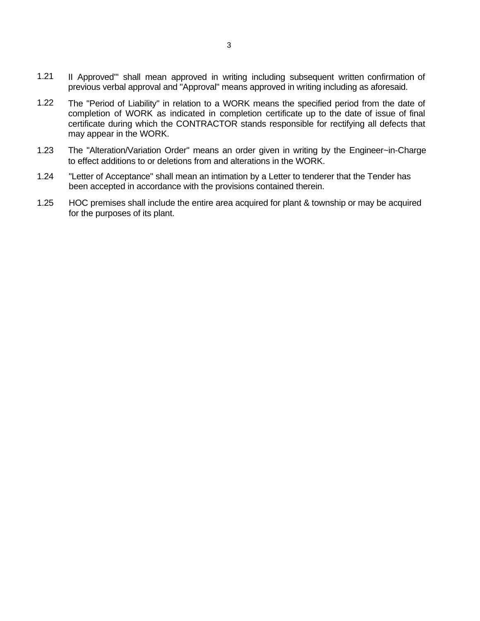- 1.21 II Approved'" shall mean approved in writing including subsequent written confirmation of previous verbal approval and "Approval" means approved in writing including as aforesaid.
- 1.22 The "Period of Liability" in relation to a WORK means the specified period from the date of completion of WORK as indicated in completion certificate up to the date of issue of final certificate during which the CONTRACTOR stands responsible for rectifying all defects that may appear in the WORK.
- 1.23 The "Alteration/Variation Order" means an order given in writing by the Engineer~in-Charge to effect additions to or deletions from and alterations in the WORK.
- 1.24 "Letter of Acceptance" shall mean an intimation by a Letter to tenderer that the Tender has been accepted in accordance with the provisions contained therein.
- 1.25 HOC premises shall include the entire area acquired for plant & township or may be acquired for the purposes of its plant.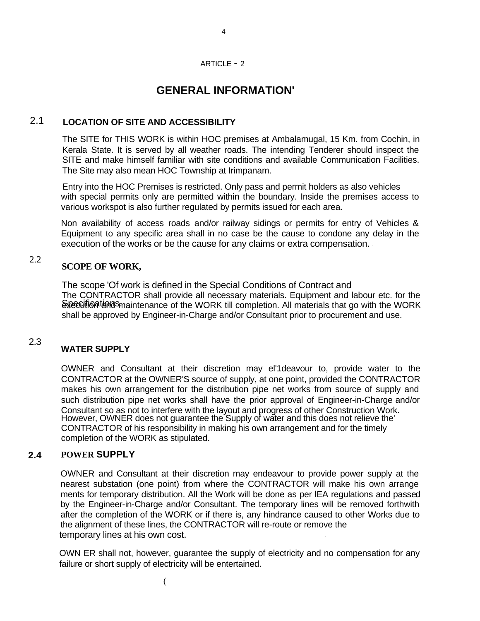### ARTICLE - 2

4

## **GENERAL INFORMATION'**

## 2.1 **LOCATION OF SITE AND ACCESSIBILITY**

The SITE for THIS WORK is within HOC premises at Ambalamugal, 15 Km. from Cochin, in Kerala State. It is served by all weather roads. The intending Tenderer should inspect the SITE and make himself familiar with site conditions and available Communication Facilities. The Site may also mean HOC Township at Irimpanam.

Entry into the HOC Premises is restricted. Only pass and permit holders as also vehicles with special permits only are permitted within the boundary. Inside the premises access to various workspot is also further regulated by permits issued for each area.

Non availability of access roads and/or railway sidings or permits for entry of Vehicles & Equipment to any specific area shall in no case be the cause to condone any delay in the execution of the works or be the cause for any claims or extra compensation. '

### 2.2 **SCOPE OF WORK,**

The scope 'Of work is defined in the Special Conditions of Contract and Specution tends maintenance of the WORK till completion. All materials that go with the WORK The CONTRACTOR shall provide all necessary materials. Equipment and labour etc. for the shall be approved by Engineer-in-Charge and/or Consultant prior to procurement and use.

### 2.3 **WATER SUPPLY**

OWNER and Consultant at their discretion may el'1deavour to, provide water to the CONTRACTOR at the OWNER'S source of supply, at one point, provided the CONTRACTOR makes his own arrangement for the distribution pipe net works from source of supply and such distribution pipe net works shall have the prior approval of Engineer-in-Charge and/or Consultant so as not to interfere with the layout and progress of other Construction Work. However, OWNER does not guarantee the Supply of water and this does not relieve the' CONTRACTOR of his responsibility in making his own arrangement and for the timely completion of the WORK as stipulated.

## **2.4 POWER SUPPLY**

OWNER and Consultant at their discretion may endeavour to provide power supply at the nearest substation (one point) from where the CONTRACTOR will make his own arrange ments for temporary distribution. All the Work will be done as per lEA regulations and passed by the Engineer-in-Charge and/or Consultant. The temporary lines will be removed forthwith after the completion of the WORK or if there is, any hindrance caused to other Works due to the alignment of these lines, the CONTRACTOR will re-route or remove the temporary lines at his own cost. '

OWN ER shall not, however, guarantee the supply of electricity and no compensation for any failure or short supply of electricity will be entertained.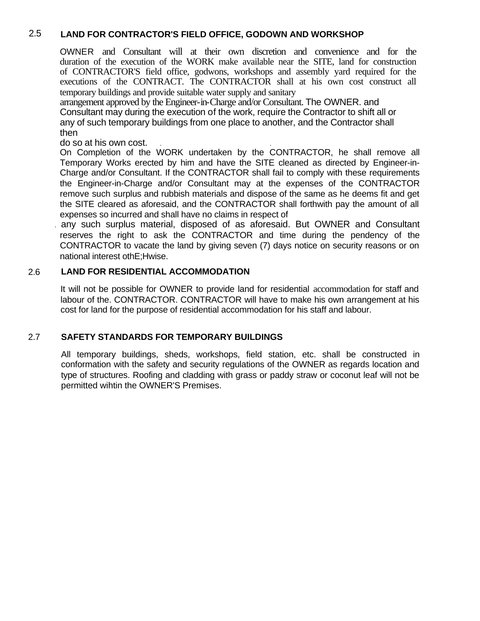## 2.5 **LAND FOR CONTRACTOR'S FIELD OFFICE, GODOWN AND WORKSHOP**

OWNER and Consultant will at their own discretion and convenience and for the duration of the execution of the WORK make available near the SITE, land for construction of CONTRACTOR'S field office, godwons, workshops and assembly yard required for the executions of the CONTRACT. The CONTRACTOR shall at his own cost construct all temporary buildings and provide suitable water supply and sanitary

arrangement approved by the Engineer-in-Charge and/or Consultant. The OWNER. and Consultant may during the execution of the work, require the Contractor to shift all or any of such temporary buildings from one place to another, and the Contractor shall then

do so at his own cost.

On Completion of the WORK undertaken by the CONTRACTOR, he shall remove all Temporary Works erected by him and have the SITE cleaned as directed by Engineer-in-Charge and/or Consultant. If the CONTRACTOR shall fail to comply with these requirements the Engineer-in-Charge and/or Consultant may at the expenses of the CONTRACTOR remove such surplus and rubbish materials and dispose of the same as he deems fit and get the SITE cleared as aforesaid, and the CONTRACTOR shall forthwith pay the amount of all expenses so incurred and shall have no claims in respect of

. any such surplus material, disposed of as aforesaid. But OWNER and Consultant reserves the right to ask the CONTRACTOR and time during the pendency of the CONTRACTOR to vacate the land by giving seven (7) days notice on security reasons or on national interest othE;Hwise.

## 2.6 **LAND FOR RESIDENTIAL ACCOMMODATION**

It will not be possible for OWNER to provide land for residential accommodation for staff and labour of the. CONTRACTOR. CONTRACTOR will have to make his own arrangement at his cost for land for the purpose of residential accommodation for his staff and labour.

## 2.7 **SAFETY STANDARDS FOR TEMPORARY BUILDINGS**

All temporary buildings, sheds, workshops, field station, etc. shall be constructed in conformation with the safety and security regulations of the OWNER as regards location and type of structures. Roofing and cladding with grass or paddy straw or coconut leaf will not be permitted wihtin the OWNER'S Premises.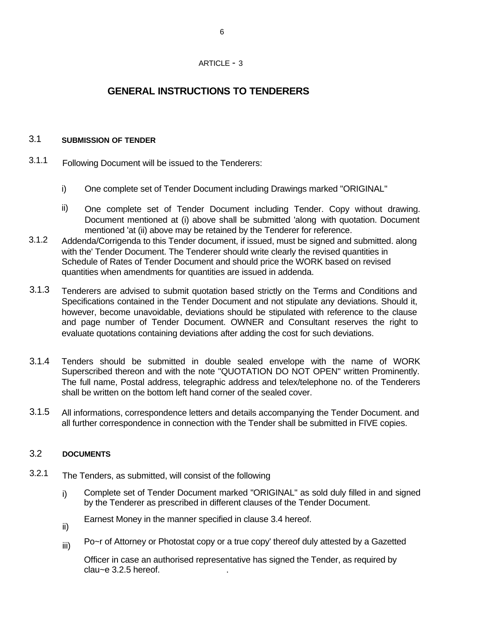## ARTICLE - 3

## **GENERAL INSTRUCTIONS TO TENDERERS**

#### 3.1 **SUBMISSION OF TENDER**

- 3.1.1 Following Document will be issued to the Tenderers:
	- i) One complete set of Tender Document including Drawings marked "ORIGINAL"
	- ii) One complete set of Tender Document including Tender. Copy without drawing. Document mentioned at (i) above shall be submitted 'along with quotation. Document mentioned 'at (ii) above may be retained by the Tenderer for reference.
- 3.1.2 Addenda/Corrigenda to this Tender document, if issued, must be signed and submitted. along with the' Tender Document. The Tenderer should write clearly the revised quantities in Schedule of Rates of Tender Document and should price the WORK based on revised quantities when amendments for quantities are issued in addenda.
- 3.1.3 Tenderers are advised to submit quotation based strictly on the Terms and Conditions and Specifications contained in the Tender Document and not stipulate any deviations. Should it, however, become unavoidable, deviations should be stipulated with reference to the clause and page number of Tender Document. OWNER and Consultant reserves the right to evaluate quotations containing deviations after adding the cost for such deviations.
- 3.1.4 Tenders should be submitted in double sealed envelope with the name of WORK Superscribed thereon and with the note "QUOTATION DO NOT OPEN" written Prominently. The full name, Postal address, telegraphic address and telex/telephone no. of the Tenderers shall be written on the bottom left hand corner of the sealed cover.
- 3.1.5 All informations, correspondence letters and details accompanying the Tender Document. and all further correspondence in connection with the Tender shall be submitted in FIVE copies.

#### 3.2 **DOCUMENTS**

- 3.2.1 The Tenders, as submitted, will consist of the following
	- i) Complete set of Tender Document marked "ORIGINAL" as sold duly filled in and signed by the Tenderer as prescribed in different clauses of the Tender Document.
	- Earnest Money in the manner specified in clause 3.4 hereof.
	- ii)
	- Po~r of Attorney or Photostat copy or a true copy' thereof duly attested by a Gazetted iii)

Officer in case an authorised representative has signed the Tender, as required by  $clau$   $\approx$   $6.2.5$  hereof.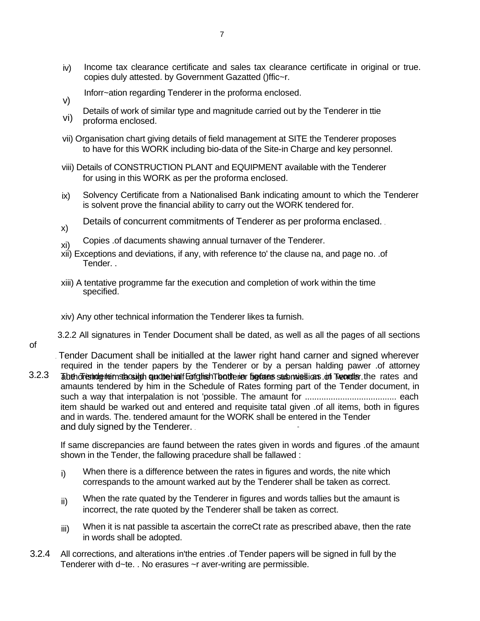- iv) Income tax clearance certificate and sales tax clearance certificate in original or true. copies duly attested. by Government Gazatted ()ffic~r.
- Inforr~ation regarding Tenderer in the proforma enclosed. v)
- Details of work of similar type and magnitude carried out by the Tenderer in ttie
- vi) proforma enclosed.
- vii) Organisation chart giving details of field management at SITE the Tenderer proposes to have for this WORK including bio-data of the Site-in Charge and key personnel.
- viii) Details of CONSTRUCTION PLANT and EQUIPMENT available with the Tenderer for using in this WORK as per the proforma enclosed.
- ix) Solvency Certificate from a Nationalised Bank indicating amount to which the Tenderer is solvent prove the financial ability to carry out the WORK tendered for.
- Details of concurrent commitments of Tenderer as per proforma enclased. , x)
- xi) Copies .of dacuments shawing annual turnaver of the Tenderer.
- xii) Exceptions and deviations, if any, with reference to' the clause na, and page no. .of Tender. .
- xiii) A tentative programme far the execution and completion of work within the time specified.
- xiv) Any other technical information the Tenderer likes ta furnish.
- 3.2.2 All signatures in Tender Document shall be dated, as well as all the pages of all sections

. Tender Dacument shall be initialled at the lawer right hand carner and signed wherever required in the tender papers by the Tenderer or by a persan halding pawer .of attorney

3.2.3 Tabeh dreshde teim stacsigh quot te hialf Enfglish The atterier tig tures sub missions on Trearder the rates and amaunts tendered by him in the Schedule of Rates forming part of the Tender document, in such a way that interpalation is not 'possible. The amaunt for ....................................... each item shauld be warked out and entered and requisite tatal given .of all items, both in figures and in wards. The. tendered amaunt for the WORK shall be entered in the Tender and duly signed by the Tenderer.

If same discrepancies are faund between the rates given in words and figures .of the amaunt shown in the Tender, the fallowing pracedure shall be fallawed :

- $i)$  When there is a difference between the rates in figures and words, the nite which correspands to the amount warked aut by the Tenderer shall be taken as correct.
- When the rate quated by the Tenderer in figures and words tallies but the amaunt is incorrect, the rate quoted by the Tenderer shall be taken as correct. ii)
- When it is nat passible ta ascertain the correCt rate as prescribed abave, then the rate in words shall be adopted. iii)
- 3.2.4 All corrections, and alterations in'the entries .of Tender papers will be signed in full by the Tenderer with d~te. . No erasures ~r aver-writing are permissible.

of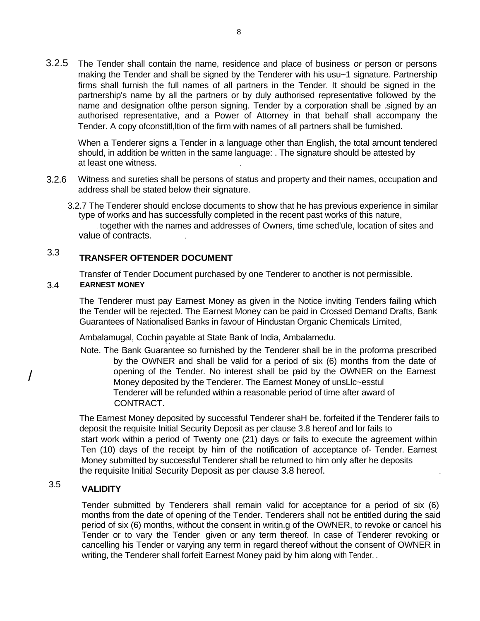3.2.5 The Tender shall contain the name, residence and place of business *or* person or persons making the Tender and shall be signed by the Tenderer with his usu~1 signature. Partnership firms shall furnish the full names of all partners in the Tender. It should be signed in the partnership's name by all the partners or by duly authorised representative followed by the name and designation ofthe person signing. Tender by a corporation shall be .signed by an authorised representative, and a Power of Attorney in that behalf shall accompany the Tender. A copy ofconstitl,ltion of the firm with names of all partners shall be furnished.

When a Tenderer signs a Tender in a language other than English, the total amount tendered should, in addition be written in the same language: . The signature should be attested by at least one witness. .

- 3.2.6 Witness and sureties shall be persons of status and property and their names, occupation and address shall be stated below their signature.
	- 3.2.7 The Tenderer should enclose documents to show that he has previous experience in similar type of works and has successfully completed in the recent past works of this nature, . together with the names and addresses of Owners, time sched'ule, location of sites and value of contracts. .

### 3.3 **TRANSFER OFTENDER DOCUMENT**

Transfer of Tender Document purchased by one Tenderer to another is not permissible.

#### 3.4 **EARNEST MONEY**

The Tenderer must pay Earnest Money as given in the Notice inviting Tenders failing which the Tender will be rejected. The Earnest Money can be paid in Crossed Demand Drafts, Bank Guarantees of Nationalised Banks in favour of Hindustan Organic Chemicals Limited,

Ambalamugal, Cochin payable at State Bank of India, Ambalamedu. \ .

Note. The Bank Guarantee so furnished by the Tenderer shall be in the proforma prescribed by the OWNER and shall be valid for a period of six (6) months from the date of opening of the Tender. No interest shall be paid by the OWNER on the Earnest Money deposited by the Tenderer. The Earnest Money of unsLlc~esstul Tenderer will be refunded within a reasonable period of time after award of CONTRACT.

The Earnest Money deposited by successful Tenderer shaH be. forfeited if the Tenderer fails to deposit the requisite Initial Security Deposit as per clause 3.8 hereof and lor fails to start work within a period of Twenty one (21) days or fails to execute the agreement within Ten (10) days of the receipt by him of the notification of acceptance of- Tender. Earnest Money submitted by successful Tenderer shall be returned to him only after he deposits the requisite Initial Security Deposit as per clause 3.8 hereof. .

### 3.5 **VALIDITY**

/

Tender submitted by Tenderers shall remain valid for acceptance for a period of six (6) months from the date of opening of the Tender. Tenderers shall not be entitled during the said period of six (6) months, without the consent in writin.g of the OWNER, to revoke or cancel his Tender or to vary the Tender given or any term thereof. In case of Tenderer revoking or cancelling his Tender or varying any term in regard thereof without the consent of OWNER in writing, the Tenderer shall forfeit Earnest Money paid by him along with Tender...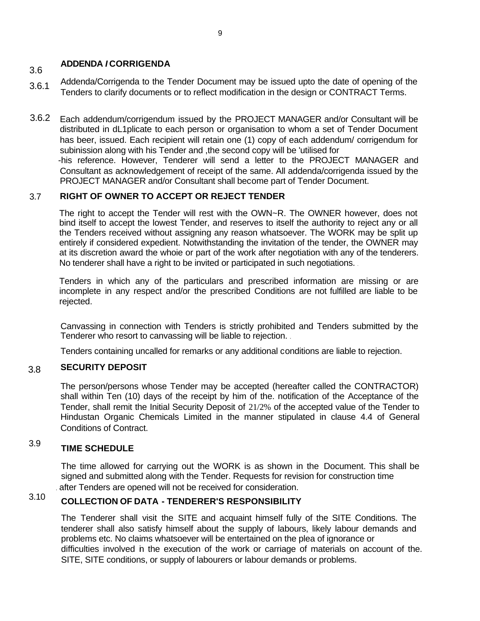### 3.6 **ADDENDA** *I* **CORRIGENDA**

- 3.6.1 Addenda/Corrigenda to the Tender Document may be issued upto the date of opening of the Tenders to clarify documents or to reflect modification in the design or CONTRACT Terms.
- 3.6.2 Each addendum/corrigendum issued by the PROJECT MANAGER and/or Consultant will be distributed in dL1plicate to each person or organisation to whom a set of Tender Document has beer, issued. Each recipient will retain one (1) copy of each addendum/ corrigendum for subinission along with his Tender and ,the second copy will be 'utilised for -his reference. However, Tenderer will send a letter to the PROJECT MANAGER and Consultant as acknowledgement of receipt of the same. All addenda/corrigenda issued by the PROJECT MANAGER and/or Consultant shall become part of Tender Document.

#### 3.7 **RIGHT OF OWNER TO ACCEPT OR REJECT TENDER**

The right to accept the Tender will rest with the OWN~R. The OWNER however, does not bind itself to accept the lowest Tender, and reserves to itself the authority to reject any or all the Tenders received without assigning any reason whatsoever. The WORK may be split up entirely if considered expedient. Notwithstanding the invitation of the tender, the OWNER may at its discretion award the whoie or part of the work after negotiation with any of the tenderers. No tenderer shall have a right to be invited or participated in such negotiations.

Tenders in which any of the particulars and prescribed information are missing or are incomplete in any respect and/or the prescribed Conditions are not fulfilled are liable to be rejected.

Canvassing in connection with Tenders is strictly prohibited and Tenders submitted by the Tenderer who resort to canvassing will be liable to rejection. .

Tenders containing uncalled for remarks or any additional conditions are liable to rejection.

#### 3.8 **SECURITY DEPOSIT**

The person/persons whose Tender may be accepted (hereafter called the CONTRACTOR) shall within Ten (10) days of the receipt by him of the. notification of the Acceptance of the Tender, shall remit the Initial Security Deposit of 21/2% of the accepted value of the Tender to Hindustan Organic Chemicals Limited in the manner stipulated in clause 4.4 of General Conditions of Contract.

### 3.9 **TIME SCHEDULE**

The time allowed for carrying out the WORK is as shown in the Document. This shall be signed and submitted along with the Tender. Requests for revision for construction time . after Tenders are opened will not be received for consideration.

### 3.10 **COLLECTION OF DATA - TENDERER'S RESPONSIBILITY**

The Tenderer shall visit the SITE and acquaint himself fully of the SITE Conditions. The tenderer shall also satisfy himself about the supply of labours, likely labour demands and problems etc. No claims whatsoever will be entertained on the plea of ignorance or difficulties involved in the execution of the work or carriage of materials on account of the. SITE, SITE conditions, or supply of labourers or labour demands or problems.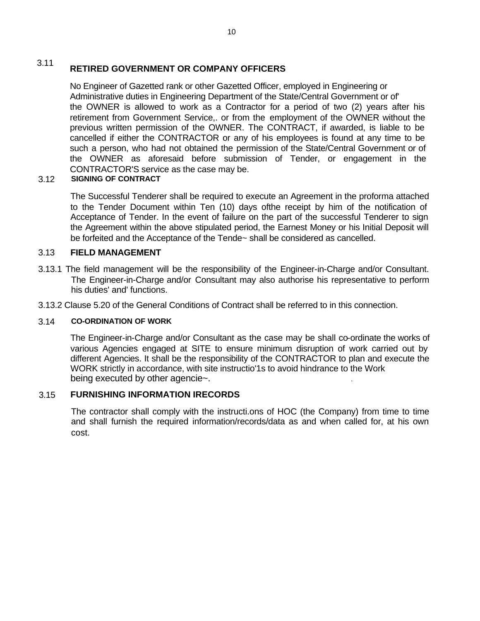### 3.11 **RETIRED GOVERNMENT OR COMPANY OFFICERS**

No Engineer of Gazetted rank or other Gazetted Officer, employed in Engineering or Administrative duties in Engineering Department of the State/Central Government or of' the OWNER is allowed to work as a Contractor for a period of two (2) years after his retirement from Government Service,. or from the employment of the OWNER without the previous written permission of the OWNER. The CONTRACT, if awarded, is liable to be cancelled if either the CONTRACTOR or any of his employees is found at any time to be such a person, who had not obtained the permission of the State/Central Government or of the OWNER as aforesaid before submission of Tender, or engagement in the CONTRACTOR'S service as the case may be.

#### 3.12 **SIGNING OF CONTRACT**

The Successful Tenderer shall be required to execute an Agreement in the proforma attached to the Tender Document within Ten (10) days ofthe receipt by him of the notification of Acceptance of Tender. In the event of failure on the part of the successful Tenderer to sign the Agreement within the above stipulated period, the Earnest Money or his Initial Deposit will be forfeited and the Acceptance of the Tende~ shall be considered as cancelled.

#### 3.13 **FIELD MANAGEMENT**

- 3.13.1 The field management will be the responsibility of the Engineer-in-Charge and/or Consultant. The Engineer-in-Charge and/or Consultant may also authorise his representative to perform his duties' and' functions.
- 3.13.2 Clause 5.20 of the General Conditions of Contract shall be referred to in this connection.

#### 3.14 **CO-ORDINATION OF WORK**

The Engineer-in-Charge and/or Consultant as the case may be shall co-ordinate the works of various Agencies engaged at SITE to ensure minimum disruption of work carried out by different Agencies. It shall be the responsibility of the CONTRACTOR to plan and execute the WORK strictly in accordance, with site instructio'1s to avoid hindrance to the Work being executed by other agencie~. .

#### 3.15 **FURNISHING INFORMATION IRECORDS**

The contractor shall comply with the instructi.ons of HOC (the Company) from time to time and shall furnish the required information/records/data as and when called for, at his own cost.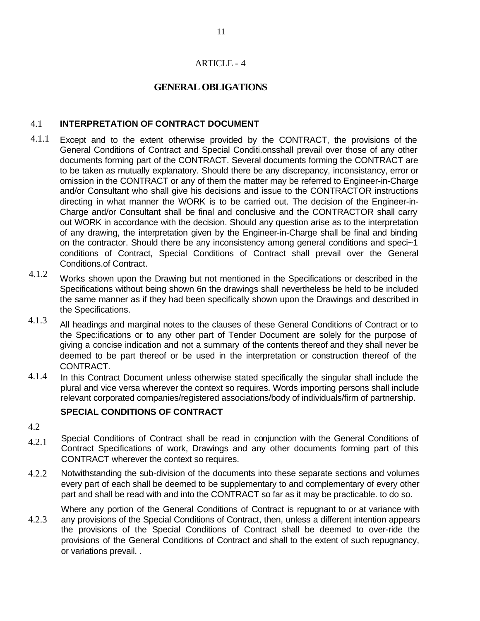## ARTICLE - 4

## **GENERAL OBLIGATIONS**

#### 4.1 **INTERPRETATION OF CONTRACT DOCUMENT**

- 4.1.1 Except and to the extent otherwise provided by the CONTRACT, the provisions of the General Conditions of Contract and Special Conditi.onsshall prevail over those of any other documents forming part of the CONTRACT. Several documents forming the CONTRACT are to be taken as mutually explanatory. Should there be any discrepancy, inconsistancy, error or omission in the CONTRACT or any of them the matter may be referred to Engineer-in-Charge and/or Consultant who shall give his decisions and issue to the CONTRACTOR instructions directing in what manner the WORK is to be carried out. The decision of the Engineer-in-Charge and/or Consultant shall be final and conclusive and the CONTRACTOR shall carry out WORK in accordance with the decision. Should any question arise as to the interpretation of any drawing, the interpretation given by the Engineer-in-Charge shall be final and binding on the contractor. Should there be any inconsistency among general conditions and speci~1 conditions of Contract, Special Conditions of Contract shall prevail over the General Conditions.of Contract.
- 4.1.2 Works shown upon the Drawing but not mentioned in the Specifications or described in the Specifications without being shown 6n the drawings shall nevertheless be held to be included the same manner as if they had been specifically shown upon the Drawings and described in the Specifications.
- 4.1.3 All headings and marginal notes to the clauses of these General Conditions of Contract or to the Spec:ifications or to any other part of Tender Document are solely for the purpose of giving a concise indication and not a summary of the contents thereof and they shall never be deemed to be part thereof or be used in the interpretation or construction thereof of the CONTRACT.
- 4.1.4 In this Contract Document unless otherwise stated specifically the singular shall include the plural and vice versa wherever the context so requires. Words importing persons shall include relevant corporated companies/registered associations/body of individuals/firm of partnership.

## **SPECIAL CONDITIONS OF CONTRACT**

- 4.2
- 4.2.1 Special Conditions of Contract shall be read in conjunction with the General Conditions of Contract Specifications of work, Drawings and any other documents forming part of this CONTRACT wherever the context so requires.
- 4.2.2 Notwithstanding the sub-division of the documents into these separate sections and volumes every part of each shall be deemed to be supplementary to and complementary of every other part and shall be read with and into the CONTRACT so far as it may be practicable. to do so.

4.2.3 Where any portion of the General Conditions of Contract is repugnant to or at variance with any provisions of the Special Conditions of Contract, then, unless a different intention appears the provisions of the Special Conditions of Contract shall be deemed to over-ride the provisions of the General Conditions of Contract and shall to the extent of such repugnancy, or variations prevail. .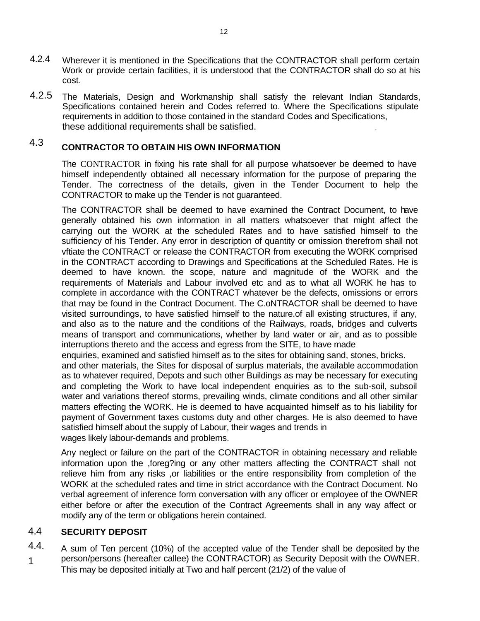- 4.2.4 Wherever it is mentioned in the Specifications that the CONTRACTOR shall perform certain Work or provide certain facilities, it is understood that the CONTRACTOR shall do so at his cost.
- 4.2.5 The Materials, Design and Workmanship shall satisfy the relevant Indian Standards, Specifications contained herein and Codes referred to. Where the Specifications stipulate requirements in addition to those contained in the standard Codes and Specifications, these additional requirements shall be satisfied. .

### 4.3 **CONTRACTOR TO OBTAIN HIS OWN INFORMATION**

The CONTRACTOR in fixing his rate shall for all purpose whatsoever be deemed to have himself independently obtained all necessary information for the purpose of preparing the Tender. The correctness of the details, given in the Tender Document to help the CONTRACTOR to make up the Tender is not guaranteed.

The CONTRACTOR shall be deemed to have examined the Contract Document, to have generally obtained his own information in all matters whatsoever that might affect the carrying out the WORK at the scheduled Rates and to have satisfied himself to the sufficiency of his Tender. Any error in description of quantity or omission therefrom shall not vftiate the CONTRACT or release the CONTRACTOR from executing the WORK comprised in the CONTRACT according to Drawings and Specifications at the Scheduled Rates. He is deemed to have known. the scope, nature and magnitude of the WORK and the requirements of Materials and Labour involved etc and as to what all WORK he has to complete in accordance with the CONTRACT whatever be the defects, omissions or errors that may be found in the Contract Document. The C.oNTRACTOR shall be deemed to have visited surroundings, to have satisfied himself to the nature.of all existing structures, if any, and also as to the nature and the conditions of the Railways, roads, bridges and culverts means of transport and communications, whether by land water or air, and as to possible interruptions thereto and the access and egress from the SITE, to have made

enquiries, examined and satisfied himself as to the sites for obtaining sand, stones, bricks. and other materials, the Sites for disposal of surplus materials, the available accommodation as to whatever required, Depots and such other Buildings as may be necessary for executing and completing the Work to have local independent enquiries as to the sub-soil, subsoil water and variations thereof storms, prevailing winds, climate conditions and all other similar matters effecting the WORK. He is deemed to have acquainted himself as to his liability for payment of Government taxes customs duty and other charges. He is also deemed to have satisfied himself about the supply of Labour, their wages and trends in wages likely labour-demands and problems.

Any neglect or failure on the part of the CONTRACTOR in obtaining necessary and reliable information upon the ,foreg?ing or any other matters affecting the CONTRACT shall not relieve him from any risks ,or liabilities or the entire responsibility from completion of the WORK at the scheduled rates and time in strict accordance with the Contract Document. No verbal agreement of inference form conversation with any officer or employee of the OWNER either before or after the execution of the Contract Agreements shall in any way affect or modify any of the term or obligations herein contained.

#### 4.4 **SECURITY DEPOSIT**

4.4. 1 A sum of Ten percent (10%) of the accepted value of the Tender shall be deposited by the person/persons (hereafter callee) the CONTRACTOR) as Security Deposit with the OWNER. This may be deposited initially at Two and half percent (21/2) of the value of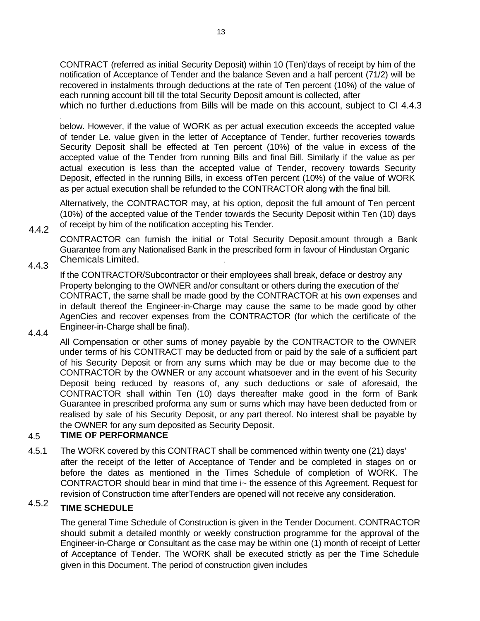CONTRACT (referred as initial Security Deposit) within 10 (Ten)'days of receipt by him of the notification of Acceptance of Tender and the balance Seven and a half percent (71/2) will be recovered in instalments through deductions at the rate of Ten percent (10%) of the value of each running account bill till the total Security Deposit amount is collected, after which no further d.eductions from Bills will be made on this account, subject to CI 4.4.3

below. However, if the value of WORK as per actual execution exceeds the accepted value of tender Le. value given in the letter of Acceptance of Tender, further recoveries towards Security Deposit shall be effected at Ten percent (10%) of the value in excess of the accepted value of the Tender from running Bills and final Bill. Similarly if the value as per actual execution is less than the accepted value of Tender, recovery towards Security Deposit, effected in the running Bills, in excess ofTen percent (10%) of the value of WORK as per actual execution shall be refunded to the CONTRACTOR along with the final bill.

Alternatively, the CONTRACTOR may, at his option, deposit the full amount of Ten percent (10%) of the accepted value of the Tender towards the Security Deposit within Ten (10) days of receipt by him of the notification accepting his Tender.

CONTRACTOR can furnish the initial or Total Security Deposit.amount through a Bank Guarantee from any Nationalised Bank in the prescribed form in favour of Hindustan Organic Chemicals Limited. .

## 4.4.3

If the CONTRACTOR/Subcontractor or their employees shall break, deface or destroy any Property belonging to the OWNER and/or consultant or others during the execution of the' CONTRACT, the same shall be made good by the CONTRACTOR at his own expenses and in default thereof the Engineer-in-Charge may cause the same to be made good by other AgenCies and recover expenses from the CONTRACTOR (for which the certificate of the Engineer-in-Charge shall be final).

4.4.4

4.4.2

.

All Compensation or other sums of money payable by the CONTRACTOR to the OWNER under terms of his CONTRACT may be deducted from or paid by the sale of a sufficient part of his Security Deposit or from any sums which may be due or may become due to the CONTRACTOR by the OWNER or any account whatsoever and in the event of his Security Deposit being reduced by reasons of, any such deductions or sale of aforesaid, the CONTRACTOR shall within Ten (10) days thereafter make good in the form of Bank Guarantee in prescribed proforma any sum or sums which may have been deducted from or realised by sale of his Security Deposit, or any part thereof. No interest shall be payable by the OWNER for any sum deposited as Security Deposit.

#### 4.5 **TIME OF PERFORMANCE**

4.5.1 The WORK covered by this CONTRACT shall be commenced within twenty one (21) days' after the receipt of the letter of Acceptance of Tender and be completed in stages on or before the dates as mentioned in the Times Schedule of completion of WORK. The CONTRACTOR should bear in mind that time i~ the essence of this Agreement. Request for revision of Construction time afterTenders are opened will not receive any consideration.

### 4.5.2 **TIME SCHEDULE**

The general Time Schedule of Construction is given in the Tender Document. CONTRACTOR should submit a detailed monthly or weekly construction programme for the approval of the Engineer-in-Charge or Consultant as the case may be within one (1) month of receipt of Letter of Acceptance of Tender. The WORK shall be executed strictly as per the Time Schedule given in this Document. The period of construction given includes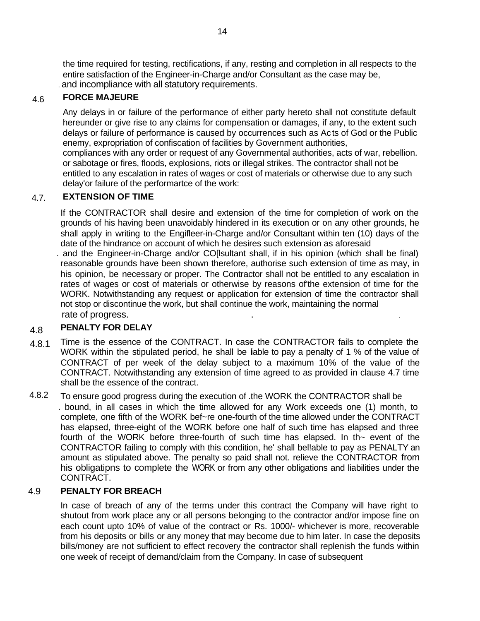the time required for testing, rectifications, if any, resting and completion in all respects to the entire satisfaction of the Engineer-in-Charge and/or Consultant as the case may be, . and incompliance with all statutory requirements.

#### 4.6 **FORCE MAJEURE**

Any delays in or failure of the performance of either party hereto shall not constitute default hereunder or give rise to any claims for compensation or damages, if any, to the extent such delays or failure of performance is caused by occurrences such as Acts of God or the Public enemy, expropriation of confiscation of facilities by Government authorities, compliances with any order or request of any Governmental authorities, acts of war, rebellion. or sabotage or fires, floods, explosions, riots or illegal strikes. The contractor shall not be entitled to any escalation in rates of wages or cost of materials or otherwise due to any such

delay'or failure of the performartce of the work:

#### 4.7. **EXTENSION OF TIME**

If the CONTRACTOR shall desire and extension of the time for completion of work on the grounds of his having been unavoidably hindered in its execution or on any other grounds, he shall apply in writing to the Engifleer-in-Charge and/or Consultant within ten (10) days of the date of the hindrance on account of which he desires such extension as aforesaid

. and the Engineer-in-Charge and/or CO[lsultant shall, if in his opinion (which shall be final) reasonable grounds have been shown therefore, authorise such extension of time as may, in his opinion, be necessary or proper. The Contractor shall not be entitled to any escalation in rates of wages or cost of materials or otherwise by reasons of'the extension of time for the WORK. Notwithstanding any request or application for extension of time the contractor shall not stop or discontinue the work, but shall continue the work, maintaining the normal rate of progress.

#### 4.8 **PENALTY FOR DELAY**

- 4.8.1 Time is the essence of the CONTRACT. In case the CONTRACTOR fails to complete the WORK within the stipulated period, he shall be lable to pay a penalty of 1 % of the value of CONTRACT of per week of the delay subject to a maximum 10% of the value of the CONTRACT. Notwithstanding any extension of time agreed to as provided in clause 4.7 time shall be the essence of the contract.
- 4.8.2 To ensure good progress during the execution of .the WORK the CONTRACTOR shall be . bound, in all cases in which the time allowed for any Work exceeds one (1) month, to complete, one fifth of the WORK bef~re one-fourth of the time allowed under the CONTRACT has elapsed, three-eight of the WORK before one half of such time has elapsed and three fourth of the WORK before three-fourth of such time has elapsed. In th $\sim$  event of the CONTRACTOR failing to comply with this condition, he' shall bel!able to pay as PENALTY an amount as stipulated above. The penalty so paid shall not. relieve the CONTRACTOR from his obligatipns to complete the WORK or from any other obligations and liabilities under the CONTRACT.

#### 4.9 **PENALTY FOR BREACH**

In case of breach of any of the terms under this contract the Company will have right to shutout from work place any or all persons belonging to the contractor and/or impose fine on each count upto 10% of value of the contract or Rs. 1000/- whichever is more, recoverable from his deposits or bills or any money that may become due to him later. In case the deposits bills/money are not sufficient to effect recovery the contractor shall replenish the funds within one week of receipt of demand/claim from the Company. In case of subsequent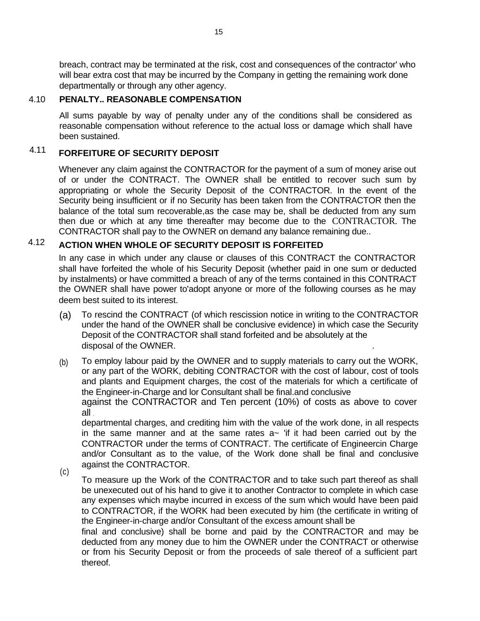breach, contract may be terminated at the risk, cost and consequences of the contractor' who will bear extra cost that may be incurred by the Company in getting the remaining work done departmentally or through any other agency.

#### 4.10 **PENALTY.. REASONABLE COMPENSATION**

All sums payable by way of penalty under any of the conditions shall be considered as reasonable compensation without reference to the actual loss or damage which shall have been sustained.

### 4.11 **FORFEITURE OF SECURITY DEPOSIT**

thereof.

Whenever any claim against the CONTRACTOR for the payment of a sum of money arise out of or under the CONTRACT. The OWNER shall be entitled to recover such sum by appropriating or whole the Security Deposit of the CONTRACTOR. In the event of the Security being insufficient or if no Security has been taken from the CONTRACTOR then the balance of the total sum recoverable,as the case may be, shall be deducted from any sum then due or which at any time thereafter may become due to the CONTRACTOR. The CONTRACTOR shall pay to the OWNER on demand any balance remaining due..

### 4.12 **ACTION WHEN WHOLE OF SECURITY DEPOSIT IS FORFEITED**

In any case in which under any clause or clauses of this CONTRACT the CONTRACTOR shall have forfeited the whole of his Security Deposit (whether paid in one sum or deducted by instalments) or have committed a breach of any of the terms contained in this CONTRACT the OWNER shall have power to'adopt anyone or more of the following courses as he may deem best suited to its interest.

- (a) To rescind the CONTRACT (of which rescission notice in writing to the CONTRACTOR under the hand of the OWNER shall be conclusive evidence) in which case the Security Deposit of the CONTRACTOR shall stand forfeited and be absolutely at the disposal of the OWNER. .
- To employ labour paid by the OWNER and to supply materials to carry out the WORK, or any part of the WORK, debiting CONTRACTOR with the cost of labour, cost of tools and plants and Equipment charges, the cost of the materials for which a certificate of the Engineer-in-Charge and lor Consultant shall be final.and conclusive against the CONTRACTOR and Ten percent (10%) of costs as above to cover all . (b)

departmental charges, and crediting him with the value of the work done, in all respects in the same manner and at the same rates  $a<sub>z</sub>$  'if it had been carried out by the CONTRACTOR under the terms of CONTRACT. The certificate of Engineercin Charge and/or Consultant as to the value, of the Work done shall be final and conclusive against the CONTRACTOR.

To measure up the Work of the CONTRACTOR and to take such part thereof as shall be unexecuted out of his hand to give it to another Contractor to complete in which case any expenses which maybe incurred in excess of the sum which would have been paid to CONTRACTOR, if the WORK had been executed by him (the certificate in writing of the Engineer-in-charge and/or Consultant of the excess amount shall be final and conclusive) shall be borne and paid by the CONTRACTOR and may be deducted from any money due to him the OWNER under the CONTRACT or otherwise or from his Security Deposit or from the proceeds of sale thereof of a sufficient part (c)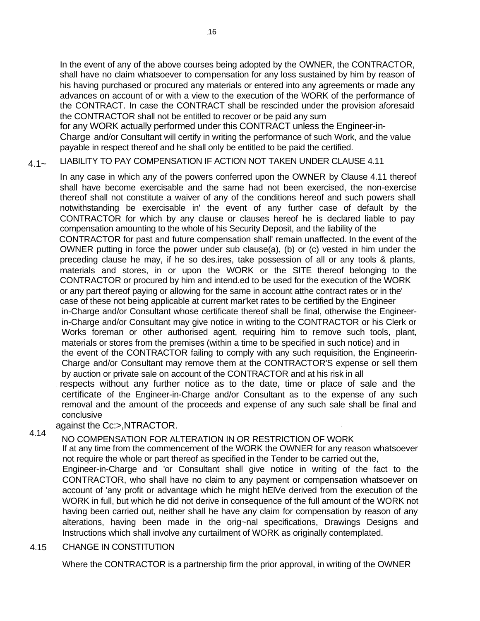In the event of any of the above courses being adopted by the OWNER, the CONTRACTOR, shall have no claim whatsoever to compensation for any loss sustained by him by reason of his having purchased or procured any materials or entered into any agreements or made any advances on account of or with a view to the execution of the WORK of the performance of the CONTRACT. In case the CONTRACT shall be rescinded under the provision aforesaid the CONTRACTOR shall not be entitled to recover or be paid any sum for any WORK actually performed under this CONTRACT unless the Engineer-in-

Charge and/or Consultant will certify in writing the performance of such Work, and the value payable in respect thereof and he shall only be entitled to be paid the certified.

 $4.1-$ LIABILITY TO PAY COMPENSATION IF ACTION NOT TAKEN UNDER CLAUSE 4.11

In any case in which any of the powers conferred upon the OWNER by Clause 4.11 thereof shall have become exercisable and the same had not been exercised, the non-exercise thereof shall not constitute a waiver of any of the conditions hereof and such powers shall notwithstanding be exercisable in' the event of any further case of default by the CONTRACTOR for which by any clause or clauses hereof he is declared liable to pay compensation amounting to the whole of his Security Deposit, and the liability of the CONTRACTOR for past and future compensation shall' remain unaffected. In the event of the OWNER putting in force the power under sub clause(a), (b) or (c) vested in him under the preceding clause he may, if he so des.ires, take possession of all or any tools & plants, materials and stores, in or upon the WORK or the SITE thereof belonging to the CONTRACTOR or procured by him and intend.ed to be used for the execution of the WORK or any part thereof paying or allowing for the same in account atthe contract rates or in the' case of these not being applicable at current mar'ket rates to be certified by the Engineer in-Charge and/or Consultant whose certificate thereof shall be final, otherwise the Engineerin-Charge and/or Consultant may give notice in writing to the CONTRACTOR or his Clerk or Works foreman or other authorised agent, requiring him to remove such tools, plant, materials or stores from the premises (within a time to be specified in such notice) and in the event of the CONTRACTOR failing to comply with any such requisition, the Engineerin-Charge and/or Consultant may remove them at the CONTRACTOR'S expense or sell them by auction or private sale on account of the CONTRACTOR and at his risk in all

respects without any further notice as to the date, time or place of sale and the certificate of the Engineer-in-Charge and/or Consultant as to the expense of any such removal and the amount of the proceeds and expense of any such sale shall be final and conclusive

### 4.14 against the Cc:>,NTRACTOR.

NO COMPENSATION FOR ALTERATION IN OR RESTRICTION OF WORK

If at any time from the commencement of the WORK the OWNER for any reason whatsoever not require the whole or part thereof as specified in the Tender to be carried out the,

Engineer-in-Charge and 'or Consultant shall give notice in writing of the fact to the CONTRACTOR, who shall have no claim to any payment or compensation whatsoever on account of 'any profit or advantage which he might hElVe derived from the execution of the WORK in full, but which he did not derive in consequence of the full amount of the WORK not having been carried out, neither shall he have any claim for compensation by reason of any alterations, having been made in the orig~nal specifications, Drawings Designs and Instructions which shall involve any curtailment of WORK as originally contemplated.

#### 4.15 CHANGE IN CONSTITUTION

Where the CONTRACTOR is a partnership firm the prior approval, in writing of the OWNER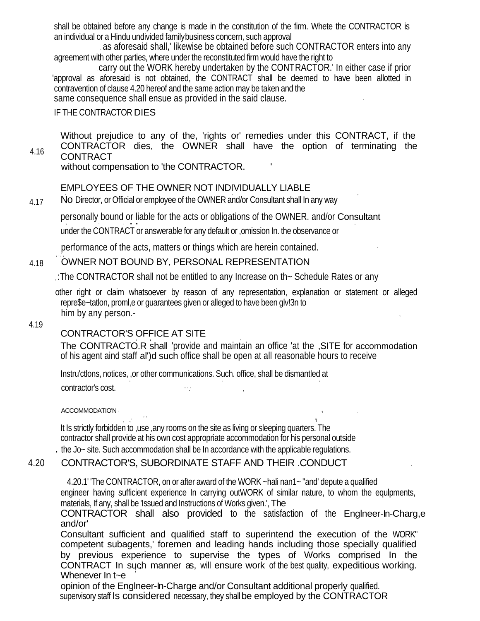shall be obtained before any change is made in the constitution of the firm. Whete the CONTRACTOR is an individual or a Hindu undivided family business concern, such approval

. as aforesaid shall,' likewise be obtained before such CONTRACTOR enters into any agreement with other parties, where under the reconstituted firm would have the right to

, carry out the WORK hereby undertaken by the CONTRACTOR.' In either case if prior 'approval as aforesaid is not obtained, the CONTRACT shall be deemed to have been allotted in contravention of clause 4.20 hereof and the same action may be taken and the

same consequence shall ensue as provided in the said clause.

## IF THE CONTRACTOR DIES

Without prejudice to any of the, 'rights or' remedies under this CONTRACT, if the CONTRACTOR dies, the OWNER shall have the option of terminating the **CONTRACT** 4.16

without compensation to 'the CONTRACTOR.

## EMPLOYEES OF THE OWNER NOT INDIVIDUALLY LIABLE

No Director, or Official or employee of the OWNER and/or Consultant shall In any way 4.17

personally bound or liable for the acts or obligations of the OWNER. and/or Consultant under the CONTRACT or answerable for any default or ,omission In. the observance or

performance of the acts, matters or things which are herein contained. '

#### , ,,' , OWNER NOT BOUND BY, PERSONAL REPRESENTATION 4.18

, :The CONTRACTOR shall not be entitled to any Increase on th~ Schedule Rates or any

other right or claim whatsoever by reason of any representation, explanation or statement or alleged repre\$e~tatlon, proml,e or guarantees given or alleged to have been glv!3n to him by any person.-

## 4.19

## CONTRACTOR'S OFFICE AT SITE

, ,

The CONTRACTO.R shall 'provide and maintain an office 'at the ,SITE for accommodation of his agent aind staff al')d such office shall be open at all reasonable hours to receive

Instru'ctlons, notices, ,or other communications. Such. office, shall be dismantled at , i.e., the contract of the contract of the contract of the contract of the contract of the contract of the contract of the contract of the contract of the contract of the contract of the contract of the contract of the c contractor's cost.

ACCOMMODATIO'N

, .,' 'I It Is strictly forbidden to ,use ,any rooms on the site as living or sleeping quarters. The contractor shall provide at his own cost appropriate accommodation for his personal outside . the Jo~ site. Such accommodation shall be In accordance with the applicable regulations.

## 4.20 CONTRACTOR'S, SUBORDINATE STAFF AND THEIR .CONDUCT .

4.20.1' 'The CONTRACTOR, on or after award of the WORK ~hali nan1~ "and' depute a qualified engineer having sufficient experience In carrying outWORK of similar nature, to whom the equlpments, materials, If any, shall be 'Issued and Instructions of Works given.', The

CONTRACTOR shall also provided to the satisfaction of the Englneer-In-Charg,e and/or'

Consultant sufficient and qualified staff to superintend the execution of the WORK" competent subagents,' foremen and leading hands including those specially qualified by previous experience to supervise the types of Works comprised In the CONTRACT In such manner as, will ensure work of the best quality, expeditious working. Whenever In t~e

opinion of the Englneer-In-Charge and/or Consultant additional properly qualified. supervisory staff Is considered necessary, they shall be employed by the CONTRACTOR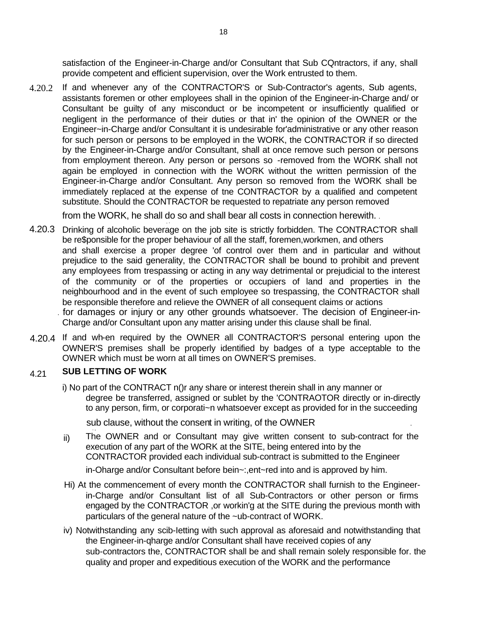satisfaction of the Engineer-in-Charge and/or Consultant that Sub CQntractors, if any, shall provide competent and efficient supervision, over the Work entrusted to them.

4.20.2 If and whenever any of the CONTRACTOR'S or Sub-Contractor's agents, Sub agents, assistants foremen or other employees shall in the opinion of the Engineer-in-Charge and/ or Consultant be guilty of any misconduct or be incompetent or insufficiently qualified or negligent in the performance of their duties or that in' the opinion of the OWNER or the Engineer~in-Charge and/or Consultant it is undesirable for'administrative or any other reason for such person or persons to be employed in the WORK, the CONTRACTOR if so directed by the Engineer-in-Charge and/or Consultant, shall at once remove such person or persons from employment thereon. Any person or persons so -removed from the WORK shall not again be employed in connection with the WORK without the written permission of the Engineer-in-Charge and/or Consultant. Any person so removed from the WORK shall be immediately replaced at the expense of tne CONTRACTOR by a qualified and competent substitute. Should the CONTRACTOR be requested to repatriate any person removed

from the WORK, he shall do so and shall bear all costs in connection herewith. . , .

- 4.20.3 Drinking of alcoholic beverage on the job site is strictly forbidden. The CONTRACTOR shall be re\$ponsible for the proper behaviour of all the staff, foremen,workmen, and others and shall exercise a proper degree 'of control over them and in particular and without prejudice to the said generality, the CONTRACTOR shall be bound to prohibit and prevent any employees from trespassing or acting in any way detrimental or prejudicial to the interest of the community or of the properties or occupiers of land and properties in the neighbourhood and in the event of such employee so trespassing, the CONTRACTOR shall be responsible therefore and relieve the OWNER of all consequent claims or actions . for damages or injury or any other grounds whatsoever. The decision of Engineer-in-
	- Charge and/or Consultant upon any matter arising under this clause shall be final.
- 4.20.4 If and wh-en required by the OWNER all CONTRACTOR'S personal entering upon the OWNER'S premises shall be properly identified by badges of a type acceptable to the OWNER which must be worn at all times on OWNER'S premises.

#### 4.21 **SUB LETTING OF WORK**

i) No part of the CONTRACT n()r any share or interest therein shall in any manner or degree be transferred, assigned or sublet by the 'CONTRAOTOR directly or in-directly to any person, firm, or corporati~n whatsoever except as provided for in the succeeding

sub clause, without the consent in writing, of the OWNER

- The OWNER and or Consultant may give written consent to sub-contract for the execution of any part of the WORK at the SITE, being entered into by the CONTRACTOR provided each individual sub-contract is submitted to the Engineer in-Oharge and/or Consultant before bein~:,ent~red into and is approved by him. ii)
- Hi) At the commencement of every month the CONTRACTOR shall furnish to the Engineerin-Charge and/or Consultant list of all Sub-Contractors or other person or firms engaged by the CONTRACTOR ,or workin'g at the SITE during the previous month with particulars of the general nature of the ~ub-contract of WORK.
- iv) Notwithstanding any scib-Ietting with such approval as aforesaid and notwithstanding that the Engineer-in-qharge and/or Consultant shall have received copies of any sub-contractors the, CONTRACTOR shall be and shall remain solely responsible for. the quality and proper and expeditious execution of the WORK and the performance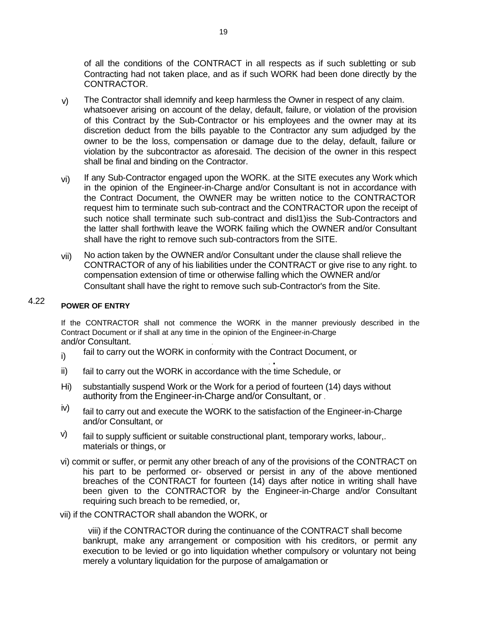of all the conditions of the CONTRACT in all respects as if such subletting or sub Contracting had not taken place, and as if such WORK had been done directly by the CONTRACTOR.

- v) The Contractor shall idemnify and keep harmless the Owner in respect of any claim. whatsoever arising on account of the delay, default, failure, or violation of the provision of this Contract by the Sub-Contractor or his employees and the owner may at its discretion deduct from the bills payable to the Contractor any sum adjudged by the owner to be the loss, compensation or damage due to the delay, default, failure or violation by the subcontractor as aforesaid. The decision of the owner in this respect shall be final and binding on the Contractor.
- If any Sub-Contractor engaged upon the WORK. at the SITE executes any Work which in the opinion of the Engineer-in-Charge and/or Consultant is not in accordance with the Contract Document, the OWNER may be written notice to the CONTRACTOR request him to terminate such sub-contract and the CONTRACTOR upon the receipt of such notice shall terminate such sub-contract and disl1)iss the Sub-Contractors and the latter shall forthwith leave the WORK failing which the OWNER and/or Consultant shall have the right to remove such sub-contractors from the SITE. vi)
- No action taken by the OWNER and/or Consultant under the clause shall relieve the CONTRACTOR of any of his liabilities under the CONTRACT or give rise to any right. to compensation extension of time or otherwise falling which the OWNER and/or Consultant shall have the right to remove such sub-Contractor's from the Site. vii)

### 4.22 **POWER OF ENTRY**

If the CONTRACTOR shall not commence the WORK in the manner previously described in the Contract Document or if shall at any time in the opinion of the Engineer-in-Charge and/or Consultant. .

- fail to carry out the WORK in conformity with the Contract Document, or . . i)
- fail to carry out the WORK in accordance with the time Schedule, or ii)
- substantially suspend Work or the Work for a period of fourteen (14) days without authority from the Engineer-in-Charge and/or Consultant, or . Hi)
- fail to carry out and execute the WORK to the satisfaction of the Engineer-in-Charge and/or Consultant, or iv)
- fail to supply sufficient or suitable constructional plant, temporary works, labour,. materials or things, or v)
- vi) commit or suffer, or permit any other breach of any of the provisions of the CONTRACT on his part to be performed or- observed or persist in any of the above mentioned breaches of the CONTRACT for fourteen (14) days after notice in writing shall have been given to the CONTRACTOR by the Engineer-in-Charge and/or Consultant requiring such breach to be remedied, or,
- vii) if the CONTRACTOR shall abandon the WORK, or

viii) if the CONTRACTOR during the continuance of the CONTRACT shall become bankrupt, make any arrangement or composition with his creditors, or permit any execution to be levied or go into liquidation whether compulsory or voluntary not being merely a voluntary liquidation for the purpose of amalgamation or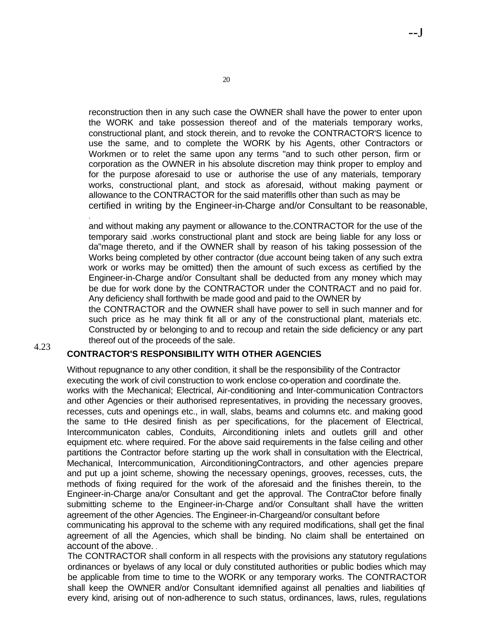reconstruction then in any such case the OWNER shall have the power to enter upon the WORK and take possession thereof and of the materials temporary works, constructional plant, and stock therein, and to revoke the CONTRACTOR'S licence to use the same, and to complete the WORK by his Agents, other Contractors or Workmen or to relet the same upon any terms "and to such other person, firm or corporation as the OWNER in his absolute discretion may think proper to employ and for the purpose aforesaid to use or authorise the use of any materials, temporary works, constructional plant, and stock as aforesaid, without making payment or allowance to the CONTRACTOR for the said materiflls other than such as may be certified in writing by the Engineer-in-Charge and/or Consultant to be reasonable,

--J

and without making any payment or allowance to the.CONTRACTOR for the use of the temporary said .works constructional plant and stock are being liable for any loss or da"mage thereto, and if the OWNER shall by reason of his taking possession of the Works being completed by other contractor (due account being taken of any such extra work or works may be omitted) then the amount of such excess as certified by the Engineer-in-Charge and/or Consultant shall be deducted from any money which may be due for work done by the CONTRACTOR under the CONTRACT and no paid for. Any deficiency shall forthwith be made good and paid to the OWNER by

the CONTRACTOR and the OWNER shall have power to sell in such manner and for such price as he may think fit all or any of the constructional plant, materials etc. Constructed by or belonging to and to recoup and retain the side deficiency or any part thereof out of the proceeds of the sale.

### 4.23 **CONTRACTOR'S RESPONSIBILITY WITH OTHER AGENCIES**

.

Without repugnance to any other condition, it shall be the responsibility of the Contractor executing the work of civil construction to work enclose co-operation and coordinate the. works with the Mechanical; Electrical, Air-conditioning and Inter-communication Contractors and other Agencies or their authorised representatives, in providing the necessary grooves, recesses, cuts and openings etc., in wall, slabs, beams and columns etc. and making good the same to tHe desired finish as per specifications, for the placement of Electrical, Intercommunicaton cables, Conduits, Airconditioning inlets and outlets grill and other equipment etc. where required. For the above said requirements in the false ceiling and other partitions the Contractor before starting up the work shall in consultation with the Electrical, Mechanical, Intercommunication, AirconditioningContractors, and other agencies prepare and put up a joint scheme, showing the necessary openings, grooves, recesses, cuts, the methods of fixing required for the work of the aforesaid and the finishes therein, to the Engineer-in-Charge ana/or Consultant and get the approval. The ContraCtor before finally submitting scheme to the Engineer-in-Charge and/or Consultant shall have the written agreement of the other Agencies. The Engineer-in-Chargeand/or consultant before

communicating his approval to the scheme with any required modifications, shall get the final agreement of all the Agencies, which shall be binding. No claim shall be entertained on account of the above. .

The CONTRACTOR shall conform in all respects with the provisions any statutory regulations ordinances or byelaws of any local or duly constituted authorities or public bodies which may be applicable from time to time to the WORK or any temporary works. The CONTRACTOR shall keep the OWNER and/or Consultant idemnified against all penalties and liabilities qf every kind, arising out of non-adherence to such status, ordinances, laws, rules, regulations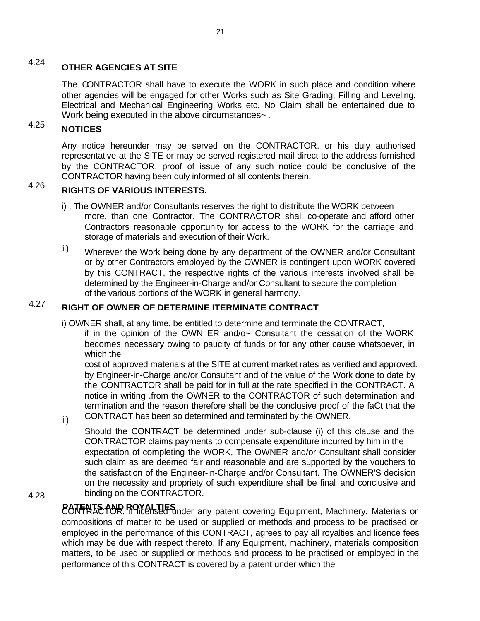### 4.24 **OTHER AGENCIES AT SITE**

The CONTRACTOR shall have to execute the WORK in such place and condition where other agencies will be engaged for other Works such as Site Grading, Filling and Leveling, Electrical and Mechanical Engineering Works etc. No Claim shall be entertained due to Work being executed in the above circumstances~.

### 4.25 **NOTICES**

Any notice hereunder may be served on the CONTRACTOR. or his duly authorised representative at the SITE or may be served registered mail direct to the address furnished by the CONTRACTOR, proof of issue of any such notice could be conclusive of the CONTRACTOR having been duly informed of all contents therein.

### 4.26 **RIGHTS OF VARIOUS INTERESTS.**

- i) . The OWNER and/or Consultants reserves the right to distribute the WORK between more. than one Contractor. The CONTRACTOR shall co-operate and afford other Contractors reasonable opportunity for access to the WORK for the carriage and storage of materials and execution of their Work.
- Wherever the Work being done by any department of the OWNER and/or Consultant or by other Contractors employed by the OWNER is contingent upon WORK covered by this CONTRACT, the respective rights of the various interests involved shall be determined by the Engineer-in-Charge and/or Consultant to secure the completion of the various portions of the WORK in general harmony. ii)

### 4.27 **RIGHT OF OWNER OF DETERMINE ITERMINATE CONTRACT**

- i) OWNER shall, at any time, be entitled to determine and terminate the CONTRACT,
	- if in the opinion of the OWN ER and/o~ Consultant the cessation of the WORK becomes necessary owing to paucity of funds or for any other cause whatsoever, in which the

cost of approved materials at the SITE at current market rates as verified and approved. by Engineer-in-Charge and/or Consultant and of the value of the Work done to date by the CONTRACTOR shall be paid for in full at the rate specified in the CONTRACT. A notice in writing .from the OWNER to the CONTRACTOR of such determination and termination and the reason therefore shall be the conclusive proof of the faCt that the CONTRACT has been so determined and terminated by the OWNER.

Should the CONTRACT be determined under sub-clause (i) of this clause and the CONTRACTOR claims payments to compensate expenditure incurred by him in the expectation of completing the WORK, The OWNER and/or Consultant shall consider such claim as are deemed fair and reasonable and are supported by the vouchers to the satisfaction of the Engineer-in-Charge and/or Consultant. The OWNER'S decision on the necessity and propriety of such expenditure shall be final and conclusive and binding on the CONTRACTOR.

4.28

ii)

**PATENTS AND ROYALTIES** inder any patent covering Equipment, Machinery, Materials or compositions of matter to be used or supplied or methods and process to be practised or employed in the performance of this CONTRACT, agrees to pay all royalties and licence fees which may be due with respect thereto. If any Equipment, machinery, materials composition matters, to be used or supplied or methods and process to be practised or employed in the performance of this CONTRACT is covered by a patent under which the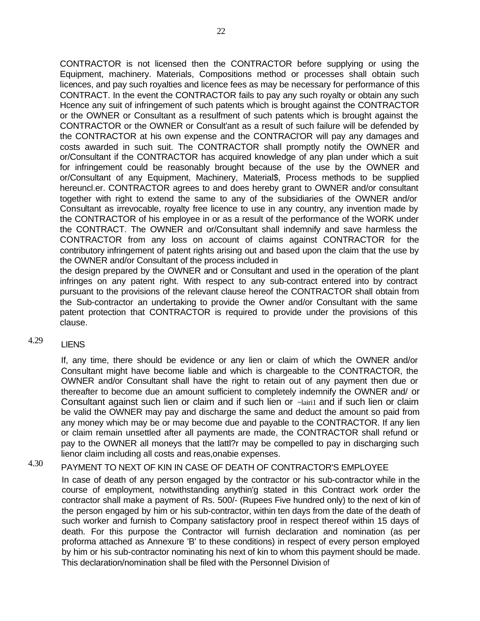CONTRACTOR is not licensed then the CONTRACTOR before supplying or using the Equipment, machinery. Materials, Compositions method or processes shall obtain such licences, and pay such royalties and licence fees as may be necessary for performance of this CONTRACT. In the event the CONTRACTOR fails to pay any such royalty or obtain any such Hcence any suit of infringement of such patents which is brought against the CONTRACTOR or the OWNER or Consultant as a resulfment of such patents which is brought against the CONTRACTOR or the OWNER or Consult'ant as a result of such failure will be defended by the CONTRACTOR at his own expense and the CONTRACl'OR will pay any damages and costs awarded in such suit. The CONTRACTOR shall promptly notify the OWNER and or/Consultant if the CONTRACTOR has acquired knowledge of any plan under which a suit for infringement could be reasonably brought because of the use by the OWNER and or/Consultant of any Equipment, Machinery, Material\$, Process methods to be supplied hereuncl.er. CONTRACTOR agrees to and does hereby grant to OWNER and/or consultant together with right to extend the same to any of the subsidiaries of the OWNER and/or Consultant as irrevocable, royalty free licence to use in any country, any invention made by the CONTRACTOR of his employee in or as a result of the performance of the WORK under the CONTRACT. The OWNER and or/Consultant shall indemnify and save harmless the CONTRACTOR from any loss on account of claims against CONTRACTOR for the contributory infringement of patent rights arising out and based upon the claim that the use by the OWNER and/or Consultant of the process included in

the design prepared by the OWNER and or Consultant and used in the operation of the plant infringes on any patent right. With respect to any sub-contract entered into by contract pursuant to the provisions of the relevant clause hereof the CONTRACTOR shall obtain from the Sub-contractor an undertaking to provide the Owner and/or Consultant with the same patent protection that CONTRACTOR is required to provide under the provisions of this clause.

4.29 **LIENS** 

> If, any time, there should be evidence or any lien or claim of which the OWNER and/or Consultant might have become liable and which is chargeable to the CONTRACTOR, the OWNER and/or Consultant shall have the right to retain out of any payment then due or thereafter to become due an amount sufficient to completely indemnify the OWNER and/ or Consultant against such lien or claim and if such lien or ~lairi1 and if such lien or claim be valid the OWNER may pay and discharge the same and deduct the amount so paid from any money which may be or may become due and payable to the CONTRACTOR. If any lien or claim remain unsettled after all payments are made, the CONTRACTOR shall refund or pay to the OWNER all moneys that the lattl?r may be compelled to pay in discharging such lienor claim including all costs and reas,onabie expenses.

### 4.30 PAYMENT TO NEXT OF KIN IN CASE OF DEATH OF CONTRACTOR'S EMPLOYEE

In case of death of any person engaged by the contractor or his sub-contractor while in the course of employment, notwithstanding anythin'g stated in this Contract work order the contractor shall make a payment of Rs. 500/- (Rupees Five hundred only) to the next of kin of the person engaged by him or his sub-contractor, within ten days from the date of the death of such worker and furnish to Company satisfactory proof in respect thereof within 15 days of death. For this purpose the Contractor will furnish declaration and nomination (as per proforma attached as Annexure 'B' to these conditions) in respect of every person employed by him or his sub-contractor nominating his next of kin to whom this payment should be made. This declaration/nomination shall be filed with the Personnel Division of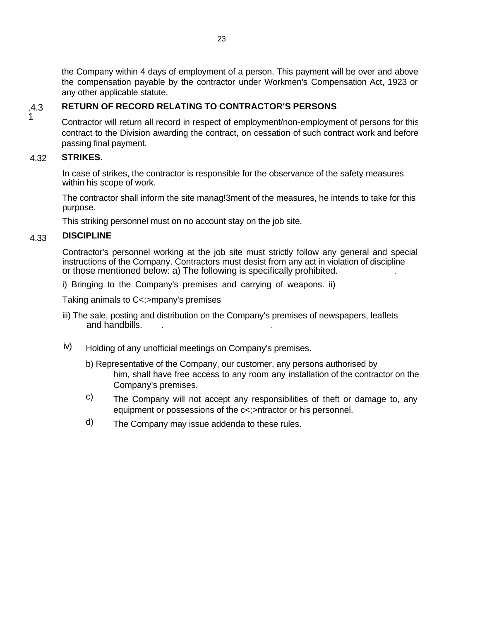the Company within 4 days of employment of a person. This payment will be over and above the compensation payable by the contractor under Workmen's Compensation Act, 1923 or any other applicable statute.

#### .4.3 **RETURN OF RECORD RELATING TO CONTRACTOR'S PERSONS**

Contractor will return all record in respect of employment/non-employment of persons for this contract to the Division awarding the contract, on cessation of such contract work and before passing final payment.

#### 4.32 **STRIKES.**

1

In case of strikes, the contractor is responsible for the observance of the safety measures within his scope of work.

The contractor shall inform the site manag!3ment of the measures, he intends to take for this purpose.

This striking personnel must on no account stay on the job site.

#### 4.33 **DISCIPLINE**

Contractor's personnel working at the job site must strictly follow any general and special instructions of the Company. Contractors must desist from any act in violation of discipline or those mentioned below: a) The following is specifically prohibited. .

i) Bringing to the Company's premises and carrying of weapons. ii)

Taking animals to C<;>mpany's premises

- iii) The sale, posting and distribution on the Company's premises of newspapers, leaflets and handbills.
- iv) Holding of any unofficial meetings on Company's premises.
	- b) Representative of the Company, our customer, any persons authorised by him, shall have free access to any room any installation of the contractor on the Company's premises.
	- The Company will not accept any responsibilities of theft or damage to, any equipment or possessions of the c<;>ntractor or his personnel. c)
	- The Company may issue addenda to these rules. d)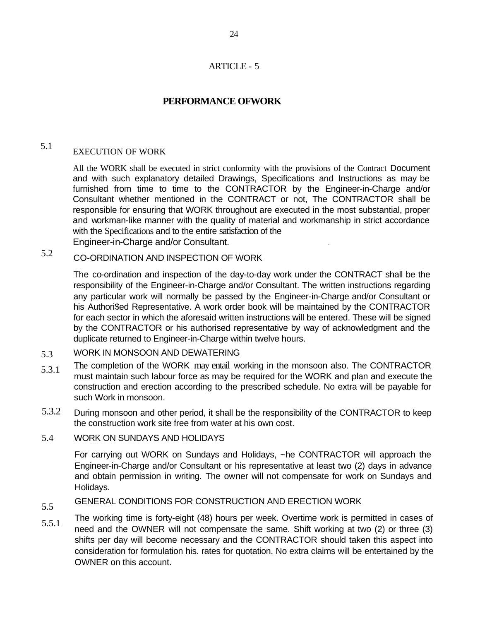## ARTICLE - 5

## **PERFORMANCE OFWORK**

### 5.1 EXECUTION OF WORK

All the WORK shall be executed in strict conformity with the provisions of the Contract Document and with such explanatory detailed Drawings, Specifications and Instructions as may be furnished from time to time to the CONTRACTOR by the Engineer-in-Charge and/or Consultant whether mentioned in the CONTRACT or not, The CONTRACTOR shall be responsible for ensuring that WORK throughout are executed in the most substantial, proper and workman-like manner with the quality of material and workmanship in strict accordance with the Specifications and to the entire satisfaction of the Engineer-in-Charge and/or Consultant. .

### 5.2 CO-ORDINATION AND INSPECTION OF WORK

The co-ordination and inspection of the day-to-day work under the CONTRACT shall be the responsibility of the Engineer-in-Charge and/or Consultant. The written instructions regarding any particular work will normally be passed by the Engineer-in-Charge and/or Consultant or his Authori\$ed Representative. A work order book will be maintained by the CONTRACTOR for each sector in which the aforesaid written instructions will be entered. These will be signed by the CONTRACTOR or his authorised representative by way of acknowledgment and the duplicate returned to Engineer-in-Charge within twelve hours.

#### 5.3 WORK IN MONSOON AND DEWATERING

- 5.3.1 The completion of the WORK may entail working in the monsoon also. The CONTRACTOR must maintain such labour force as may be required for the WORK and plan and execute the construction and erection according to the prescribed schedule. No extra will be payable for such Work in monsoon.
- 5.3.2 During monsoon and other period, it shall be the responsibility of the CONTRACTOR to keep the construction work site free from water at his own cost.

#### 5.4 WORK ON SUNDAYS AND HOLIDAYS

For carrying out WORK on Sundays and Holidays, ~he CONTRACTOR will approach the Engineer-in-Charge and/or Consultant or his representative at least two (2) days in advance and obtain permission in writing. The owner will not compensate for work on Sundays and Holidays.

### 5.5 GENERAL CONDITIONS FOR CONSTRUCTION AND ERECTION WORK

5.5.1 The working time is forty-eight (48) hours per week. Overtime work is permitted in cases of need and the OWNER will not compensate the same. Shift working at two (2) or three (3) shifts per day will become necessary and the CONTRACTOR should taken this aspect into consideration for formulation his. rates for quotation. No extra claims will be entertained by the OWNER on this account.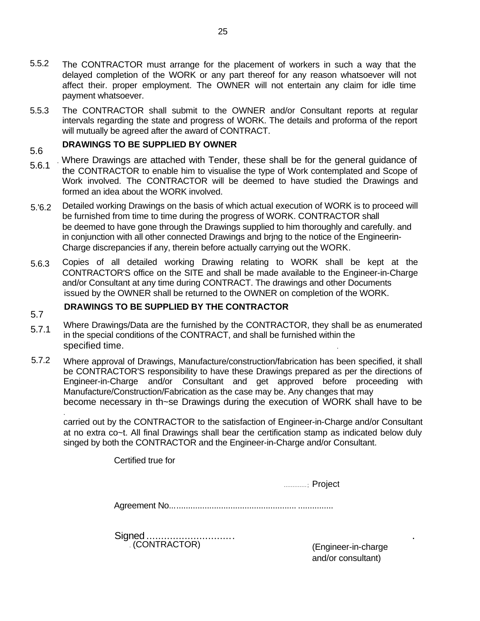- 5.5.2 The CONTRACTOR must arrange for the placement of workers in such a way that the delayed completion of the WORK or any part thereof for any reason whatsoever will not affect their. proper employment. The OWNER will not entertain any claim for idle time payment whatsoever.
- 5.5.3 The CONTRACTOR shall submit to the OWNER and/or Consultant reports at regular intervals regarding the state and progress of WORK. The details and proforma of the report will mutually be agreed after the award of CONTRACT.

### 5.6 **DRAWINGS TO BE SUPPLIED BY OWNER**

5.7

.

- 5.6.1 . Where Drawings are attached with Tender, these shall be for the general guidance of the CONTRACTOR to enable him to visualise the type of Work contemplated and Scope of Work involved. The CONTRACTOR will be deemed to have studied the Drawings and formed an idea about the WORK involved.
- 5.'6.2 Detailed working Drawings on the basis of which actual execution of WORK is to proceed will be furnished from time to time during the progress of WORK. CONTRACTOR shall be deemed to have gone through the Drawings supplied to him thoroughly and carefully. and in conjunction with all other connected Drawings and brjng to the notice of the Engineerin-Charge discrepancies if any, therein before actually carrying out the WORK.
- 5.6.3 Copies of all detailed working Drawing relating to WORK shall be kept at the CONTRACTOR'S office on the SITE and shall be made available to the Engineer-in-Charge and/or Consultant at any time during CONTRACT. The drawings and other Documents issued by the OWNER shall be returned to the OWNER on completion of the WORK.

## **DRAWINGS TO BE SUPPLIED BY THE CONTRACTOR**

- 5.7.1 Where Drawings/Data are the furnished by the CONTRACTOR, they shall be as enumerated in the special conditions of the CONTRACT, and shall be furnished within the specified time. .
- 5.7.2 Where approval of Drawings, Manufacture/construction/fabrication has been specified, it shall be CONTRACTOR'S responsibility to have these Drawings prepared as per the directions of Engineer-in-Charge and/or Consultant and get approved before proceeding with Manufacture/Construction/Fabrication as the case may be. Any changes that may become necessary in th~se Drawings during the execution of WORK shall have to be

carried out by the CONTRACTOR to the satisfaction of Engineer-in-Charge and/or Consultant at no extra co~t. All final Drawings shall bear the certification stamp as indicated below duly singed by both the CONTRACTOR and the Engineer-in-Charge and/or Consultant.

Certified true for

............. ; Project

Agreement No...................................................... ...............

Signed ................................ . (CONTRACTOR)

(Engineer-in-charge and/or consultant)

.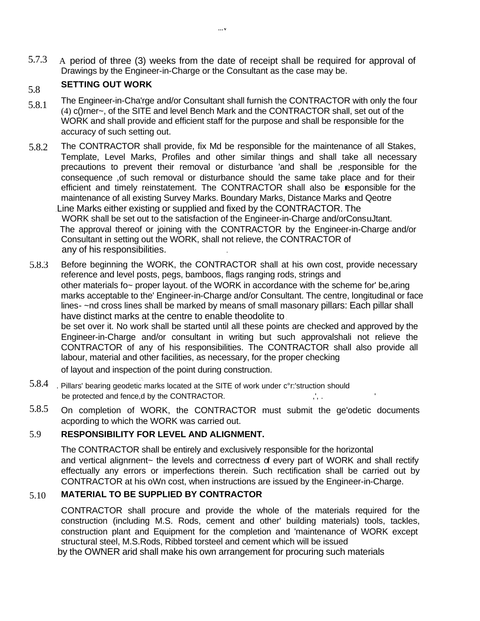5.7.3 A period of three (3) weeks from the date of receipt shall be required for approval of Drawings by the Engineer-in-Charge or the Consultant as the case may be.

### 5.8 **SETTING OUT WORK**

- 5.8.1 The Engineer-in-Cha'rge and/or Consultant shall furnish the CONTRACTOR with only the four (4) c()rner~, of the SITE and level Bench Mark and the CONTRACTOR shall, set out of the WORK and shall provide and efficient staff for the purpose and shall be responsible for the accuracy of such setting out.
- 5.8.2 The CONTRACTOR shall provide, fix Md be responsible for the maintenance of all Stakes, Template, Level Marks, Profiles and other similar things and shall take all necessary precautions to prevent their removal or disturbance 'and shall be ,responsible for the consequence ,of such removal or disturbance should the same take place and for their efficient and timely reinstatement. The CONTRACTOR shall also be responsible for the maintenance of all existing Survey Marks. Boundary Marks, Distance Marks and Qeotre Line Marks either existing or supplied and fixed by the CONTRACTOR. The WORK shall be set out to the satisfaction of the Engineer-in-Charge and/orConsuJtant. The approval thereof or joining with the CONTRACTOR by the Engineer-in-Charge and/or

Consultant in setting out the WORK, shall not relieve, the CONTRACTOR of any of his responsibilities. .

5.8.3 Before beginning the WORK, the CONTRACTOR shall at his own cost, provide necessary reference and level posts, pegs, bamboos, flags ranging rods, strings and other materials fo~ proper layout. of the WORK in accordance with the scheme for' be,aring marks acceptable to the' Engineer-in-Charge and/or Consultant. The centre, longitudinal or face lines- ~nd cross lines shall be marked by means of small masonary pillars: Each pillar shall have distinct marks at the centre to enable theodolite to

be set over it. No work shall be started until all these points are checked and approved by the Engineer-in-Charge and/or consultant in writing but such approvalshali not relieve the CONTRACTOR of any of his responsibilities. The CONTRACTOR shall also provide all labour, material and other facilities, as necessary, for the proper checking

of layout and inspection of the point during construction.

- 5.8.4 Pillars' bearing geodetic marks located at the SITE of work under c°r: 'struction should be protected and fence,d by the CONTRACTOR.  $, \ldots, \ldots, \ldots, \ldots, \ldots$
- 5.8.5 On completion of WORK, the CONTRACTOR must submit the ge'odetic documents acpording to which the WORK was carried out.

#### 5.9 **RESPONSIBILITY FOR LEVEL AND ALIGNMENT.**

The CONTRACTOR shall be entirely and exclusively responsible for the horizontal and vertical alignrnent~ the levels and correctness of every part of WORK and shall rectify effectually any errors or imperfections therein. Such rectification shall be carried out by CONTRACTOR at his oWn cost, when instructions are issued by the Engineer-in-Charge.

#### 5.10 **MATERIAL TO BE SUPPLIED BY CONTRACTOR**

CONTRACTOR shall procure and provide the whole of the materials required for the construction (including M.S. Rods, cement and other' building materials) tools, tackles, construction plant and Equipment for the completion and 'maintenance of WORK except structural steel, M.S.Rods, Ribbed torsteel and cement which will be issued

by the OWNER arid shall make his own arrangement for procuring such materials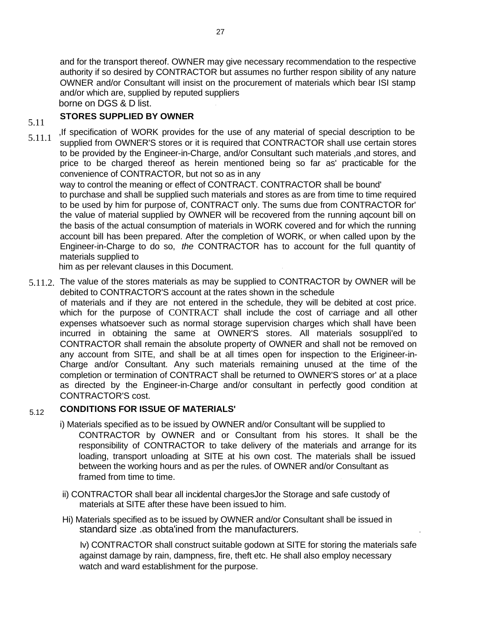and for the transport thereof. OWNER may give necessary recommendation to the respective authority if so desired by CONTRACTOR but assumes no further respon sibility of any nature OWNER and/or Consultant will insist on the procurement of materials which bear ISI stamp and/or which are, supplied by reputed suppliers borne on DGS & D list.

### **STORES SUPPLIED BY OWNER** 5.11

,If specification of WORK provides for the use of any material of special description to be supplied from OWNER'S stores or it is required that CONTRACTOR shall use certain stores to be provided by the Engineer-in-Charge, and/or Consultant such materials ,and stores, and price to be charged thereof as herein mentioned being so far as' practicable for the convenience of CONTRACTOR, but not so as in any 5.11.1

way to control the meaning or effect of CONTRACT. CONTRACTOR shall be bound' to purchase and shall be supplied such materials and stores as are from time to time required to be used by him for purpose of, CONTRACT only. The sums due from CONTRACTOR for' the value of material supplied by OWNER will be recovered from the running aqcount bill on the basis of the actual consumption of materials in WORK covered and for which the running account bill has been prepared. After the completion of WORK, or when called upon by the Engineer-in-Charge to do so, *the* CONTRACTOR has to account for the full quantity of materials supplied to

him as per relevant clauses in this Document.

 $5.11.2$ . The value of the stores materials as may be supplied to CONTRACTOR by OWNER will be debited to CONTRACTOR'S account at the rates shown in the schedule

of materials and if they are not entered in the schedule, they will be debited at cost price. which for the purpose of CONTRACT shall include the cost of carriage and all other expenses whatsoever such as normal storage supervision charges which shall have been incurred in obtaining the same at OWNER'S stores. All materials sosuppli'ed to CONTRACTOR shall remain the absolute property of OWNER and shall not be removed on any account from SITE, and shall be at all times open for inspection to the Erigineer-in-Charge and/or Consultant. Any such materials remaining unused at the time of the completion or termination of CONTRACT shall be returned to OWNER'S stores or' at a place as directed by the Engineer-in-Charge and/or consultant in perfectly good condition at CONTRACTOR'S cost.

#### 5.12 **CONDITIONS FOR ISSUE OF MATERIALS'**

- i) Materials specified as to be issued by OWNER and/or Consultant will be supplied to CONTRACTOR by OWNER and or Consultant from his stores. It shall be the responsibility of CONTRACTOR to take delivery of the materials and arrange for its loading, transport unloading at SITE at his own cost. The materials shall be issued between the working hours and as per the rules. of OWNER and/or Consultant as framed from time to time.
- ii) CONTRACTOR shall bear all incidental chargesJor the Storage and safe custody of materials at SITE after these have been issued to him.
- Hi) Materials specified as to be issued by OWNER and/or Consultant shall be issued in standard size .as obta'ined from the manufacturers. .

Iv) CONTRACTOR shall construct suitable godown at SITE for storing the materials safe against damage by rain, dampness, fire, theft etc. He shall also employ necessary watch and ward establishment for the purpose.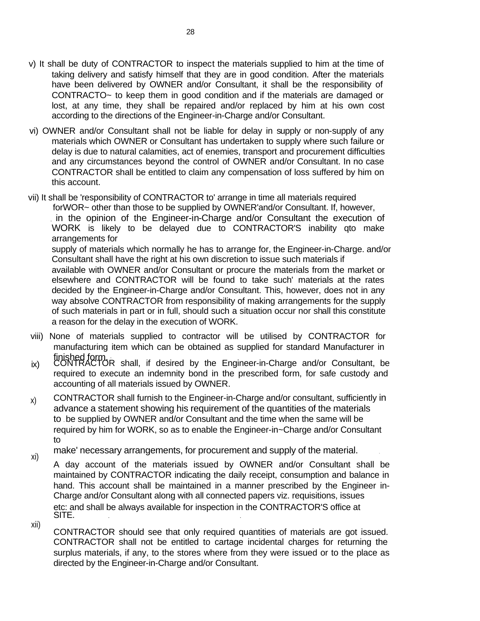- v) It shall be duty of CONTRACTOR to inspect the materials supplied to him at the time of taking delivery and satisfy himself that they are in good condition. After the materials have been delivered by OWNER and/or Consultant, it shall be the responsibility of CONTRACTO~ to keep them in good condition and if the materials are damaged or lost, at any time, they shall be repaired and/or replaced by him at his own cost according to the directions of the Engineer-in-Charge and/or Consultant.
- vi) OWNER and/or Consultant shall not be liable for delay in supply or non-supply of any materials which OWNER or Consultant has undertaken to supply where such failure or delay is due to natural calamities, act of enemies, transport and procurement difficulties and any circumstances beyond the control of OWNER and/or Consultant. In no case CONTRACTOR shall be entitled to claim any compensation of loss suffered by him on this account.
- vii) It shall be 'responsibility of CONTRACTOR to' arrange in time all materials required forWOR~ other than those to be supplied by OWNER'and/or Consultant. If, however, , in the opinion of the Engineer-in-Charge and/or Consultant the execution of WORK is likely to be delayed due to CONTRACTOR'S inability qto make arrangements for supply of materials which normally he has to arrange for, the Engineer-in-Charge. and/or Consultant shall have the right at his own discretion to issue such materials if available with OWNER and/or Consultant or procure the materials from the market or elsewhere and CONTRACTOR will be found to take such' materials at the rates decided by the Engineer-in-Charge and/or Consultant. This, however, does not in any way absolve CONTRACTOR from responsibility of making arrangements for the supply of such materials in part or in full, should such a situation occur nor shall this constitute

a reason for the delay in the execution of WORK.

- viii) None of materials supplied to contractor will be utilised by CONTRACTOR for manufacturing item which can be obtained as supplied for standard Manufacturer in finished form. '
- ix) CONTRACTOR shall, if desired by the Engineer-in-Charge and/or Consultant, be required to execute an indemnity bond in the prescribed form, for safe custody and accounting of all materials issued by OWNER.
- CONTRACTOR shall furnish to the Engineer-in-Charge and/or consultant, sufficiently in advance a statement showing his requirement of the quantities of the materials to . be supplied by OWNER and/or Consultant and the time when the same will be required by him for WORK, so as to enable the Engineer-in~Charge and/or Consultant to x)

make' necessary arrangements, for procurement and supply of the material.

- A day account of the materials issued by OWNER and/or Consultant shall be maintained by CONTRACTOR indicating the daily receipt, consumption and balance in hand. This account shall be maintained in a manner prescribed by the Engineer in-Charge and/or Consultant along with all connected papers viz. requisitions, issues etc: and shall be always available for inspection in the CONTRACTOR'S office at SITE. xi)
- xii)

CONTRACTOR should see that only required quantities of materials are got issued. CONTRACTOR shall not be entitled to cartage incidental charges for returning the surplus materials, if any, to the stores where from they were issued or to the place as directed by the Engineer-in-Charge and/or Consultant.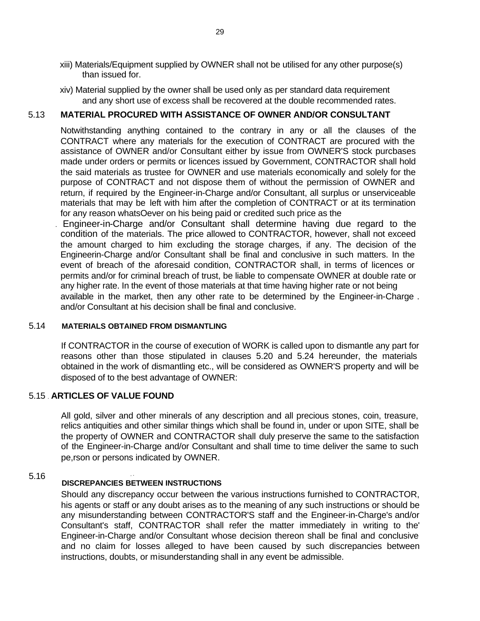- xiii) Materials/Equipment supplied by OWNER shall not be utilised for any other purpose(s) than issued for.
- xiv) Material supplied by the owner shall be used only as per standard data requirement and any short use of excess shall be recovered at the double recommended rates.

## 5.13 **MATERIAL PROCURED WITH ASSISTANCE OF OWNER AND/OR CONSULTANT**

Notwithstanding anything contained to the contrary in any or all the clauses of the CONTRACT where any materials for the execution of CONTRACT are procured with the assistance of OWNER and/or Consultant either by issue from OWNER'S stock purcbases made under orders or permits or licences issued by Government, CONTRACTOR shall hold the said materials as trustee for OWNER and use materials economically and solely for the purpose of CONTRACT and not dispose them of without the permission of OWNER and return, if required by the Engineer-in-Charge and/or Consultant, all surplus or unserviceable materials that may be left with him after the completion of CONTRACT or at its termination for any reason whatsOever on his being paid or credited such price as the

. Engineer-in-Charge and/or Consultant shall determine having due regard to the condition of the materials. The price allowed to CONTRACTOR, however, shall not exceed the amount charged to him excluding the storage charges, if any. The decision of the Engineerin-Charge and/or Consultant shall be final and conclusive in such matters. In the event of breach of the aforesaid condition, CONTRACTOR shall, in terms of licences or permits and/or for criminal breach of trust, be liable to compensate OWNER at double rate or any higher rate. In the event of those materials at that time having higher rate or not being available in the market, then any other rate to be determined by the Engineer-in-Charge . and/or Consultant at his decision shall be final and conclusive.

### 5.14 **MATERIALS OBTAINED FROM DISMANTLING**

If CONTRACTOR in the course of execution of WORK is called upon to dismantle any part for reasons other than those stipulated in clauses 5.20 and 5.24 hereunder, the materials obtained in the work of dismantling etc., will be considered as OWNER'S property and will be disposed of to the best advantage of OWNER:

## 5.15 . **ARTICLES OF VALUE FOUND**

All gold, silver and other minerals of any description and all precious stones, coin, treasure, relics antiquities and other similar things which shall be found in, under or upon SITE, shall be the property of OWNER and CONTRACTOR shall duly preserve the same to the satisfaction of the Engineer-in-Charge and/or Consultant and shall time to time deliver the same to such pe,rson or persons indicated by OWNER.

### 5.16 , . **DISCREPANCIES BETWEEN INSTRUCTIONS**

Should any discrepancy occur between the various instructions furnished to CONTRACTOR, his agents or staff or any doubt arises as to the meaning of any such instructions or should be any misunderstanding between CONTRACTOR'S staff and the Engineer-in-Charge's and/or Consultant's staff, CONTRACTOR shall refer the matter immediately in writing to the' Engineer-in-Charge and/or Consultant whose decision thereon shall be final and conclusive and no claim for losses alleged to have been caused by such discrepancies between instructions, doubts, or misunderstanding shall in any event be admissible.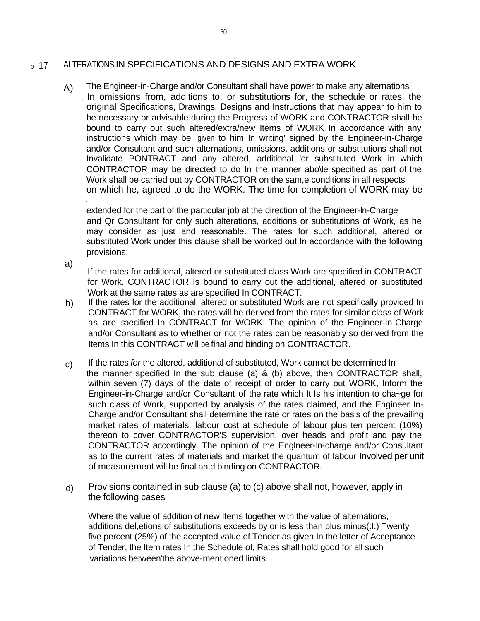#### p-, 17 ALTERATIONS IN SPECIFICATIONS AND DESIGNS AND EXTRA WORK

A) The Engineer-in-Charge and/or Consultant shall have power to make any alternations .. In omissions from, additions to, or substitutions for, the schedule or rates, the original Specifications, Drawings, Designs and Instructions that may appear to him to be necessary or advisable during the Progress of WORK and CONTRACTOR shall be bound to carry out such altered/extra/new Items of WORK In accordance with any instructions which may be given to him In writing' signed by the Engineer-in-Charge and/or Consultant and such alternations, omissions, additions or substitutions shall not Invalidate PONTRACT and any altered, additional 'or substituted Work in which CONTRACTOR may be directed to do In the manner abo\le specified as part of the Work shall be carried out by CONTRACTOR on the sam,e conditions in all respects on which he, agreed to do the WORK. The time for completion of WORK may be

extended for the part of the particular job at the direction of the Engineer-In-Charge 'and Qr Consultant for only such alterations, additions or substitutions of Work, as he may consider as just and reasonable. The rates for such additional, altered or substituted Work under this clause shall be worked out In accordance with the following provisions:

a)

If the rates for additional, altered or substituted class Work are specified in CONTRACT for Work. CONTRACTOR Is bound to carry out the additional, altered or substituted Work at the same rates as are specified In CONTRACT.

- b) If the rates for the additional, altered or substituted Work are not specifically provided In CONTRACT for WORK, the rates will be derived from the rates for similar class of Work as are specified In CONTRACT for WORK. The opinion of the Engineer-In Charge and/or Consultant as to whether or not the rates can be reasonably so derived from the Items In this CONTRACT will be final and binding on CONTRACTOR.
- If the rates *for* the altered, additional of substituted, Work cannot be determined In the manner specified In the sub clause (a) & (b) above, then CONTRACTOR shall, within seven (7) days of the date of receipt of order to carry out WORK, Inform the Engineer-in-Charge and/or Consultant of the rate which It Is his intention to cha~ge for such class of Work, supported by analysis of the rates claimed, and the Engineer In-Charge and/or Consultant shall determine the rate or rates on the basis of the prevailing market rates of materials, labour cost at schedule of labour plus ten percent (10%) thereon to cover CONTRACTOR'S supervision, over heads and profit and pay the CONTRACTOR accordingly. The opinion of the Englneer-In-charge and/or Consultant as to the current rates of materials and market the quantum of labour Involved per unit of measurement will be final an,d binding on CONTRACTOR. c)
- d) Provisions contained in sub clause (a) to (c) above shall not, however, apply in the following cases

Where the value of addition of new Items together with the value of alternations, additions del,etions of substitutions exceeds by or is less than plus minus(:I:) Twenty' five percent (25%) of the accepted value of Tender as given In the letter of Acceptance of Tender, the Item rates In the Schedule of, Rates shall hold good for all such 'variations between'the above-mentioned limits.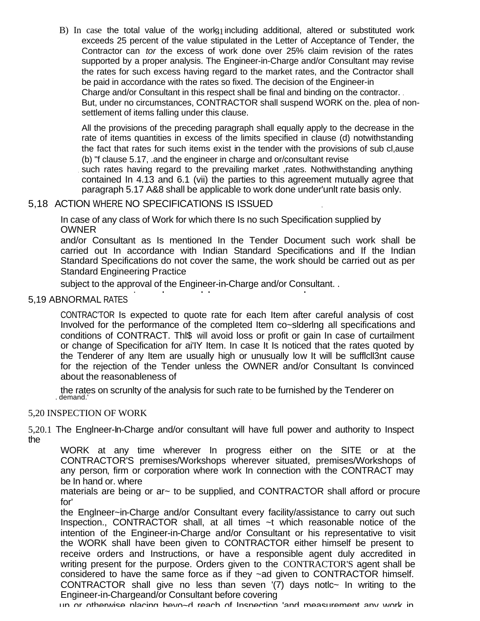B) In case the total value of the work, including additional, altered or substituted work exceeds 25 percent of the value stipulated in the Letter of Acceptance of Tender, the Contractor can *tor* the excess of work done over 25% claim revision of the rates supported by a proper analysis. The Engineer-in-Charge and/or Consultant may revise the rates for such excess having regard to the market rates, and the Contractor shall be paid in accordance with the rates so fixed. The decision of the Engineer-in Charge and/or Consultant in this respect shall be final and binding on the contractor. . But, under no circumstances, CONTRACTOR shall suspend WORK on the. plea of nonsettlement of items falling under this clause.

All the provisions of the preceding paragraph shall equally apply to the decrease in the rate of items quantities in excess of the limits specified in clause (d) notwithstanding the fact that rates for such items exist in the tender with the provisions of sub cl,ause (b) "f clause 5.17, .and the engineer in charge and or/consultant revise

, such rates having regard to the prevailing market ,rates. Nothwithstanding anything contained In 4.13 and 6.1 (vii) the parties to this agreement mutually agree that paragraph 5.17 A&8 shall be applicable to work done under'unlt rate basis only.

# 5,18 ACTION WHERE NO SPECIFICATIONS IS ISSUED ,

In case of any class of Work for which there Is no such Specification supplied by OWNER

and/or Consultant as Is mentioned In the Tender Document such work shall be carried out In accordance with Indian Standard Specifications and If the Indian Standard Specifications do not cover the same, the work should be carried out as per Standard Engineering Practice

subject to the approval of the Engineer-in-Charge and/or Consultant. .

## 5,19 ABNORMAL RATES

CONTRAC'TOR Is expected to quote rate for each Item after careful analysis of cost Involved for the performance of the completed Item co~slderlng all specifications and conditions of CONTRACT. Thl\$ will avoid loss or profit or gain In case of curtailment or change of Specification for ai'IY Item. In case It Is noticed that the rates quoted by the Tenderer of any Item are usually high or unusually low It will be sufflcll3nt cause for the rejection of the Tender unless the OWNER and/or Consultant Is convinced about the reasonableness of

the rates on scrunlty of the analysis for such rate to be furnished by the Tenderer on . demand.'

### 5,20 INSPECTION OF WORK

5,20.1 The Englneer-In-Charge and/or consultant will have full power and authority to Inspect the

WORK at any time wherever In progress either on the SITE or at the CONTRACTOR'S premises/Workshops wherever situated, premises/Workshops of any person, firm or corporation where work In connection with the CONTRACT may be In hand or. where

materials are being or ar~ to be supplied, and CONTRACTOR shall afford or procure for'

the Englneer~in-Charge and/or Consultant every facility/assistance to carry out such Inspection., CONTRACTOR shall, at all times ~t which reasonable notice of the intention of the Engineer-in-Charge and/or Consultant or his representative to visit the WORK shall have been given to CONTRACTOR either himself be present to receive orders and Instructions, or have a responsible agent duly accredited in writing present for the purpose. Orders given to the CONTRACTOR'S agent shall be considered to have the same force as if they ~ad given to CONTRACTOR himself. CONTRACTOR shall give no less than seven '(7) days notlc~ In writing to the Engineer-in-Chargeand/or Consultant before covering

, up or otherwise placing beyo~d reach of Inspection 'and measurement any work in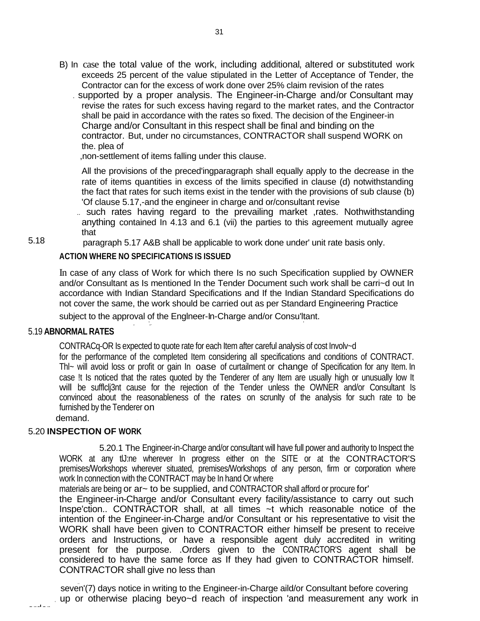- B) In case the total value of the work, including additional, altered or substituted work exceeds 25 percent of the value stipulated in the Letter of Acceptance of Tender, the Contractor can for the excess of work done over 25% claim revision of the rates
	- . supported by a proper analysis. The Engineer-in-Charge and/or Consultant may revise the rates for such excess having regard to the market rates, and the Contractor shall be paid in accordance with the rates so fixed. The decision of the Engineer-in Charge and/or Consultant in this respect shall be final and binding on the contractor. But, under no circumstances, CONTRACTOR shall suspend WORK on the. plea of

,non-settlement of items falling under this clause.

All the provisions of the preced'ingparagraph shall equally apply to the decrease in the rate of items quantities in excess of the limits specified in clause (d) notwithstanding the fact that rates for such items exist in the tender with the provisions of sub clause (b) 'Of clause 5.17,-and the engineer in charge and or/consultant revise

.. such rates having regard to the prevailing market ,rates. Nothwithstanding anything contained In 4.13 and 6.1 (vii) the parties to this agreement mutually agree that

5.18 paragraph 5.17 A&B shall be applicable to work done under' unit rate basis only.

### **ACTION WHERE NO SPECIFICATIONS IS ISSUED**

In case of any class of Work for which there Is no such Specification supplied by OWNER and/or Consultant as Is mentioned In the Tender Document such work shall be carri~d out In accordance with Indian Standard Specifications and If the Indian Standard Specifications do not cover the same, the work should be carried out as per Standard Engineering Practice

subject to the approval of the Englneer-In-Charge and/or Consu'ltant. , and the contract of the contract of the contract of the contract of the contract of the contract of the contract of the contract of the contract of the contract of the contract of the contract of the contract of the con

#### 5.19 **ABNORMAL RATES**

CONTRACq-OR Is expected to quote rate for each Item after careful analysis of cost Involv~d

for the performance of the completed Item considering all specifications and conditions of CONTRACT. Thl~ will avoid loss or profit or gain In oase of curtailment or change of Specification for any Item. In case !t Is noticed that the rates quoted by the Tenderer of any Item are usually high or unusually low It will be sufficij3nt cause for the rejection of the Tender unless the OWNER and/or Consultant Is convinced about the reasonableness of the rates on scrunlty of the analysis for such rate to be furnished by the Tenderer on

demand.

order

### 5.20 **INSPECTION OF WORK**

5.20.1 The Engineer-in-Charge and/or consultant will have full power and authority to Inspect the WORK at any tlJ:ne wherever In progress either on the SITE or at the CONTRACTOR'S premises/Workshops wherever situated, premises/Workshops of any person, firm or corporation where work In connection with the CONTRACT may be In hand Or where

materials are being or  $ar\sim$  to be supplied, and CONTRACTOR shall afford or procure for'

the Engineer-in-Charge and/or Consultant every facility/assistance to carry out such Inspe'ction.. CONTRACTOR shall, at all times ~t which reasonable notice of the intention of the Engineer-in-Charge and/or Consultant or his representative to visit the WORK shall have been given to CONTRACTOR either himself be present to receive orders and Instructions, or have a responsible agent duly accredited in writing present for the purpose. .Orders given to the CONTRACTOR'S agent shall be considered to have the same force as If they had given to CONTRACTOR himself. CONTRACTOR shall give no less than

seven'(7) days notice in writing to the Engineer-in-Charge aild/or Consultant before covering up or otherwise placing beyo~d reach of inspection 'and measurement any work in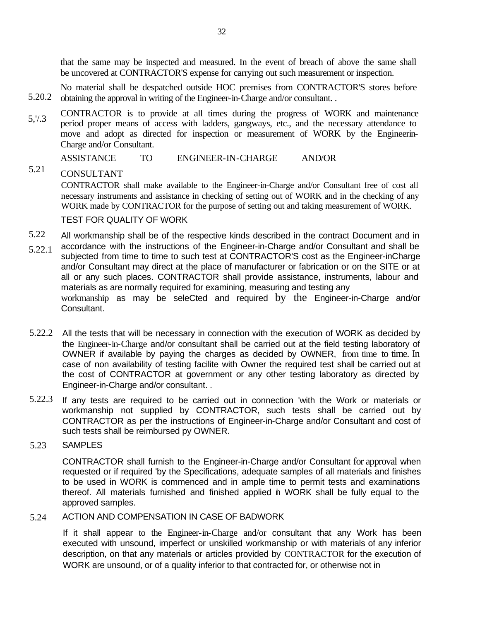that the same may be inspected and measured. In the event of breach of above the same shall be uncovered at CONTRACTOR'S expense for carrying out such measurement or inspection.

5.20.2 No material shall be despatched outside HOC premises from CONTRACTOR'S stores before obtaining the approval in writing of the Engineer-in-Charge and/or consultant. .

5,'/.3 CONTRACTOR is to provide at all times during the progress of WORK and maintenance period proper means of access with ladders, gangways, etc., and the necessary attendance to move and adopt as directed for inspection or measurement of WORK by the Engineerin-Charge and/or Consultant.

ASSISTANCE TO ENGINEER-IN-CHARGE AND/OR

5.21 CONSULTANT

> CONTRACTOR shall make available to the Engineer-in-Charge and/or Consultant free of cost all necessary instruments and assistance in checking of setting out of WORK and in the checking of any WORK made by CONTRACTOR for the purpose of setting out and taking measurement of WORK.

### TEST FOR QUALITY OF WORK

- 5.22 All workmanship shall be of the respective kinds described in the contract Document and in
- 5.22.1 accordance with the instructions of the Engineer-in-Charge and/or Consultant and shall be subjected from time to time to such test at CONTRACTOR'S cost as the Engineer-inCharge and/or Consultant may direct at the place of manufacturer or fabrication or on the SITE or at all or any such places. CONTRACTOR shall provide assistance, instruments, labour and materials as are normally required for examining, measuring and testing any workmanship as may be seleCted and required by the Engineer-in-Charge and/or Consultant.
- 5.22.2 All the tests that will be necessary in connection with the execution of WORK as decided by the Engineer-in-Charge and/or consultant shall be carried out at the field testing laboratory of OWNER if available by paying the charges as decided by OWNER, from time to time. In case of non availability of testing facilite with Owner the required test shall be carried out at the cost of CONTRACTOR at government or any other testing laboratory as directed by Engineer-in-Charge and/or consultant. .
- 5.22.3 If any tests are required to be carried out in connection 'with the Work or materials or workmanship not supplied by CONTRACTOR, such tests shall be carried out by CONTRACTOR as per the instructions of Engineer-in-Charge and/or Consultant and cost of such tests shall be reimbursed py OWNER.
- 5.23 **SAMPLES**

CONTRACTOR shall furnish to the Engineer-in-Charge and/or Consultant for approval when requested or if required 'by the Specifications, adequate samples of all materials and finishes to be used in WORK is commenced and in ample time to permit tests and examinations thereof. All materials furnished and finished applied in WORK shall be fully equal to the approved samples.

#### 5.24 ACTION AND COMPENSATION IN CASE OF BADWORK

If it shall appear to the Engineer-in-Charge and/or consultant that any Work has been executed with unsound, imperfect or unskilled workmanship or with materials of any inferior description, on that any materials or articles provided by CONTRACTOR for the execution of WORK are unsound, or of a quality inferior to that contracted for, or otherwise not in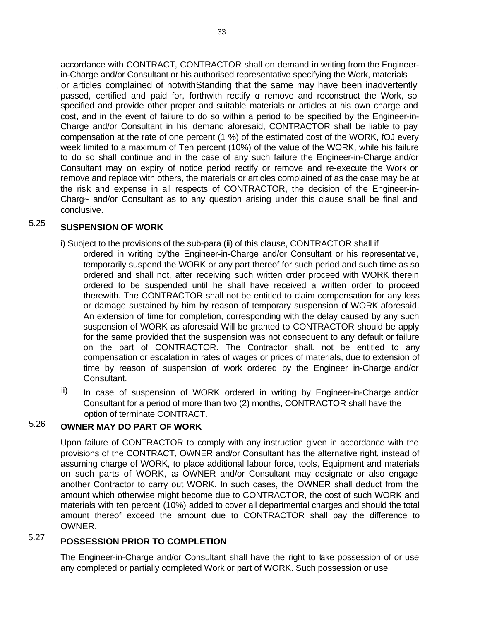accordance with CONTRACT, CONTRACTOR shall on demand in writing from the Engineerin-Charge and/or Consultant or his authorised representative specifying the Work, materials , or articles complained of notwithStanding that the same may have been inadvertently passed, certified and paid for, forthwith rectify  $\sigma$  remove and reconstruct the Work, so specified and provide other proper and suitable materials or articles at his own charge and cost, and in the event of failure to do so within a period to be specified by the Engineer-in-Charge and/or Consultant in his demand aforesaid, CONTRACTOR shall be liable to pay compensation at the rate of one percent (1 %) of the estimated cost of the WORK, fOJ every week limited to a maximum of Ten percent (10%) of the value of the WORK, while his failure to do so shall continue and in the case of any such failure the Engineer-in-Charge and/or Consultant may on expiry of notice period rectify or remove and re-execute the Work or remove and replace with others, the materials or articles complained of as the case may be at the risk and expense in all respects of CONTRACTOR, the decision of the Engineer-in-Charg~ and/or Consultant as to any question arising under this clause shall be final and conclusive.

# 5.25 **SUSPENSION OF WORK**

i) Subject to the provisions of the sub-para (ii) of this clause, CONTRACTOR shall if

- ordered in writing by'the Engineer-in-Charge and/or Consultant or his representative, temporarily suspend the WORK or any part thereof for such period and such time as so ordered and shall not, after receiving such written order proceed with WORK therein ordered to be suspended until he shall have received a written order to proceed therewith. The CONTRACTOR shall not be entitled to claim compensation for any loss or damage sustained by him by reason of temporary suspension of WORK aforesaid. An extension of time for completion, corresponding with the delay caused by any such suspension of WORK as aforesaid Will be granted to CONTRACTOR should be apply for the same provided that the suspension was not consequent to any default or failure on the part of CONTRACTOR. The Contractor shall. not be entitled to any compensation or escalation in rates of wages or prices of materials, due to extension of time by reason of suspension of work ordered by the Engineer in-Charge and/or Consultant.
- In case of suspension of WORK ordered in writing by Engineer-in-Charge and/or Consultant for a period of more than two (2) months, CONTRACTOR shall have the option of terminate CONTRACT. ii)

#### **OWNER MAY DO PART OF WORK** 5.26

Upon failure of CONTRACTOR to comply with any instruction given in accordance with the provisions of the CONTRACT, OWNER and/or Consultant has the alternative right, instead of assuming charge of WORK, to place additional labour force, tools, Equipment and materials on such parts of WORK, as OWNER and/or Consultant may designate or also engage another Contractor to carry out WORK. In such cases, the OWNER shall deduct from the amount which otherwise might become due to CONTRACTOR, the cost of such WORK and materials with ten percent (10%) added to cover all departmental charges and should the total amount thereof exceed the amount due to CONTRACTOR shall pay the difference to OWNER.

# 5.27 **POSSESSION PRIOR TO COMPLETION**

The Engineer-in-Charge and/or Consultant shall have the right to take possession of or use any completed or partially completed Work or part of WORK. Such possession or use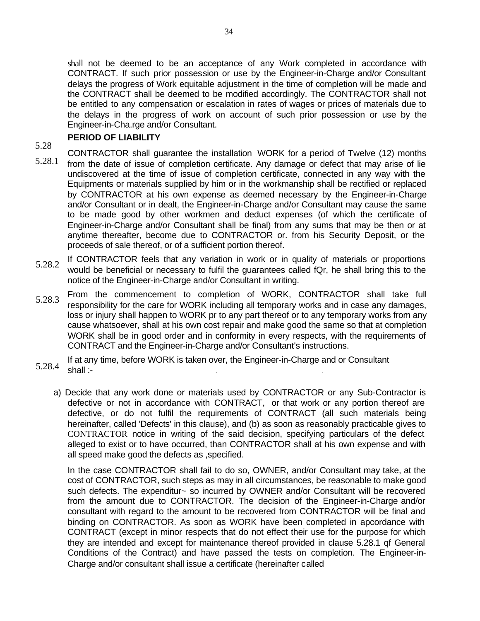shall not be deemed to be an acceptance of any Work completed in accordance with CONTRACT. If such prior possession or use by the Engineer-in-Charge and/or Consultant delays the progress of Work equitable adjustment in the time of completion will be made and the CONTRACT shall be deemed to be modified accordingly. The CONTRACTOR shall not be entitled to any compensation or escalation in rates of wages or prices of materials due to the delays in the progress of work on account of such prior possession or use by the Engineer-in-Cha.rge and/or Consultant.

## **PERIOD OF LIABILITY**

- 5.28 5.28.1 CONTRACTOR shall guarantee the installation WORK for a period of Twelve (12) months from the date of issue of completion certificate. Any damage or defect that may arise of lie undiscovered at the time of issue of completion certificate, connected in any way with the Equipments or materials supplied by him or in the workmanship shall be rectified or replaced by CONTRACTOR at his own expense as deemed necessary by the Engineer-in-Charge and/or Consultant or in dealt, the Engineer-in-Charge and/or Consultant may cause the same to be made good by other workmen and deduct expenses (of which the certificate of Engineer-in-Charge and/or Consultant shall be final) from any sums that may be then or at anytime thereafter, become due to CONTRACTOR or. from his Security Deposit, or the proceeds of sale thereof, or of a sufficient portion thereof.
- 5.28.2 If CONTRACTOR feels that any variation in work or in quality of materials or proportions would be beneficial or necessary to fulfil the guarantees called fQr, he shall bring this to the notice of the Engineer-in-Charge and/or Consultant in writing.
- 5.28.3 From the commencement to completion of WORK, CONTRACTOR shall take full responsibility for the care for WORK including all temporary works and in case any damages, loss or injury shall happen to WORK pr to any part thereof or to any temporary works from any cause whatsoever, shall at his own cost repair and make good the same so that at completion WORK shall be in good order and in conformity in every respects, with the requirements of CONTRACT and the Engineer-in-Charge and/or Consultant's instructions.
- 5.28.4 If at any time, before WORK is taken over, the Engineer-in-Charge and or Consultant shall :- . .
	- a) Decide that any work done or materials used by CONTRACTOR or any Sub-Contractor is defective or not in accordance with CONTRACT, or that work or any portion thereof are defective, or do not fulfil the requirements of CONTRACT (all such materials being hereinafter, called 'Defects' in this clause), and (b) as soon as reasonably practicable gives to CONTRACTOR notice in writing of the said decision, specifying particulars of the defect alleged to exist or to have occurred, than CONTRACTOR shall at his own expense and with all speed make good the defects as ,specified.

In the case CONTRACTOR shall fail to do so, OWNER, and/or Consultant may take, at the cost of CONTRACTOR, such steps as may in all circumstances, be reasonable to make good such defects. The expenditur~ so incurred by OWNER and/or Consultant will be recovered from the amount due to CONTRACTOR. The decision of the Engineer-in-Charge and/or consultant with regard to the amount to be recovered from CONTRACTOR will be final and binding on CONTRACTOR. As soon as WORK have been completed in apcordance with CONTRACT (except in minor respects that do not effect their use for the purpose for which they are intended and except for maintenance thereof provided in clause 5.28.1 qf General Conditions of the Contract) and have passed the tests on completion. The Engineer-in-Charge and/or consultant shall issue a certificate (hereinafter called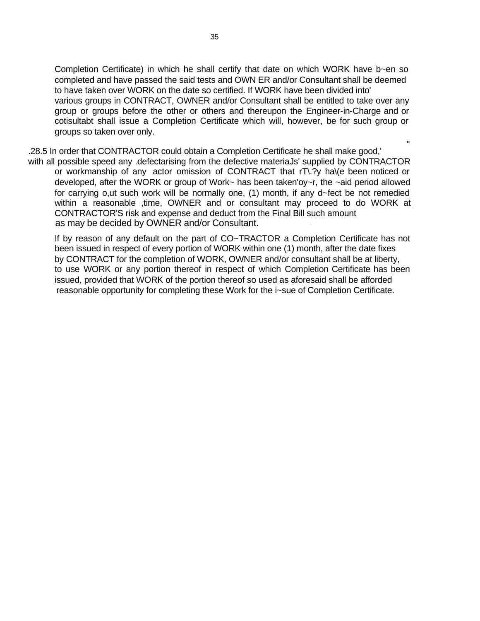Completion Certificate) in which he shall certify that date on which WORK have b~en so completed and have passed the said tests and OWN ER and/or Consultant shall be deemed to have taken over WORK on the date so certified. If WORK have been divided into' various groups in CONTRACT, OWNER and/or Consultant shall be entitled to take over any group or groups before the other or others and thereupon the Engineer-in-Charge and or cotisultabt shall issue a Completion Certificate which will, however, be for such group or groups so taken over only.

"

.28.5 In order that CONTRACTOR could obtain a Completion Certificate he shall make good,' with all possible speed any .defectarising from the defective materiaJs' supplied by CONTRACTOR or workmanship of any actor omission of CONTRACT that rT\.?y ha\(e been noticed or developed, after the WORK or group of Work~ has been taken'oy~r, the ~aid period allowed for carrying o,ut such work will be normally one, (1) month, if any d~fect be not remedied within a reasonable ,time, OWNER and or consultant may proceed to do WORK at CONTRACTOR'S risk and expense and deduct from the Final Bill such amount as may be decided by OWNER and/or Consultant. '

If by reason of any default on the part of CO~TRACTOR a Completion Certificate has not been issued in respect of every portion of WORK within one (1) month, after the date fixes by CONTRACT for the completion of WORK, OWNER and/or consultant shall be at liberty, to use WORK or any portion thereof in respect of which Completion Certificate has been issued, provided that WORK of the portion thereof so used as aforesaid shall be afforded reasonable opportunity for completing these Work for the i~sue of Completion Certificate.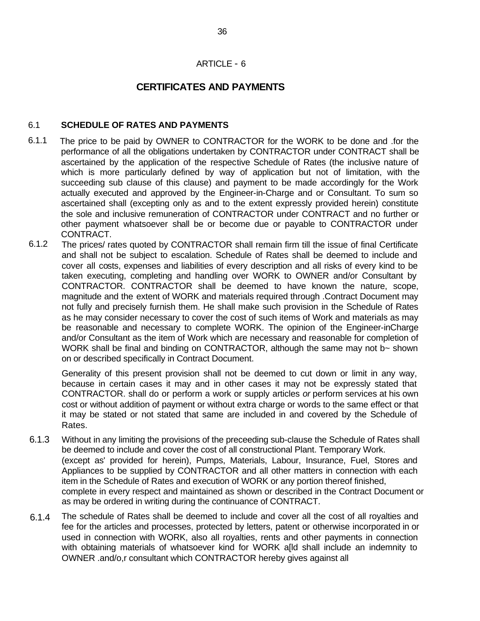### ARTICLE - 6

# **CERTIFICATES AND PAYMENTS**

#### 6.1 **SCHEDULE OF RATES AND PAYMENTS**

- 6.1.1 The price to be paid by OWNER to CONTRACTOR for the WORK to be done and .for the performance of all the obligations undertaken by CONTRACTOR under CONTRACT shall be ascertained by the application of the respective Schedule of Rates (the inclusive nature of which is more particularly defined by way of application but not of limitation, with the succeeding sub clause of this clause) and payment to be made accordingly for the Work actually executed and approved by the Engineer-in-Charge and or Consultant. To sum so ascertained shall (excepting only as and to the extent expressly provided herein) constitute the sole and inclusive remuneration of CONTRACTOR under CONTRACT and no further or other payment whatsoever shall be or become due or payable to CONTRACTOR under CONTRACT.
- 6.1.2 The prices/ rates quoted by CONTRACTOR shall remain firm till the issue of final Certificate and shall not be subject to escalation. Schedule of Rates shall be deemed to include and cover all costs, expenses and liabilities of every description and all risks of every kind to be taken executing, completing and handling over WORK to OWNER and/or Consultant by CONTRACTOR. CONTRACTOR shall be deemed to have known the nature, scope, magnitude and the extent of WORK and materials required through .Contract Document may not fully and precisely furnish them. He shall make such provision in the Schedule of Rates as he may consider necessary to cover the cost of such items of Work and materials as may be reasonable and necessary to complete WORK. The opinion of the Engineer-inCharge and/or Consultant as the item of Work which are necessary and reasonable for completion of WORK shall be final and binding on CONTRACTOR, although the same may not b~ shown on or described specifically in Contract Document.

Generality of this present provision shall not be deemed to cut down or limit in any way, because in certain cases it may and in other cases it may not be expressly stated that CONTRACTOR. shall do or perform a work or supply articles *or* perform services at his own cost or without addition of payment or without extra charge or words to the same effect or that it may be stated or not stated that same are included in and covered by the Schedule of Rates.

- 6.1.3 Without in any limiting the provisions of the preceeding sub-clause the Schedule of Rates shall be deemed to include and cover the cost of all constructional Plant. Temporary Work. (except as' provided for herein), Pumps, Materials, Labour, Insurance, Fuel, Stores and Appliances to be supplied by CONTRACTOR and all other matters in connection with each item in the Schedule of Rates and execution of WORK or any portion thereof finished, complete in every respect and maintained as shown or described in the Contract Document or as may be ordered in writing during the continuance of CONTRACT.
- 6.1.4 The schedule of Rates shall be deemed to include and cover all the cost of all royalties and fee for the articles and processes, protected by letters, patent or otherwise incorporated in or used in connection with WORK, also all royalties, rents and other payments in connection with obtaining materials of whatsoever kind for WORK a[ld shall include an indemnity to OWNER .and/o,r consultant which CONTRACTOR hereby gives against all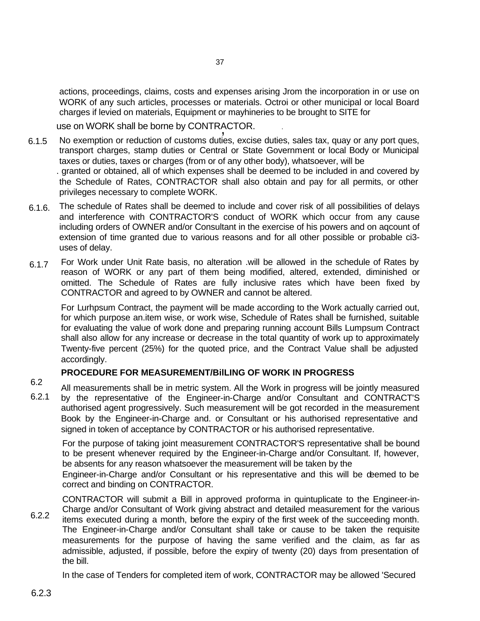37

actions, proceedings, claims, costs and expenses arising Jrom the incorporation in or use on WORK of any such articles, processes or materials. Octroi or other municipal or local Board charges if levied on materials, Equipment or mayhineries to be brought to SITE for

use on WORK shall be borne by CONTRACTOR. . ,

6.1.5 No exemption or reduction of customs duties, excise duties, sales tax, quay or any port ques, transport charges, stamp duties or Central or State Government or local Body or Municipal taxes or duties, taxes or charges (from or of any other body), whatsoever, will be

. granted or obtained, all of which expenses shall be deemed to be included in and covered by the Schedule of Rates, CONTRACTOR shall also obtain and pay for all permits, or other privileges necessary to complete WORK.

- 6.1.6. The schedule of Rates shall be deemed to include and cover risk of all possibilities of delays and interference with CONTRACTOR'S conduct of WORK which occur from any cause including orders of OWNER and/or Consultant in the exercise of his powers and on aqcount of extension of time granted due to various reasons and for all other possible or probable ci3 uses of delay.
- 6.1.7 For Work under Unit Rate basis, no alteration .will be allowed in the schedule of Rates by reason of WORK or any part of them being modified, altered, extended, diminished or omitted. The Schedule of Rates are fully inclusive rates which have been fixed by CONTRACTOR and agreed to by OWNER and cannot be altered.

For Lurhpsum Contract, the payment will be made according to the Work actually carried out, for which purpose an.item wise, or work wise, Schedule of Rates shall be furnished, suitable for evaluating the value of work done and preparing running account Bills Lumpsum Contract shall also allow for any increase or decrease in the total quantity of work up to approximately Twenty-five percent (25%) for the quoted price, and the Contract Value shall be adjusted accordingly.

### **PROCEDURE FOR MEASUREMENT/BilLING OF WORK IN PROGRESS**

6.2 6.2.1 All measurements shall be in metric system. All the Work in progress will be jointly measured by the representative of the Engineer-in-Charge and/or Consultant and CONTRACT'S authorised agent progressively. Such measurement will be got recorded in the measurement Book by the Engineer-in-Charge and. or Consultant or his authorised representative and signed in token of acceptance by CONTRACTOR or his authorised representative.

For the purpose of taking joint measurement CONTRACTOR'S representative shall be bound to be present whenever required by the Engineer-in-Charge and/or Consultant. If, however, be absents for any reason whatsoever the measurement will be taken by the

Engineer-in-Charge and/or Consultant or his representative and this will be deemed to be correct and binding on CONTRACTOR.

CONTRACTOR will submit a Bill in approved proforma in quintuplicate to the Engineer-in-Charge and/or Consultant of Work giving abstract and detailed measurement for the various

6.2.2 items executed during a month, before the expiry of the first week of the succeeding month. The Engineer-in-Charge and/or Consultant shall take or cause to be taken the requisite measurements for the purpose of having the same verified and the claim, as far as admissible, adjusted, if possible, before the expiry of twenty (20) days from presentation of the bill.

In the case of Tenders for completed item of work, CONTRACTOR may be allowed 'Secured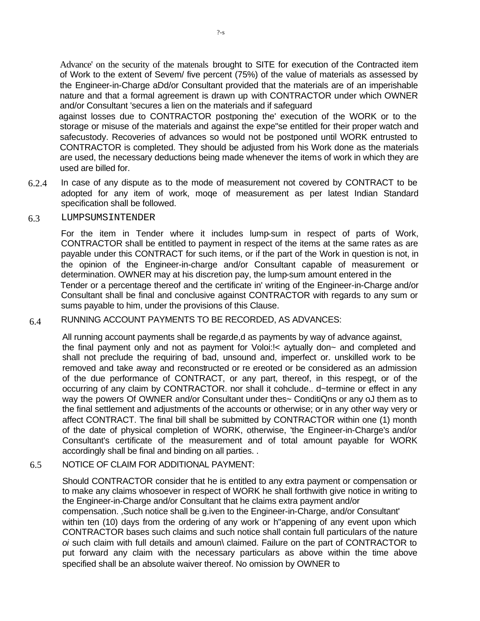Advance' on the security of the matenals brought to SITE for execution of the Contracted item of Work to the extent of Sevem/ five percent (75%) of the value of materials as assessed by the Engineer-in-Charge aDd/or Consultant provided that the materials are of an imperishable nature and that a formal agreement is drawn up with CONTRACTOR under which OWNER and/or Consultant 'secures a lien on the materials and if safeguard

against losses due to CONTRACTOR postponing the' execution of the WORK or to the storage or misuse of the materials and against the expe"se entitled for their proper watch and safecustody. Recoveries of advances so would not be postponed until WORK entrusted to CONTRACTOR is completed. They should be adjusted from his Work done as the materials are used, the necessary deductions being made whenever the items of work in which they are used are billed for.

6.2.4 In case of any dispute as to the mode of measurement not covered by CONTRACT to be adopted for any item of work, moqe of measurement as per latest Indian Standard specification shall be followed.

#### 6.3 LUMPSUMSINTENDER

For the item in Tender where it includes lump-sum in respect of parts of Work, CONTRACTOR shall be entitled to payment in respect of the items at the same rates as are payable under this CONTRACT for such items, or if the part of the Work in question is not, in the opinion of the Engineer-in-charge and/or Consultant capable of measurement or determination. OWNER may at his discretion pay, the lump-sum amount entered in the Tender or a percentage thereof and the certificate in' writing of the Engineer-in-Charge and/or Consultant shall be final and conclusive against CONTRACTOR with regards to any sum or sums payable to him, under the provisions of this Clause.

#### 6.4 RUNNING ACCOUNT PAYMENTS TO BE RECORDED, AS ADVANCES:

All running account payments shall be regarde,d as payments by way of advance against, the final payment only and not as payment for Voloi:!< aytually don~ and completed and shall not preclude the requiring of bad, unsound and, imperfect or. unskilled work to be removed and take away and reconstructed or re ereoted or be considered as an admission of the due performance of CONTRACT, or any part, thereof, in this respegt, or of the occurring of any claim by CONTRACTOR. nor shall it cohclude.. d~termine or effect in any way the powers Of OWNER and/or Consultant under thes~ ConditiQns or any oJ them as to the final settlement and adjustments of the accounts or otherwise; or in any other way very or affect CONTRACT. The final bill shall be submitted by CONTRACTOR within one (1) month of the date of physical completion of WORK, otherwise, 'the Engineer-in-Charge's and/or Consultant's certificate of the measurement and of total amount payable for WORK accordingly shall be final and binding on all parties. .

#### 6.5 NOTICE OF CLAIM FOR ADDITIONAL PAYMENT:

Should CONTRACTOR consider that he is entitled to any extra payment or compensation or to make any claims whosoever in respect of WORK he shall forthwith give notice in writing to the Engineer-in-Charge and/or Consultant that he claims extra payment and/or compensation. ,Such notice shall be g.iven to the Engineer-in-Charge, and/or Consultant' within ten (10) days from the ordering of any work or h"appening of any event upon which CONTRACTOR bases such claims and such notice shall contain full particulars of the nature *oi* such claim with full details and amoun\ claimed. Failure on the part of CONTRACTOR to put forward any claim with the necessary particulars as above within the time above specified shall be an absolute waiver thereof. No omission by OWNER to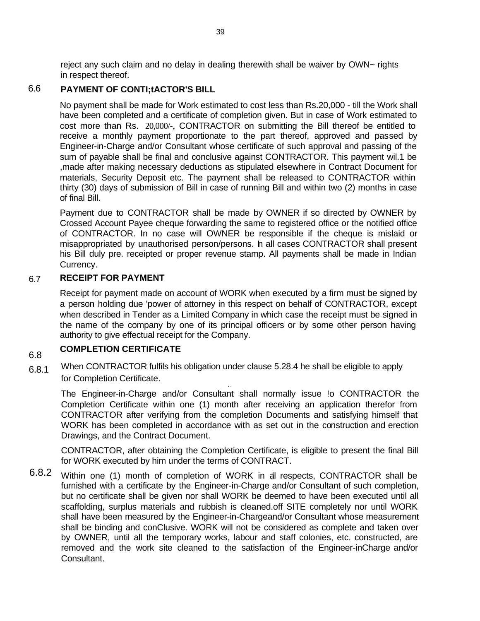reject any such claim and no delay in dealing therewith shall be waiver by OWN~ rights in respect thereof.

#### 6.6 **PAYMENT OF CONTI;tACTOR'S BILL**

No payment shall be made for Work estimated to cost less than Rs.20,000 - till the Work shall have been completed and a certificate of completion given. But in case of Work estimated to cost more than Rs. 20,000/-, CONTRACTOR on submitting the Bill thereof be entitled to receive a monthly payment proportionate to the part thereof, approved and passed by Engineer-in-Charge and/or Consultant whose certificate of such approval and passing of the sum of payable shall be final and conclusive against CONTRACTOR. This payment wil.1 be ,made after making necessary deductions as stipulated elsewhere in Contract Document for materials, Security Deposit etc. The payment shall be released to CONTRACTOR within thirty (30) days of submission of Bill in case of running Bill and within two (2) months in case of final Bill.

Payment due to CONTRACTOR shall be made by OWNER if so directed by OWNER by Crossed Account Payee cheque forwarding the same to registered office or the notified office of CONTRACTOR. In no case will OWNER be responsible if the cheque is mislaid or misappropriated by unauthorised person/persons. In all cases CONTRACTOR shall present his Bill duly pre. receipted or proper revenue stamp. All payments shall be made in Indian Currency.

#### 6.7 **RECEIPT FOR PAYMENT**

Receipt for payment made on account of WORK when executed by a firm must be signed by a person holding due 'power of attorney in this respect on behalf of CONTRACTOR, except when described in Tender as a Limited Company in which case the receipt must be signed in the name of the company by one of its principal officers or by some other person having authority to give effectual receipt for the Company.

#### 6.8 **COMPLETION CERTIFICATE**

6.8.1 When CONTRACTOR fulfils his obligation under clause 5.28.4 he shall be eligible to apply for Completion Certificate. . .

The Engineer-in-Charge and/or Consultant shall normally issue !o CONTRACTOR the Completion Certificate within one (1) month after receiving an application therefor from CONTRACTOR after verifying from the completion Documents and satisfying himself that WORK has been completed in accordance with as set out in the construction and erection Drawings, and the Contract Document.

CONTRACTOR, after obtaining the Completion Certificate, is eligible to present the final Bill for WORK executed by him under the terms of CONTRACT.

6.8.2 Within one (1) month of completion of WORK in all respects, CONTRACTOR shall be furnished with a certificate by the Engineer-in-Charge and/or Consultant of such completion, but no certificate shall be given nor shall WORK be deemed to have been executed until all scaffolding, surplus materials and rubbish is cleaned.off SITE completely nor until WORK shall have been measured by the Engineer-in-Chargeand/or Consultant whose measurement shall be binding and conClusive. WORK will not be considered as complete and taken over by OWNER, until all the temporary works, labour and staff colonies, etc. constructed, are removed and the work site cleaned to the satisfaction of the Engineer-inCharge and/or Consultant.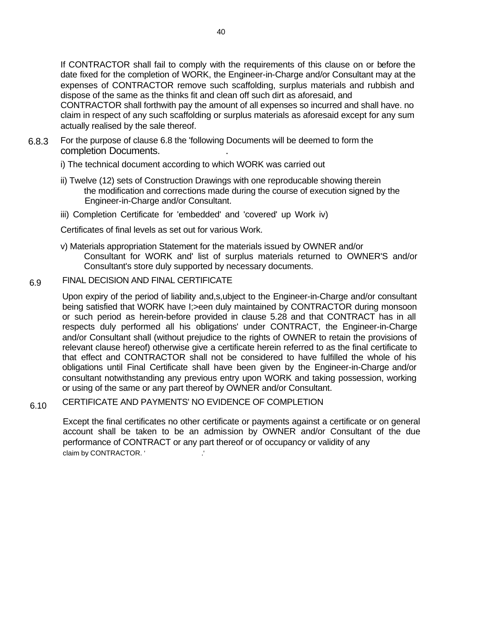If CONTRACTOR shall fail to comply with the requirements of this clause on or before the date fixed for the completion of WORK, the Engineer-in-Charge and/or Consultant may at the expenses of CONTRACTOR remove such scaffolding, surplus materials and rubbish and dispose of the same as the thinks fit and clean off such dirt as aforesaid, and CONTRACTOR shall forthwith pay the amount of all expenses so incurred and shall have. no claim in respect of any such scaffolding or surplus materials as aforesaid except for any sum actually realised by the sale thereof.

6.8.3 For the purpose of clause 6.8 the 'following Documents will be deemed to form the completion Documents. .

i) The technical document according to which WORK was carried out

- ii) Twelve (12) sets of Construction Drawings with one reproducable showing therein the modification and corrections made during the course of execution signed by the Engineer-in-Charge and/or Consultant.
- iii) Completion Certificate for 'embedded' and 'covered' up Work iv)

Certificates of final levels as set out for various Work.

- v) Materials appropriation Statement for the materials issued by OWNER and/or Consultant for WORK and' list of surplus materials returned to OWNER'S and/or Consultant's store duly supported by necessary documents.
- 6.9 FINAL DECISION AND FINAL CERTIFICATE

Upon expiry of the period of liability and,s,ubject to the Engineer-in-Charge and/or consultant being satisfied that WORK have I; > een duly maintained by CONTRACTOR during monsoon or such period as herein-before provided in clause 5.28 and that CONTRACT has in all respects duly performed all his obligations' under CONTRACT, the Engineer-in-Charge and/or Consultant shall (without prejudice to the rights of OWNER to retain the provisions of relevant clause hereof) otherwise give a certificate herein referred to as the final certificate to that effect and CONTRACTOR shall not be considered to have fulfilled the whole of his obligations until Final Certificate shall have been given by the Engineer-in-Charge and/or consultant notwithstanding any previous entry upon WORK and taking possession, working or using of the same or any part thereof by OWNER and/or Consultant.

6.10 CERTIFICATE AND PAYMENTS' NO EVIDENCE OF COMPLETION

> Except the final certificates no other certificate or payments against a certificate or on general account shall be taken to be an admission by OWNER and/or Consultant of the due performance of CONTRACT or any part thereof or of occupancy or validity of any claim by CONTRACTOR. '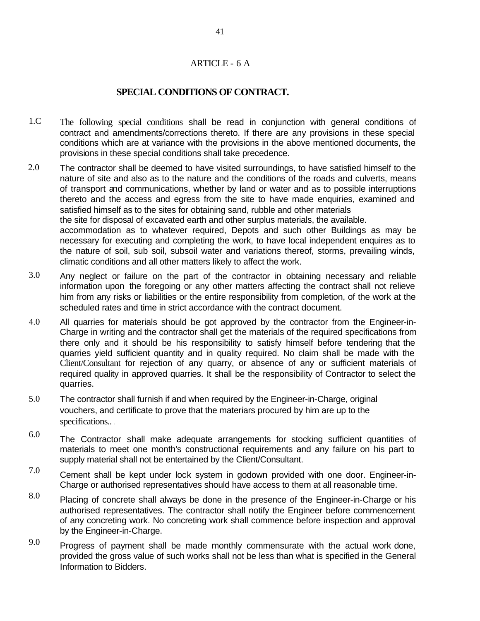### ARTICLE - 6 A

### **SPECIAL CONDITIONS OF CONTRACT.**

- 1.C The following special conditions shall be read in conjunction with general conditions of contract and amendments/corrections thereto. If there are any provisions in these special conditions which are at variance with the provisions in the above mentioned documents, the provisions in these special conditions shall take precedence.
- 2.0 The contractor shall be deemed to have visited surroundings, to have satisfied himself to the nature of site and also as to the nature and the conditions of the roads and culverts, means of transport and communications, whether by land or water and as to possible interruptions thereto and the access and egress from the site to have made enquiries, examined and satisfied himself as to the sites for obtaining sand, rubble and other materials the site for disposal of excavated earth and other surplus materials, the available. accommodation as to whatever required, Depots and such other Buildings as may be necessary for executing and completing the work, to have local independent enquires as to the nature of soil, sub soil, subsoil water and variations thereof, storms, prevailing winds, climatic conditions and all other matters likely to affect the work.
- 3.0 Any neglect or failure on the part of the contractor in obtaining necessary and reliable information upon the foregoing or any other matters affecting the contract shall not relieve him from any risks or liabilities or the entire responsibility from completion, of the work at the scheduled rates and time in strict accordance with the contract document.
- 4.0 All quarries for materials should be got approved by the contractor from the Engineer-in-Charge in writing and the contractor shall get the materials of the required specifications from there only and it should be his responsibility to satisfy himself before tendering that the quarries yield sufficient quantity and in quality required. No claim shall be made with the Client/Consultant for rejection of any quarry, or absence of any or sufficient materials of required quality in approved quarries. It shall be the responsibility of Contractor to select the quarries.
- 5.0 The contractor shall furnish if and when required by the Engineer-in-Charge, original vouchers, and certificate to prove that the materiars procured by him are up to the specifications.. .
- 6.0 The Contractor shall make adequate arrangements for stocking sufficient quantities of materials to meet one month's constructional requirements and any failure on his part to supply material shall not be entertained by the Client/Consultant.
- 7.0 Cement shall be kept under lock system in godown provided with one door. Engineer-in-Charge or authorised representatives should have access to them at all reasonable time.
- 8.0 Placing of concrete shall always be done in the presence of the Engineer-in-Charge or his authorised representatives. The contractor shall notify the Engineer before commencement of any concreting work. No concreting work shall commence before inspection and approval by the Engineer-in-Charge.
- 9.0 Progress of payment shall be made monthly commensurate with the actual work done, provided the gross value of such works shall not be less than what is specified in the General Information to Bidders.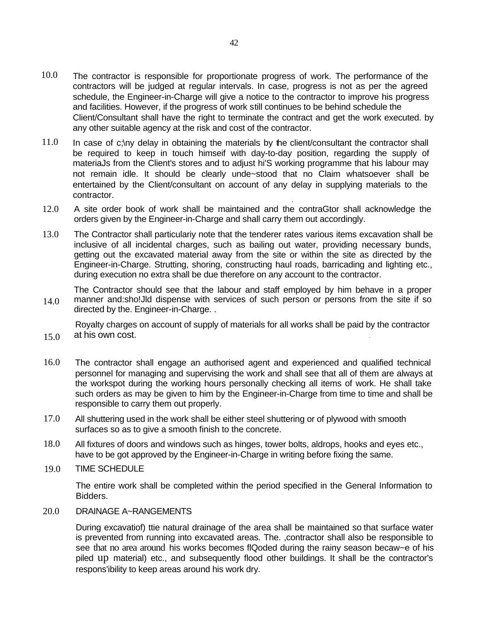- 10.0 The contractor is responsible for proportionate progress of work. The performance of the contractors will be judged at regular intervals. In case, progress is not as per the agreed schedule, the Engineer-in-Charge will give a notice to the contractor to improve his progress and facilities. However, if the progress of work still continues to be behind schedule the Client/Consultant shall have the right to terminate the contract and get the work executed. by any other suitable agency at the risk and cost of the contractor.
- 11.0 In case of c;\ny delay in obtaining the materials by the client/consultant the contractor shall be required to keep in touch himseif with day-to-day position, regarding the supply of materiaJs from the Client's stores and to adjust hi'S working programme that his labour may not remain idle. It should be clearly unde~stood that no Claim whatsoever shall be entertained by the Client/consultant on account of any delay in supplying materials to the contractor.
- 12.0 A site order book of work shall be maintained and the contraGtor shall acknowledge the orders given by the Engineer-in-Charge and shall carry them out accordingly.
- 13.0 The Contractor shall particulariy note that the tenderer rates various items excavation shall be inclusive of all incidental charges, such as bailing out water, providing necessary bunds, getting out the excavated material away from the site or within the site as directed by the Engineer-in-Charge. Strutting, shoring, constructing haul roads, barricading and lighting etc., during execution no extra shall be due therefore on any account to the contractor.

14.0 The Contractor should see that the labour and staff employed by him behave in a proper manner and:sho!Jld dispense with services of such person or persons from the site if so directed by the. Engineer-in-Charge. .

15.0 Royalty charges on account of supply of materials for all works shall be paid by the contractor at his own cost.

- 16.0 The contractor shall engage an authorised agent and experienced and qualified technical personnel for managing and supervising the work and shall see that all of them are always at the workspot during the working hours personally checking all items of work. He shall take such orders as may be given to him by the Engineer-in-Charge from time to time and shall be responsible to carry them out properly.
- 17.0 All shuttering used in the work shall be either steel shuttering or of plywood with smooth surfaces so as to give a smooth finish to the concrete.
- 18.0 All fixtures of doors and windows such as hinges, tower bolts, aldrops, hooks and eyes etc., have to be got approved by the Engineer-in-Charge in writing before fixing the same.
- 19.0 TIME SCHEDULE

The entire work shall be completed within the period specified in the General Information to Bidders.

20.0 DRAINAGE A~RANGEMENTS

> During excavatiof) ttie natural drainage of the area shall be maintained so that surface water is prevented from running into excavated areas. The. ,contractor shall also be responsible to see that no area around his works becomes flQoded during the rainy season becaw~e of his piled up material) etc., and subsequently flood other buildings. It shall be the contractor's respons'ibility to keep areas around his work dry.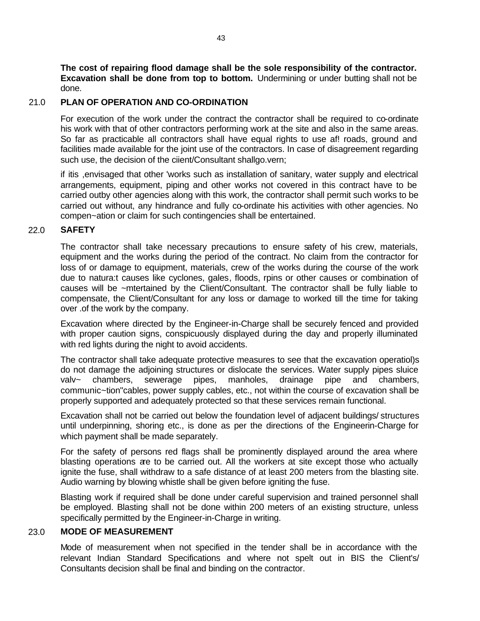**The cost of repairing flood damage shall be the sole responsibility of the contractor. Excavation shall be done from top to bottom.** Undermining or under butting shall not be done.

### 21.0 **PLAN OF OPERATION AND CO-ORDINATION**

For execution of the work under the contract the contractor shall be required to co-ordinate his work with that of other contractors performing work at the site and also in the same areas. So far as practicable all contractors shall have equal rights to use af! roads, ground and facilities made available for the joint use of the contractors. In case of disagreement regarding such use, the decision of the ciient/Consultant shallgo.vern;

if itis ,envisaged that other 'works such as installation of sanitary, water supply and electrical arrangements, equipment, piping and other works not covered in this contract have to be carried outby other agencies along with this work, the contractor shall permit such works to be carried out without, any hindrance and fully co-ordinate his activities with other agencies. No compen~ation or claim for such contingencies shall be entertained.

#### 22.0 **SAFETY**

The contractor shall take necessary precautions to ensure safety of his crew, materials, equipment and the works during the period of the contract. No claim from the contractor for loss of or damage to equipment, materials, crew of the works during the course of the work due to natura:t causes like cyclones, gales, floods, rpins or other causes or combination of causes will be ~mtertained by the Client/Consultant. The contractor shall be fully liable to compensate, the Client/Consultant for any loss or damage to worked till the time for taking over .of the work by the company.

Excavation where directed by the Engineer-in-Charge shall be securely fenced and provided with proper caution signs, conspicuously displayed during the day and properly illuminated with red lights during the night to avoid accidents.

The contractor shall take adequate protective measures to see that the excavation operatiol)s do not damage the adjoining structures or dislocate the services. Water supply pipes sluice valv~ chambers, sewerage pipes, manholes, drainage pipe and chambers, communic~tion"cables, power supply cables, etc., not within the course of excavation shall be properly supported and adequately protected so that these services remain functional.

Excavation shall not be carried out below the foundation level of adjacent buildings/ structures until underpinning, shoring etc., is done as per the directions of the Engineerin-Charge for which payment shall be made separately.

For the safety of persons red flags shall be prominently displayed around the area where blasting operations are to be carried out. All the workers at site except those who actually ignite the fuse, shall withdraw to a safe distance of at least 200 meters from the blasting site. Audio warning by blowing whistle shall be given before igniting the fuse.

Blasting work if required shall be done under careful supervision and trained personnel shall be employed. Blasting shall not be done within 200 meters of an existing structure, unless specifically permitted by the Engineer-in-Charge in writing.

#### 23.0 **MODE OF MEASUREMENT**

Mode of measurement when not specified in the tender shall be in accordance with the relevant Indian Standard Specifications and where not spelt out in BIS the Client's/ Consultants decision shall be final and binding on the contractor.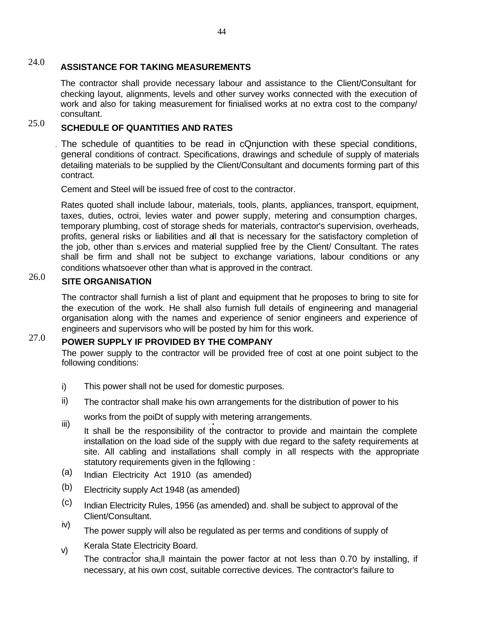#### 24.0 **ASSISTANCE FOR TAKING MEASUREMENTS**

The contractor shall provide necessary labour and assistance to the Client/Consultant for checking layout, alignments, levels and other survey works connected with the execution of work and also for taking measurement for finialised works at no extra cost to the company/ consultant.

#### 25.0 **SCHEDULE OF QUANTITIES AND RATES**

. The schedule of quantities to be read in cQnjunction with these special conditions, general conditions of contract. Specifications, drawings and schedule of supply of materials detailing materials to be supplied by the Client/Consultant and documents forming part of this contract.

Cement and Steel will be issued free of cost to the contractor.

Rates quoted shall include labour, materials, tools, plants, appliances, transport, equipment, taxes, duties, octroi, levies water and power supply, metering and consumption charges, temporary plumbing, cost of storage sheds for materials, contractor's supervision, overheads, profits, general risks or liabilities and all that is necessary for the satisfactory completion of the job, other than s.ervices and material supplied free by the Client/ Consultant. The rates shall be firm and shall not be subject to exchange variations, labour conditions or any conditions whatsoever other than what is approved in the contract.

#### 26.0 **SITE ORGANISATION**

The contractor shall furnish a list of plant and equipment that he proposes to bring to site for the execution of the work. He shall also furnish full details of engineering and managerial organisation along with the names and experience of senior engineers and experience of engineers and supervisors who will be posted by him for this work.

#### 27.0 **POWER SUPPLY IF PROVIDED BY THE COMPANY**

The power supply to the contractor will be provided free of cost at one point subject to the following conditions:

- i) This power shall not be used for domestic purposes.
- ii) The contractor shall make his own arrangements for the distribution of power to his
	- works from the poiDt of supply with metering arrangements.
- It shall be the responsibility of the contractor to provide and maintain the complete installation on the load side of the supply with due regard to the safety requirements at site. All cabling and installations shall comply in all respects with the appropriate statutory requirements given in the fqllowing : iii)
- Indian Electricity Act 1910 (as amended) (a)
- Electricity supply Act 1948 (as amended) (b)
- Indian Electricity Rules, 1956 (as amended) and. shall be subject to approval of the Client/Consultant. (c)
- The power supply will also be regulated as per terms and conditions of supply of iv)
- Kerala State Electricity Board. , v)

The contractor sha,ll maintain the power factor at not less than 0.70 by installing, if necessary, at his own cost, suitable corrective devices. The contractor's failure to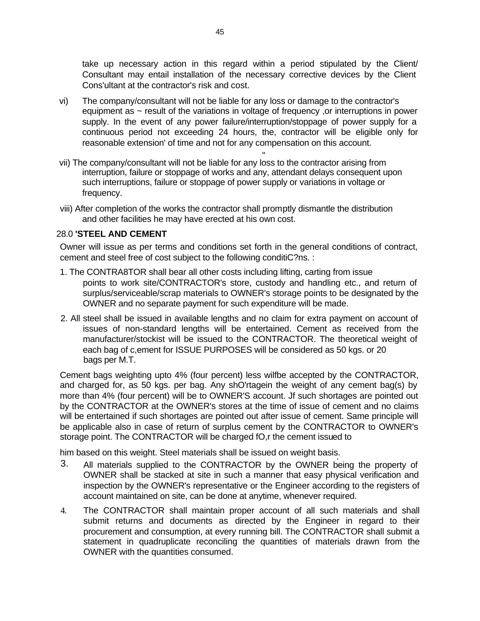take up necessary action in this regard within a period stipulated by the Client/ Consultant may entail installation of the necessary corrective devices by the Client Cons'ultant at the contractor's risk and cost.

- vi) The company/consultant will not be liable for any loss or damage to the contractor's equipment as ~ result of the variations in voltage of frequency ,or interruptions in power supply. In the event of any power failure/interruption/stoppage of power supply for a continuous period not exceeding 24 hours, the, contractor will be eligible only for reasonable extension' of time and not for any compensation on this account.
- " vii) The company/consultant will not be liable for any loss to the contractor arising from interruption, failure or stoppage of works and any, attendant delays consequent upon such interruptions, failure or stoppage of power supply or variations in voltage or frequency.
- viii) After completion of the works the contractor shall promptly dismantle the distribution and other facilities he may have erected at his own cost.

#### 28.0 **'STEEL AND CEMENT**

Owner will issue as per terms and conditions set forth in the general conditions of contract, cement and steel free of cost subject to the following conditiC?ns. :

- 1. The CONTRA8TOR shall bear all other costs including lifting, carting from issue points to work site/CONTRACTOR's store, custody and handling etc., and return of surplus/serviceable/scrap materials to OWNER's storage points to be designated by the OWNER and no separate payment for such expenditure will be made.
- 2. All steel shall be issued in available lengths and no claim for extra payment on account of issues of non-standard lengths will be entertained. Cement as received from the manufacturer/stockist will be issued to the CONTRACTOR. The theoretical weight of each bag of c,ement for ISSUE PURPOSES will be considered as 50 kgs. or 20 bags per M.T.

Cement bags weighting upto 4% (four percent) less wilfbe accepted by the CONTRACTOR, and charged for, as 50 kgs. per bag. Any shO'rtagein the weight of any cement bag(s) by more than 4% (four percent) will be to OWNER'S account. Jf such shortages are pointed out by the CONTRACTOR at the OWNER's stores at the time of issue of cement and no claims will be entertained if such shortages are pointed out after issue of cement. Same principle will be applicable also in case of return of surplus cement by the CONTRACTOR to OWNER's storage point. The CONTRACTOR will be charged fO,r the cement issued to

him based on this weight. Steel materials shall be issued on weight basis. ,

- 3. All materials supplied to the CONTRACTOR by the OWNER being the property of OWNER shall be stacked at site in such a manner that easy physical verification and inspection by the OWNER's representative or the Engineer according to the registers of account maintained on site, can be done at anytime, whenever required.
- The CONTRACTOR shall maintain proper account of all such materials and shall submit returns and documents as directed by the Engineer in regard to their procurement and consumption, at every running bill. The CONTRACTOR shall submit a statement in quadruplicate reconciling the quantities of materials drawn from the OWNER with the quantities consumed. 4.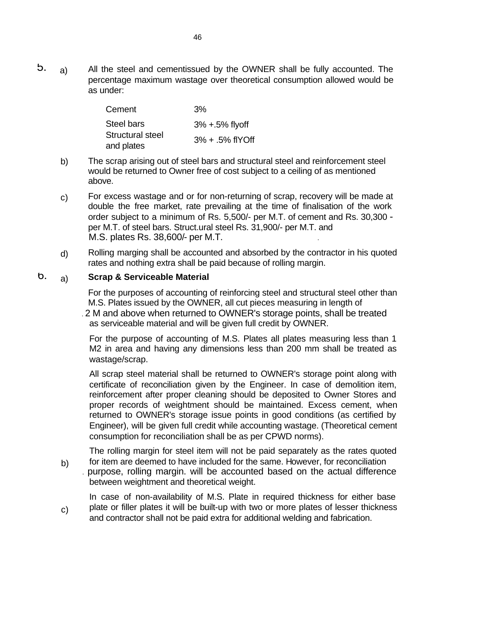5. a) All the steel and cementissued by the OWNER shall be fully accounted. The percentage maximum wastage over theoretical consumption allowed would be as under:

| Cement           | 3%                  |
|------------------|---------------------|
| Steel bars       | $3% + 5%$ flyoff    |
| Structural steel | $3\% + .5\%$ flYOff |
| and plates       |                     |

- b) The scrap arising out of steel bars and structural steel and reinforcement steel would be returned to Owner free of cost subject to a ceiling of as mentioned above.
- For excess wastage and or for non-returning of scrap, recovery will be made at double the free market, rate prevailing at the time of finalisation of the work order subject to a minimum of Rs. 5,500/- per M.T. of cement and Rs. 30,300 per M.T. of steel bars. Struct.ural steel Rs. 31,900/- per M.T. and M.S. plates Rs. 38,600/- per M.T. . c)
- Rolling marging shall be accounted and absorbed by the contractor in his quoted rates and nothing extra shall be paid because of rolling margin. d)

#### 6. **Scrap & Serviceable Material** a)

For the purposes of accounting of reinforcing steel and structural steel other than M.S. Plates issued by the OWNER, all cut pieces measuring in length of . 2 M and above when returned to OWNER's storage points, shall be treated as serviceable material and will be given full credit by OWNER.

For the purpose of accounting of M.S. Plates all plates measuring less than 1 M2 in area and having any dimensions less than 200 mm shall be treated as wastage/scrap.

All scrap steel material shall be returned to OWNER's storage point along with certificate of reconciliation given by the Engineer. In case of demolition item, reinforcement after proper cleaning should be deposited to Owner Stores and proper records of weightment should be maintained. Excess cement, when returned to OWNER's storage issue points in good conditions (as certified by Engineer), will be given full credit while accounting wastage. (Theoretical cement consumption for reconciliation shall be as per CPWD norms).

The rolling margin for steel item will not be paid separately as the rates quoted for item are deemed to have included for the same. However, for reconciliation

. purpose, rolling margin. will be accounted based on the actual difference between weightment and theoretical weight. b)

In case of non-availability of M.S. Plate in required thickness for either base plate or filler plates it will be built-up with two or more plates of lesser thickness and contractor shall not be paid extra for additional welding and fabrication. c)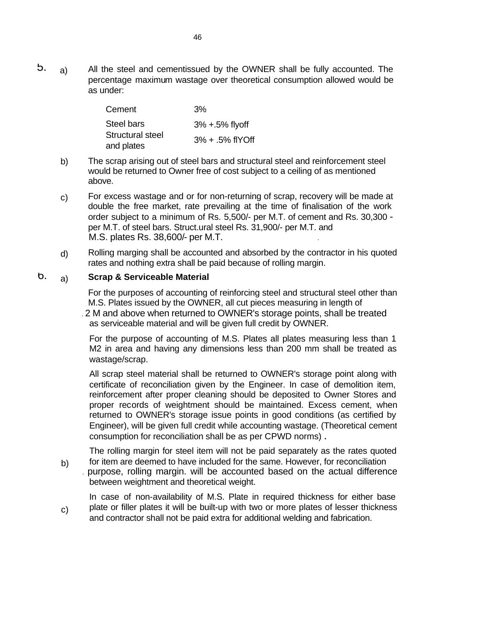5. a) All the steel and cementissued by the OWNER shall be fully accounted. The percentage maximum wastage over theoretical consumption allowed would be as under:

| Cement           | 3%                  |
|------------------|---------------------|
| Steel bars       | $3% + 5%$ flyoff    |
| Structural steel | $3\% + .5\%$ flYOff |
| and plates       |                     |

- b) The scrap arising out of steel bars and structural steel and reinforcement steel would be returned to Owner free of cost subject to a ceiling of as mentioned above.
- For excess wastage and or for non-returning of scrap, recovery will be made at double the free market, rate prevailing at the time of finalisation of the work order subject to a minimum of Rs. 5,500/- per M.T. of cement and Rs. 30,300 per M.T. of steel bars. Struct.ural steel Rs. 31,900/- per M.T. and M.S. plates Rs. 38,600/- per M.T. . c)
- Rolling marging shall be accounted and absorbed by the contractor in his quoted rates and nothing extra shall be paid because of rolling margin. d)

#### 6. **Scrap & Serviceable Material** a)

For the purposes of accounting of reinforcing steel and structural steel other than M.S. Plates issued by the OWNER, all cut pieces measuring in length of . 2 M and above when returned to OWNER's storage points, shall be treated as serviceable material and will be given full credit by OWNER.

For the purpose of accounting of M.S. Plates all plates measuring less than 1 M2 in area and having any dimensions less than 200 mm shall be treated as wastage/scrap.

All scrap steel material shall be returned to OWNER's storage point along with certificate of reconciliation given by the Engineer. In case of demolition item, reinforcement after proper cleaning should be deposited to Owner Stores and proper records of weightment should be maintained. Excess cement, when returned to OWNER's storage issue points in good conditions (as certified by Engineer), will be given full credit while accounting wastage. (Theoretical cement consumption for reconciliation shall be as per CPWD norms) .

The rolling margin for steel item will not be paid separately as the rates quoted for item are deemed to have included for the same. However, for reconciliation

. purpose, rolling margin. will be accounted based on the actual difference between weightment and theoretical weight. b)

In case of non-availability of M.S. Plate in required thickness for either base plate or filler plates it will be built-up with two or more plates of lesser thickness and contractor shall not be paid extra for additional welding and fabrication. c)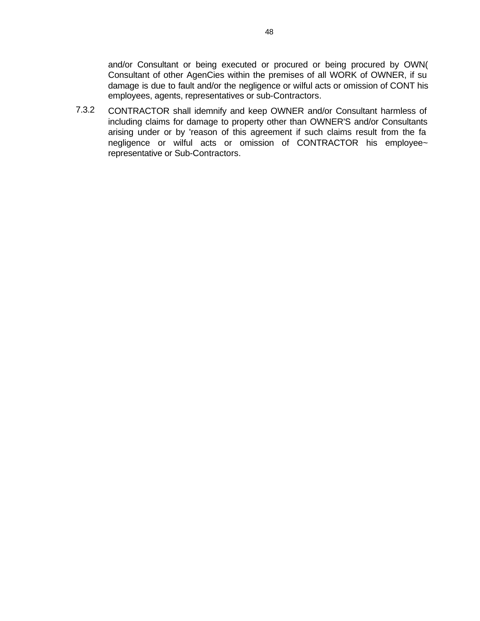and/or Consultant or being executed or procured or being procured by OWN( Consultant of other AgenCies within the premises of all WORK of OWNER, if su damage is due to fault and/or the negligence or wilful acts or omission of CONT his employees, agents, representatives or sub-Contractors.

7.3.2 CONTRACTOR shall idemnify and keep OWNER and/or Consultant harmless of including claims for damage to property other than OWNER'S and/or Consultants arising under or by 'reason of this agreement if such claims result from the fa negligence or wilful acts or omission of CONTRACTOR his employee~ representative or Sub-Contractors.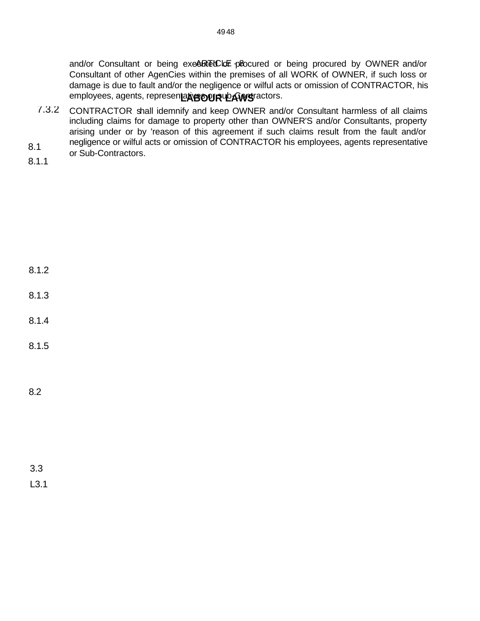and/or Consultant or being exe<sup>&RT</sup>ECLE plocured or being procured by OWNER and/or Consultant of other AgenCies within the premises of all WORK of OWNER, if such loss or damage is due to fault and/or the negligence or wilful acts or omission of CONTRACTOR, his employees, agents, represen**tati<del>ys</del> our ub Aws**ractors.

- 7.3.2 CONTRACTOR shall idemnify and keep OWNER and/or Consultant harmless of all claims including claims for damage to property other than OWNER'S and/or Consultants, property arising under or by 'reason of this agreement if such claims result from the fault and/or negligence or wilful acts or omission of CONTRACTOR his employees, agents representative
- 8.1 Begingence or williams<br>or Sub-Contractors.
- 8.1.1

- 8.1.2
- 8.1.3
- 8.1.4
- 8.1.5
- 8.2

3.3 L3.1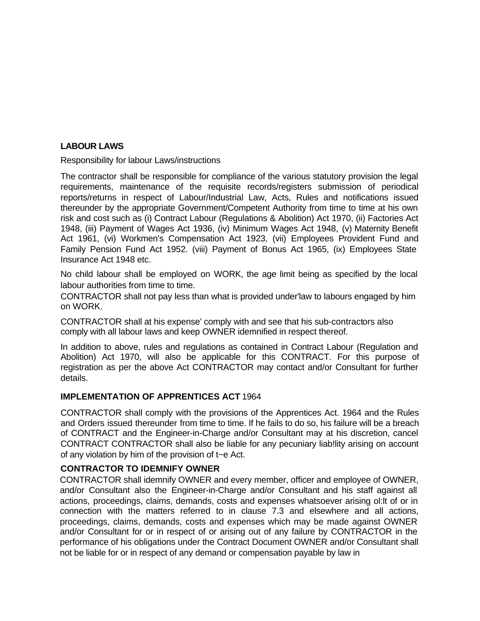## **LABOUR LAWS**

Responsibility for labour Laws/instructions

The contractor shall be responsible for compliance of the various statutory provision the legal requirements, maintenance of the requisite records/registers submission of periodical reports/returns in respect of Labour/Industrial Law, Acts, Rules and notifications issued thereunder by the appropriate Government/Competent Authority from time to time at his own risk and cost such as (i) Contract Labour (Regulations & Abolition) Act 1970, (ii) Factories Act 1948, (iii) Payment of Wages Act 1936, (iv) Minimum Wages Act 1948, (v) Maternity Benefit Act 1961, (vi) Workmen's Compensation Act 1923, (vii) Employees Provident Fund and Family Pension Fund Act 1952. (viii) Payment of Bonus Act 1965, (ix) Employees State Insurance Act 1948 etc.

No child labour shall be employed on WORK, the age limit being as specified by the local labour authorities from time to time.

CONTRACTOR shall not pay less than what is provided under'law to labours engaged by him on WORK.

CONTRACTOR shall at his expense' comply with and see that his sub-contractors also comply with all labour laws and keep OWNER idemnified in respect thereof.

In addition to above, rules and regulations as contained in Contract Labour (Regulation and Abolition) Act 1970, will also be applicable for this CONTRACT. For this purpose of registration as per the above Act CONTRACTOR may contact and/or Consultant for further details.

### **IMPLEMENTATION OF APPRENTICES ACT** 1964

CONTRACTOR shall comply with the provisions of the Apprentices Act. 1964 and the Rules and Orders issued thereunder from time to time. If he fails to do so, his failure will be a breach of CONTRACT and the Engineer-in-Charge and/or Consultant may at his discretion, cancel CONTRACT CONTRACTOR shall also be liable for any pecuniary liab!lity arising on account of any violation by him of the provision of t~e Act.

### **CONTRACTOR TO IDEMNIFY OWNER**

CONTRACTOR shall idemnify OWNER and every member, officer and employee of OWNER, and/or Consultant also the Engineer-in-Charge and/or Consultant and his staff against all actions, proceedings, claims, demands, costs and expenses whatsoever arising ol:lt of or in connection with the matters referred to in clause 7.3 and elsewhere and all actions, proceedings, claims, demands, costs and expenses which may be made against OWNER and/or Consultant for or in respect of or arising out of any failure by CONTRACTOR in the performance of his obligations under the Contract Document OWNER and/or Consultant shall not be liable for or in respect of any demand or compensation payable by law in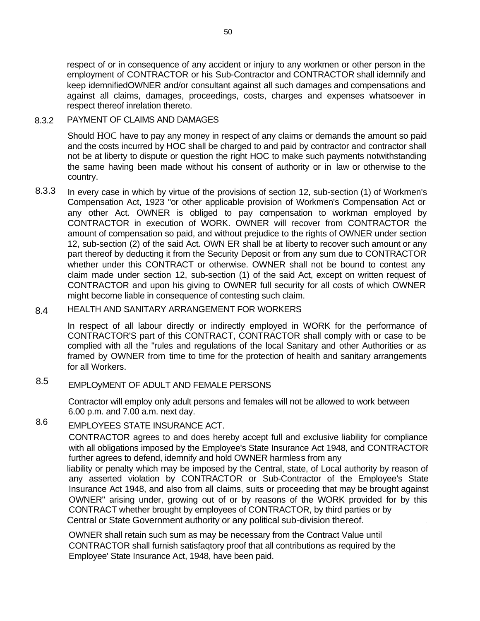respect of or in consequence of any accident or injury to any workmen or other person in the employment of CONTRACTOR or his Sub-Contractor and CONTRACTOR shall idemnify and keep idemnifiedOWNER and/or consultant against all such damages and compensations and against all claims, damages, proceedings, costs, charges and expenses whatsoever in respect thereof inrelation thereto.

#### 8.3.2 PAYMENT OF CLAIMS AND DAMAGES

Should HOC have to pay any money in respect of any claims or demands the amount so paid and the costs incurred by HOC shall be charged to and paid by contractor and contractor shall not be at liberty to dispute or question the right HOC to make such payments notwithstanding the same having been made without his consent of authority or in law or otherwise to the country.

8.3.3 In every case in which by virtue of the provisions of section 12, sub-section (1) of Workmen's Compensation Act, 1923 "or other applicable provision of Workmen's Compensation Act or any other Act. OWNER is obliged to pay compensation to workman employed by CONTRACTOR in execution of WORK. OWNER will recover from CONTRACTOR the amount of compensation so paid, and without prejudice to the rights of OWNER under section 12, sub-section (2) of the said Act. OWN ER shall be at liberty to recover such amount or any part thereof by deducting it from the Security Deposit or from any sum due to CONTRACTOR whether under this CONTRACT or otherwise. OWNER shall not be bound to contest any claim made under section 12, sub-section (1) of the said Act, except on written request of CONTRACTOR and upon his giving to OWNER full security for all costs of which OWNER might become liable in consequence of contesting such claim.

#### 8.4 HEALTH AND SANITARY ARRANGEMENT FOR WORKERS

In respect of all labour directly or indirectly employed in WORK for the performance of CONTRACTOR'S part of this CONTRACT, CONTRACTOR shall comply with or case to be complied with all the "rules and regulations of the local Sanitary and other Authorities or as framed by OWNER from time to time for the protection of health and sanitary arrangements for all Workers.

#### 8.5 EMPLOyMENT OF ADULT AND FEMALE PERSONS

Contractor will employ only adult persons and females will not be allowed to work between 6.00 p.m. and 7.00 a.m. next day.

#### 8.6 EMPLOYEES STATE INSURANCE ACT.

CONTRACTOR agrees to and does hereby accept full and exclusive liability for compliance with all obligations imposed by the Employee's State Insurance Act 1948, and CONTRACTOR further agrees to defend, idemnify and hold OWNER harmless from any

liability or penalty which may be imposed by the Central, state, of Local authority by reason of any asserted violation by CONTRACTOR or Sub-Contractor of the Employee's State Insurance Act 1948, and also from all claims, suits or proceeding that may be brought against OWNER" arising under, growing out of or by reasons of the WORK provided for by this CONTRACT whether brought by employees of CONTRACTOR, by third parties or by Central or State Government authority or any political sub-division thereof. .

OWNER shall retain such sum as may be necessary from the Contract Value until CONTRACTOR shall furnish satisfaqtory proof that all contributions as required by the Employee' State Insurance Act, 1948, have been paid.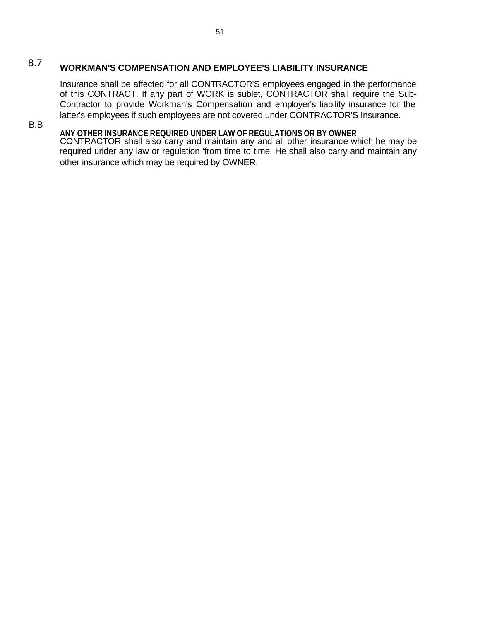# 8.7 **WORKMAN'S COMPENSATION AND EMPLOYEE'S LIABILITY INSURANCE**

Insurance shall be affected for all CONTRACTOR'S employees engaged in the performance of this CONTRACT. If any part of WORK is sublet, CONTRACTOR shall require the Sub-Contractor to provide Workman's Compensation and employer's liability insurance for the latter's employees if such employees are not covered under CONTRACTOR'S Insurance.

B.B

## **ANY OTHER INSURANCE REQUIRED UNDER LAW OF REGULATIONS OR BY OWNER**

CONTRACTOR shall also carry and maintain any and all other insurance which he may be required urider any law or regulation 'from time to time. He shall also carry and maintain any other insurance which may be required by OWNER.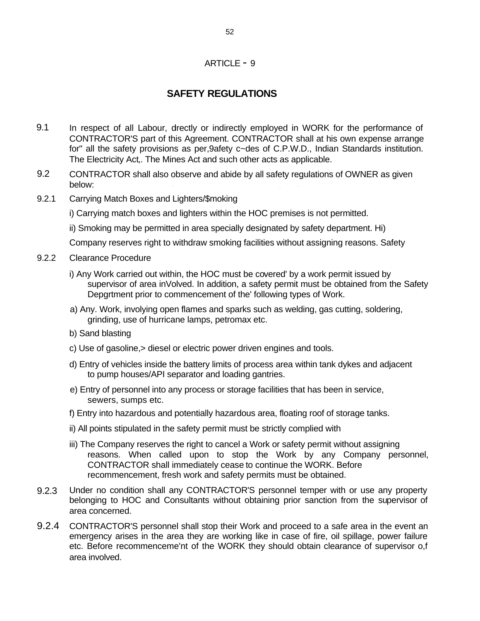### ARTICLE - 9

# **SAFETY REGULATIONS**

- 9.1 In respect of all Labour, drectly or indirectly employed in WORK for the performance of CONTRACTOR'S part of this Agreement. CONTRACTOR shall at his own expense arrange for" all the safety provisions as per,9afety c~des of C.P.W.D., Indian Standards institution. The Electricity Act,. The Mines Act and such other acts as applicable.
- 9.2 CONTRACTOR shall also observe and abide by all safety regulations of OWNER as given below: ' , '
- 9.2.1 Carrying Match Boxes and Lighters/\$moking
	- i) Carrying match boxes and lighters within the HOC premises is not permitted.
	- ii) Smoking may be permitted in area specially designated by safety department. Hi)

Company reserves right to withdraw smoking facilities without assigning reasons. Safety

- 9.2.2 Clearance Procedure
	- i) Any Work carried out within, the HOC must be covered' by a work permit issued by supervisor of area inVolved. In addition, a safety permit must be obtained from the Safety Depgrtment prior to commencement of the' following types of Work.
	- a) Any. Work, involying open flames and sparks such as welding, gas cutting, soldering, grinding, use of hurricane lamps, petromax etc.
	- b) Sand blasting
	- c) Use of gasoline,> diesel or electric power driven engines and tools.
	- d) Entry of vehicles inside the battery limits of process area within tank dykes and adjacent to pump houses/API separator and loading gantries.
	- e) Entry of personnel into any process or storage facilities that has been in service, sewers, sumps etc.
	- f) Entry into hazardous and potentially hazardous area, floating roof of storage tanks.
	- ii) All points stipulated in the safety permit must be strictly complied with
	- iii) The Company reserves the right to cancel a Work or safety permit without assigning reasons. When called upon to stop the Work by any Company personnel, CONTRACTOR shall immediately cease to continue the WORK. Before recommencement, fresh work and safety permits must be obtained.
- 9.2.3 Under no condition shall any CONTRACTOR'S personnel temper with or use any property belonging to HOC and Consultants without obtaining prior sanction from the supervisor of area concerned.
- 9.2.4 CONTRACTOR'S personnel shall stop their Work and proceed to a safe area in the event an emergency arises in the area they are working like in case of fire, oil spillage, power failure etc. Before recommenceme'nt of the WORK they should obtain clearance of supervisor o,f area involved.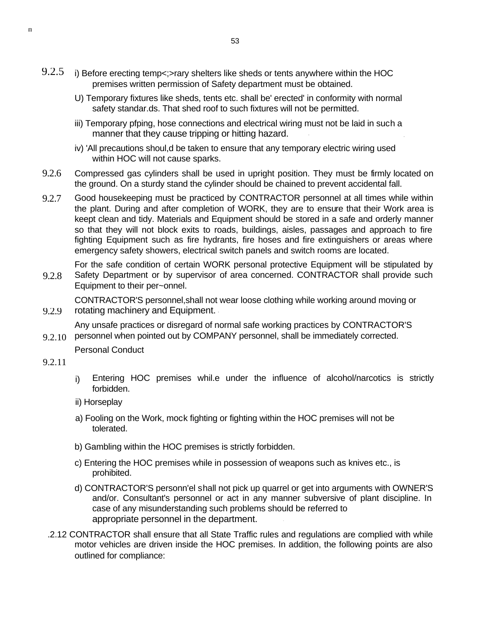- 9.2.5 i) Before erecting temp<;>rary shelters like sheds or tents anywhere within the HOC premises written permission of Safety department must be obtained.
	- U) Temporary fixtures like sheds, tents etc. shall be' erected' in conformity with normal safety standar.ds. That shed roof to such fixtures will not be permitted.
	- iii) Temporary pfping, hose connections and electrical wiring must not be laid in such a manner that they cause tripping or hitting hazard.
	- iv) 'All precautions shoul,d be taken to ensure that any temporary electric wiring used within HOC will not cause sparks.
- 9.2.6 Compressed gas cylinders shall be used in upright position. They must be firmly located on the ground. On a sturdy stand the cylinder should be chained to prevent accidental fall.
- 9.2.7 Good housekeeping must be practiced by CONTRACTOR personnel at all times while within the plant. During and after completion of WORK, they are to ensure that their Work area is keept clean and tidy. Materials and Equipment should be stored in a safe and orderly manner so that they will not block exits to roads, buildings, aisles, passages and approach to fire fighting Equipment such as fire hydrants, fire hoses and fire extinguishers or areas where emergency safety showers, electrical switch panels and switch rooms are located.

For the safe condition of certain WORK personal protective Equipment will be stipulated by

9.2.8 Safety Department or by supervisor of area concerned. CONTRACTOR shall provide such Equipment to their per~onnel.

CONTRACTOR'S personnel,shall not wear loose clothing while working around moving or rotating machinery and Equipment.

9.2.10 Any unsafe practices or disregard of normal safe working practices by CONTRACTOR'S personnel when pointed out by COMPANY personnel, shall be immediately corrected.

Personal Conduct

9.2.11

9.2.9

h

- Entering HOC premises whil.e under the influence of alcohol/narcotics is strictly forbidden. i)
- ii) Horseplay
- a) Fooling on the Work, mock fighting or fighting within the HOC premises will not be tolerated.
- b) Gambling within the HOC premises is strictly forbidden.
- c) Entering the HOC premises while in possession of weapons such as knives etc., is prohibited.
- d) CONTRACTOR'S personn'el shall not pick up quarrel or get into arguments with OWNER'S and/or. Consultant's personnel or act in any manner subversive of plant discipline. In case of any misunderstanding such problems should be referred to appropriate personnel in the department.
- .2.12 CONTRACTOR shall ensure that all State Traffic rules and regulations are complied with while motor vehicles are driven inside the HOC premises. In addition, the following points are also outlined for compliance: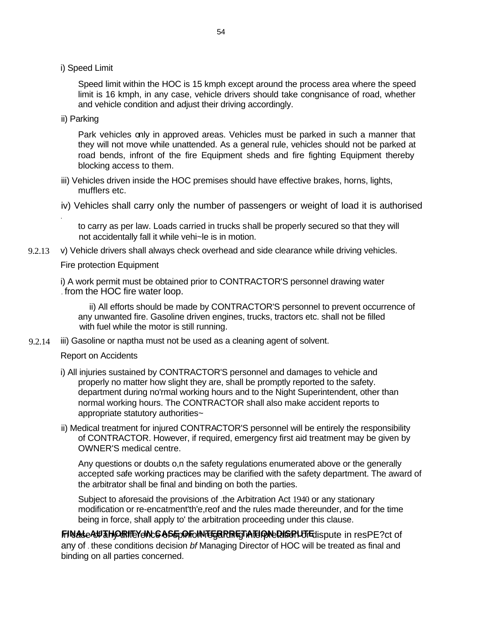i) Speed Limit

Speed limit within the HOC is 15 kmph except around the process area where the speed limit is 16 kmph, in any case, vehicle drivers should take congnisance of road, whether and vehicle condition and adjust their driving accordingly.

ii) Parking

.

Park vehicles only in approved areas. Vehicles must be parked in such a manner that they will not move while unattended. As a general rule, vehicles should not be parked at road bends, infront of the fire Equipment sheds and fire fighting Equipment thereby blocking access to them.

- iii) Vehicles driven inside the HOC premises should have effective brakes, horns, lights, mufflers etc.
- iv) Vehicles shall carry only the number of passengers or weight of load it is authorised

to carry as per law. Loads carried in trucks shall be properly secured so that they will not accidentally fall it while vehi~le is in motion.

9.2.13 v) Vehicle drivers shall always check overhead and side clearance while driving vehicles.

#### Fire protection Equipment

i) A work permit must be obtained prior to CONTRACTOR'S personnel drawing water . from the HOC fire water loop.

ii) All efforts should be made by CONTRACTOR'S personnel to prevent occurrence of any unwanted fire. Gasoline driven engines, trucks, tractors etc. shall not be filled with fuel while the motor is still running.

9.2.14 iii) Gasoline or naptha must not be used as a cleaning agent of solvent.

#### Report on Accidents

- i) All injuries sustained by CONTRACTOR'S personnel and damages to vehicle and properly no matter how slight they are, shall be promptly reported to the safety. department during no'rmal working hours and to the Night Superintendent, other than normal working hours. The CONTRACTOR shall also make accident reports to appropriate statutory authorities~
- ii) Medical treatment for injured CONTRACTOR'S personnel will be entirely the responsibility of CONTRACTOR. However, if required, emergency first aid treatment may be given by OWNER'S medical centre.

Any questions or doubts o,n the safety regulations enumerated above or the generally accepted safe working practices may be clarified with the safety department. The award of the arbitrator shall be final and binding on both the parties.

Subject to aforesaid the provisions of .the Arbitration Act 1940 or any stationary modification or re-encatment'th'e,reof and the rules made thereunder, and for the time being in force, shall apply to' the arbitration proceeding under this clause.

**FINAL CAUTHORIFEY ING ASE OF ONTERPRETATION REGISTLUTE IS DUTE IN RESPE? Ct of** any of . these conditions decision *bf* Managing Director of HOC will be treated as final and binding on all parties concerned.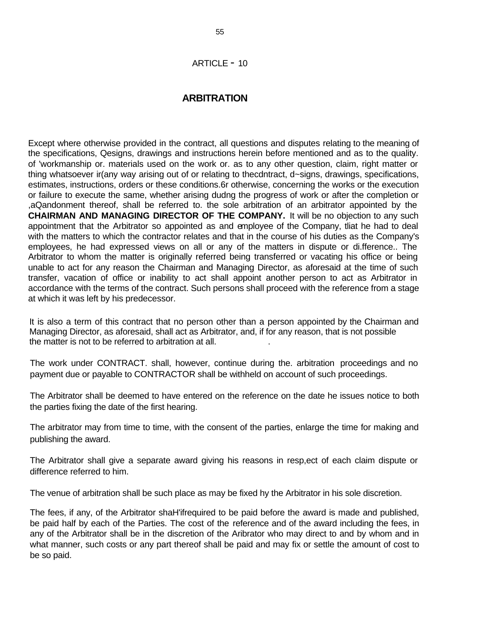### **ARBITRATION**

Except where otherwise provided in the contract, all questions and disputes relating to the meaning of the specifications, Qesigns, drawings and instructions herein before mentioned and as to the quality. of 'workmanship or. materials used on the work or. as to any other question, claim, right matter or thing whatsoever ir(any way arising out of or relating to thecdntract, d~signs, drawings, specifications, estimates, instructions, orders or these conditions.6r otherwise, concerning the works or the execution or failure to execute the same, whether arising dudng the progress of work or after the completion or ,aQandonment thereof, shall be referred to. the sole arbitration of an arbitrator appointed by the **CHAIRMAN AND MANAGING DIRECTOR OF THE COMPANY.** It will be no objection to any such appointment that the Arbitrator so appointed as and employee of the Company, tliat he had to deal with the matters to which the contractor relates and that in the course of his duties as the Company's employees, he had expressed views on all or any of the matters in dispute or di.fference.. The Arbitrator to whom the matter is originally referred being transferred or vacating his office or being unable to act for any reason the Chairman and Managing Director, as aforesaid at the time of such transfer, vacation of office or inability to act shall appoint another person to act as Arbitrator in accordance with the terms of the contract. Such persons shall proceed with the reference from a stage at which it was left by his predecessor.

It is also a term of this contract that no person other than a person appointed by the Chairman and Managing Director, as aforesaid, shall act as Arbitrator, and, if for any reason, that is not possible the matter is not to be referred to arbitration at all.

The work under CONTRACT. shall, however, continue during the. arbitration proceedings and no payment due or payable to CONTRACTOR shall be withheld on account of such proceedings.

The Arbitrator shall be deemed to have entered on the reference on the date he issues notice to both the parties fixing the date of the first hearing.

The arbitrator may from time to time, with the consent of the parties, enlarge the time for making and publishing the award.

The Arbitrator shall give a separate award giving his reasons in resp,ect of each claim dispute or difference referred to him.

The venue of arbitration shall be such place as may be fixed hy the Arbitrator in his sole discretion.

The fees, if any, of the Arbitrator shaH'ifrequired to be paid before the award is made and published, be paid half by each of the Parties. The cost of the reference and of the award including the fees, in any of the Arbitrator shall be in the discretion of the Aribrator who may direct to and by whom and in what manner, such costs or any part thereof shall be paid and may fix or settle the amount of cost to be so paid.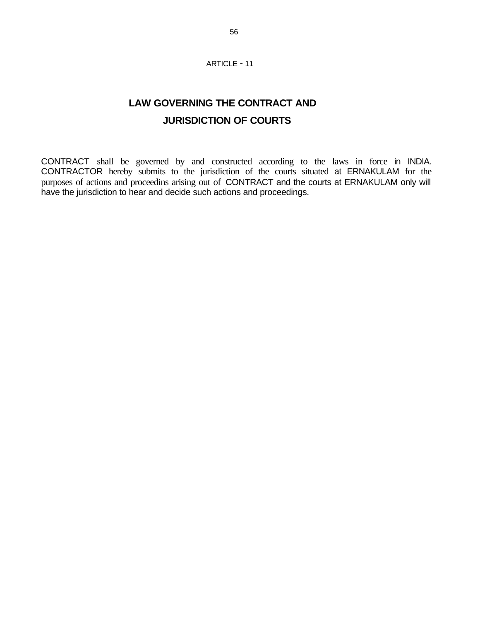#### ARTICLE - 11

# **LAW GOVERNING THE CONTRACT AND JURISDICTION OF COURTS**

CONTRACT shall be governed by and constructed according to the laws in force in INDIA. CONTRACTOR hereby submits to the jurisdiction of the courts situated at ERNAKULAM for the purposes of actions and proceedins arising out of CONTRACT and the courts at ERNAKULAM only will have the jurisdiction to hear and decide such actions and proceedings.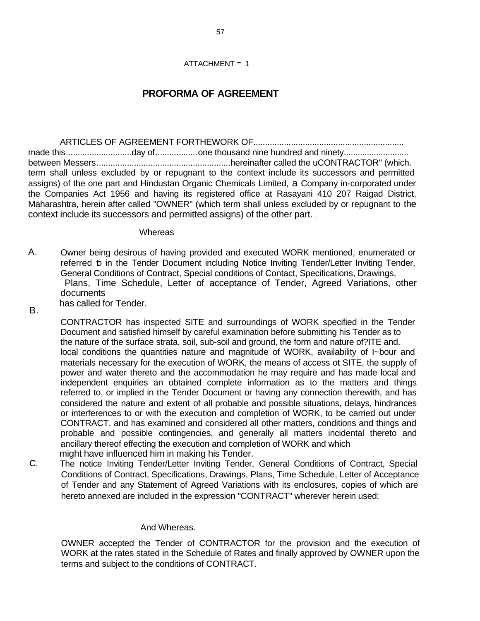#### ATTACHMENT - 1

## **PROFORMA OF AGREEMENT**

ARTICLES OF AGREEMENT FORTHEWORK OF................................................................ made this..........................day of.....................one thousand nine hundred and ninety.............................. between Messers.........................................................hereinafter called the uCONTRACTOR" (which. term shall unless excluded by or repugnant to the context include its successors and permitted assigns) of the one part and Hindustan Organic Chemicals Limited, a Company in-corporated under the Companies Act 1956 and having its registered office at Rasayani 410 207 Raigad District, Maharashtra, herein after called "OWNER" (which term shall unless excluded by or repugnant to the context include its successors and permitted assigns) of the other part. .

#### **Whereas**

- A. Owner being desirous of having provided and executed WORK mentioned, enumerated or referred to in the Tender Document including Notice Inviting Tender/Letter Inviting Tender, General Conditions of Contract, Special conditions of Contact, Specifications, Drawings, . Plans, Time Schedule, Letter of acceptance of Tender, Agreed Variations, other documents has called for Tender.
- B.

CONTRACTOR has inspected SITE and surroundings of WORK specified in the Tender Document and satisfied himself by careful examination before submitting his Tender as to the nature of the surface strata, soil, sub-soil and ground, the form and nature of?ITE and. local conditions the quantities nature and magnitude of WORK, availability of I~bour and materials necessary for the execution of WORK, the means of access ot SITE, the supply of power and water thereto and the accommodation he may require and has made local and independent enquiries an obtained complete information as to the matters and things referred to, or implied in the Tender Document or having any connection therewith, and has considered the nature and extent of all probable and possible situations, delays, hindrances or interferences to or with the execution and completion of WORK, to be carried out under CONTRACT, and has examined and considered all other matters, conditions and things and probable and possible contingencies, and generally all matters incidental thereto and ancillary thereof effecting the execution and completion of WORK and which might have influenced him in making his Tender. .

C. The notice Inviting Tender/Letter Inviting Tender, General Conditions of Contract, Special Conditions of Contract, Specifications, Drawings, Plans, Time Schedule, Letter of Acceptance of Tender and any Statement of Agreed Variations with its enclosures, copies of which are hereto annexed are included in the expression "CONTRACT" wherever herein used:

#### And Whereas.

OWNER accepted the Tender of CONTRACTOR for the provision and the execution of WORK at the rates stated in the Schedule of Rates and finally approved by OWNER upon the terms and subject to the conditions of CONTRACT.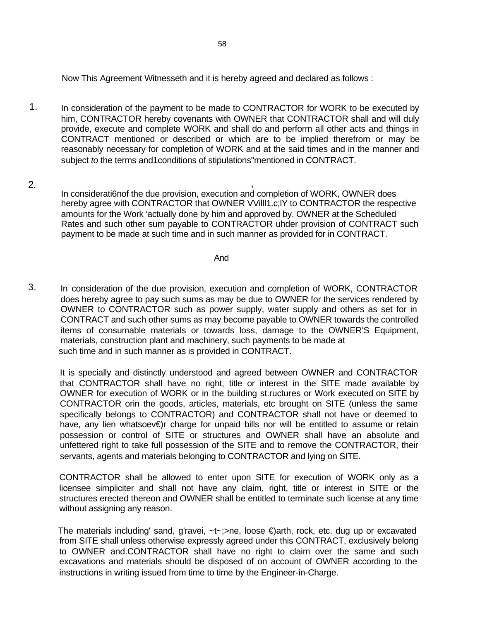Now This Agreement Witnesseth and it is hereby agreed and declared as follows :

- 1. In consideration of the payment to be made to CONTRACTOR for WORK to be executed by him, CONTRACTOR hereby covenants with OWNER that CONTRACTOR shall and will duly provide, execute and complete WORK and shall do and perform all other acts and things in CONTRACT mentioned or described or which are to be implied therefrom or may be reasonably necessary for completion of WORK and at the said times and in the manner and subject *to* the terms and1conditions of stipulations"mentioned in CONTRACT.
- 2. , . In considerati6nof the due provision, execution and completion of WORK, OWNER does hereby agree with CONTRACTOR that OWNER VVilll1.c;lY to CONTRACTOR the respective amounts for the Work 'actually done by him and approved by. OWNER at the Scheduled Rates and such other sum payable to CONTRACTOR uhder provision of CONTRACT such payment to be made at such time and in such manner as provided for in CONTRACT.

And

3. In consideration of the due provision, execution and completion of WORK, CONTRACTOR does hereby agree to pay such sums as may be due to OWNER for the services rendered by OWNER to CONTRACTOR such as power supply, water supply and others as set for in CONTRACT and such other sums as may become payable to OWNER towards the controlled items of consumable materials or towards loss, damage to the OWNER'S Equipment, materials, construction plant and machinery, such payments to be made at such time and in such manner as is provided in CONTRACT.

It is specially and distinctly understood and agreed between OWNER and CONTRACTOR that CONTRACTOR shall have no right, title or interest in the SITE made available by OWNER for execution of WORK or in the building st.ructures or Work executed on SITE by CONTRACTOR orin the goods, articles, materials, etc brought on SITE (unless the same specifically belongs to CONTRACTOR) and CONTRACTOR shall not have or deemed to have, any lien whatsoev€)r charge for unpaid bills nor will be entitled to assume or retain possession or control of SITE or structures and OWNER shall have an absolute and unfettered right to take full possession of the SITE and to remove the CONTRACTOR, their servants, agents and materials belonging to CONTRACTOR and lying on SITE.

CONTRACTOR shall be allowed to enter upon SITE for execution of WORK only as a licensee simpliciter and shall not have any claim, right, title or interest in SITE or the structures erected thereon and OWNER shall be entitled to terminate such license at any time without assigning any reason.

The materials including' sand, g'ravei, ~t~;>ne, loose €)arth, rock, etc. dug up or excavated from SITE shall unless otherwise expressly agreed under this CONTRACT, exclusively belong to OWNER and.CONTRACTOR shall have no right to claim over the same and such excavations and materials should be disposed of on account of OWNER according to the instructions in writing issued from time to time by the Engineer-in-Charge.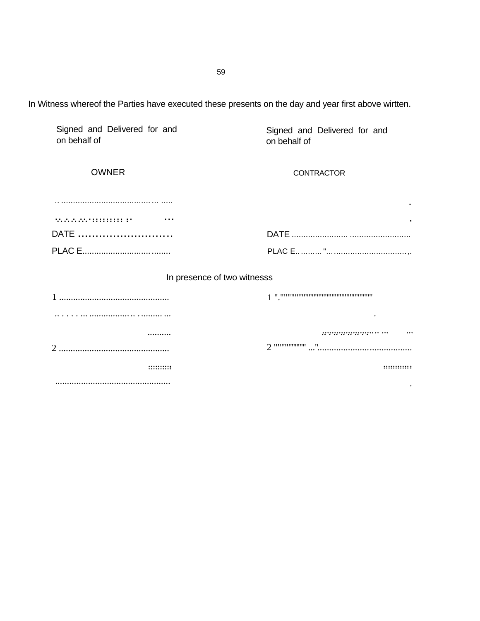In Witness whereof the Parties have executed these presents on the day and year first above wirtten.

| Signed and Delivered for and<br>on behalf of | Signed and Delivered for and<br>on behalf of |
|----------------------------------------------|----------------------------------------------|
| <b>OWNER</b>                                 | <b>CONTRACTOR</b>                            |
|                                              |                                              |
| .<br>.                                       |                                              |
| DATE                                         |                                              |
|                                              |                                              |
|                                              | In presence of two witnesss                  |
|                                              |                                              |
| .   .                                        |                                              |
|                                              |                                              |
|                                              |                                              |
|                                              | ::::::::::::                                 |
|                                              |                                              |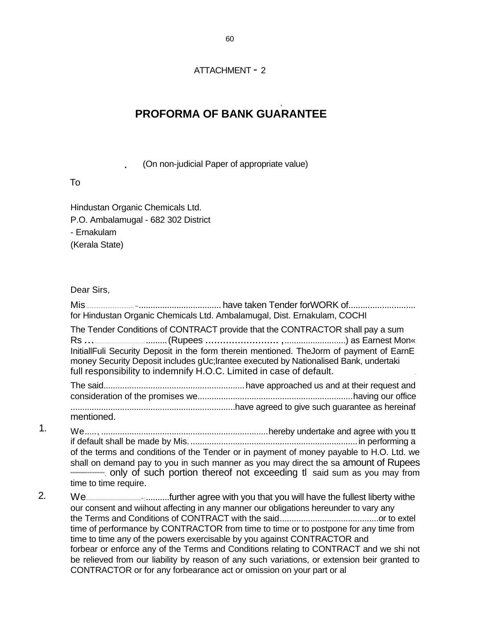### ATTACHMENT - 2

# **PROFORMA OF BANK GUARANTEE**

,

(On non-judicial Paper of appropriate value)

### To

Hindustan Organic Chemicals Ltd. P.O. Ambalamugal - 682 302 District - Ernakulam (Kerala State)

### Dear Sirs,

1.

2.

Mis ........................... <sup>~</sup>................................... have taken Tender forWORK of............................ for Hindustan Organic Chemicals Ltd. Ambalamugal, Dist. Ernakulam, COCHI The Tender Conditions of CONTRACT provide that the CONTRACTOR shall pay a sum Rs ........................................................................................'.........(Rupees ......................... ,..........................) as Earnest Mon« InitiallFuli Security Deposit in the form therein mentioned. TheJorm of payment of EarnE money Security Deposit includes gUc;lrantee executed by Nationalised Bank, undertaki full responsibility to indemnify H.O.C. Limited in case of default. The said............................................................have approached us and at their request and consideration of the promises we..................................................................having our office ......................................................................have agreed to give such guarantee as hereinaf mentioned. ' We....., .......................................................................hereby undertake and agree with you tt if default shall be made by Mis........................................................................in performing a of the terms and conditions of the Tender or in payment of money payable to H.O. Ltd. we shall on demand pay to you in such manner as you may direct the sa amount of Rupees """"""""""""""""", only of such portion thereof not exceeding tl said sum as you may from time to time require. We...............................................~;..........further agree with you that you will have the fullest liberty withe our consent and wiihout affecting in any manner our obligations hereunder to vary any the Terms and Conditions of CONTRACT with the said..........................................or to extel time of performance by CONTRACTOR from time to time or to postpone for any time from time to time any of the powers exercisable by you against CONTRACTOR and forbear or enforce any of the Terms and Conditions relating to CONTRACT and we shi not

be relieved from our liability by reason of any such variations, or extension beir granted to CONTRACTOR or for any forbearance act or omission on your part or al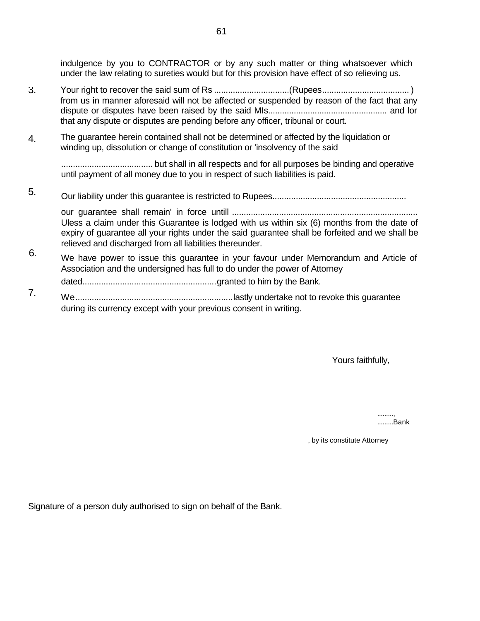indulgence by you to CONTRACTOR or by any such matter or thing whatsoever which under the law relating to sureties would but for this provision have effect of so relieving us.

- 3. Your right to recover the said sum of Rs ................................(Rupees..................................... ) from us in manner aforesaid will not be affected or suspended by reason of the fact that any dispute or disputes have been raised by the said MIs................................................... and lor that any dispute or disputes are pending before any officer, tribunal or court.
- 4. The guarantee herein contained shall not be determined or affected by the liquidation or winding up, dissolution or change of constitution or 'insolvency of the said

....................................... but shall in all respects and for all purposes be binding and operative until payment of all money due to you in respect of such liabilities is paid.

5. Our liability under this guarantee is restricted to Rupees.........................................................

our guarantee shall remain' in force untill ............................................................................... Uless a claim under this Guarantee is lodged with us within six (6) months from the date of expiry of guarantee all your rights under the said guarantee shall be forfeited and we shall be relieved and discharged from all liabilities thereunder.

- 6. We have power to issue this guarantee in your favour under Memorandum and Article of Association and the undersigned has full to do under the power of Attorney dated.........................................................granted to him by the Bank.
- 7. We...................................................................lastly undertake not to revoke this guarantee during its currency except with your previous consent in writing.

Yours faithfully,

........., .........Bank

, by its constitute Attorney

Signature of a person duly authorised to sign on behalf of the Bank.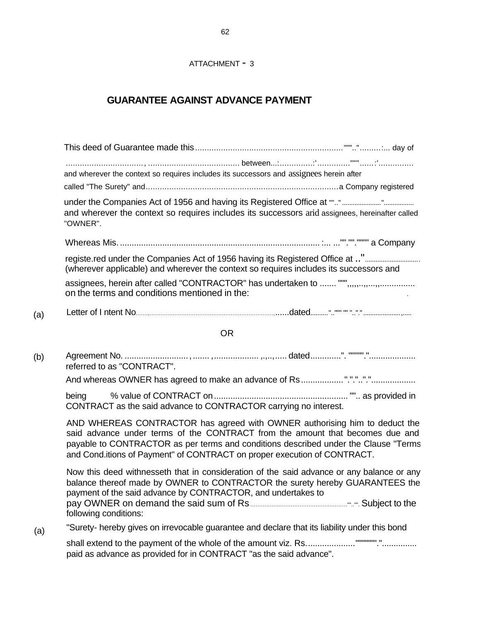# **GUARANTEE AGAINST ADVANCE PAYMENT**

| and wherever the context so requires includes its successors and assignees herein after |                                                                                                                                                                                                                                                                                                                                |
|-----------------------------------------------------------------------------------------|--------------------------------------------------------------------------------------------------------------------------------------------------------------------------------------------------------------------------------------------------------------------------------------------------------------------------------|
|                                                                                         |                                                                                                                                                                                                                                                                                                                                |
| "OWNER".                                                                                | and wherever the context so requires includes its successors arid assignees, hereinafter called                                                                                                                                                                                                                                |
|                                                                                         |                                                                                                                                                                                                                                                                                                                                |
|                                                                                         | registe.red under the Companies Act of 1956 having its Registered Office at "<br>(wherever applicable) and wherever the context so requires includes its successors and                                                                                                                                                        |
| on the terms and conditions mentioned in the:                                           |                                                                                                                                                                                                                                                                                                                                |
|                                                                                         |                                                                                                                                                                                                                                                                                                                                |
|                                                                                         | <b>OR</b>                                                                                                                                                                                                                                                                                                                      |
| referred to as "CONTRACT".                                                              |                                                                                                                                                                                                                                                                                                                                |
|                                                                                         |                                                                                                                                                                                                                                                                                                                                |
| being<br>CONTRACT as the said advance to CONTRACTOR carrying no interest.               |                                                                                                                                                                                                                                                                                                                                |
|                                                                                         | AND WHEREAS CONTRACTOR has agreed with OWNER authorising him to deduct the<br>said advance under terms of the CONTRACT from the amount that becomes due and<br>payable to CONTRACTOR as per terms and conditions described under the Clause "Terms<br>and Cond.itions of Payment" of CONTRACT on proper execution of CONTRACT. |
| following conditions:                                                                   | Now this deed withnesseth that in consideration of the said advance or any balance or any<br>balance thereof made by OWNER to CONTRACTOR the surety hereby GUARANTEES the<br>payment of the said advance by CONTRACTOR, and undertakes to                                                                                      |
|                                                                                         | "Surety- hereby gives on irrevocable guarantee and declare that its liability under this bond                                                                                                                                                                                                                                  |
| paid as advance as provided for in CONTRACT "as the said advance".                      | shall extend to the payment of the whole of the amount viz. Rs"""""""                                                                                                                                                                                                                                                          |

 $(a)$ 

 $(b)$ 

 $(a)$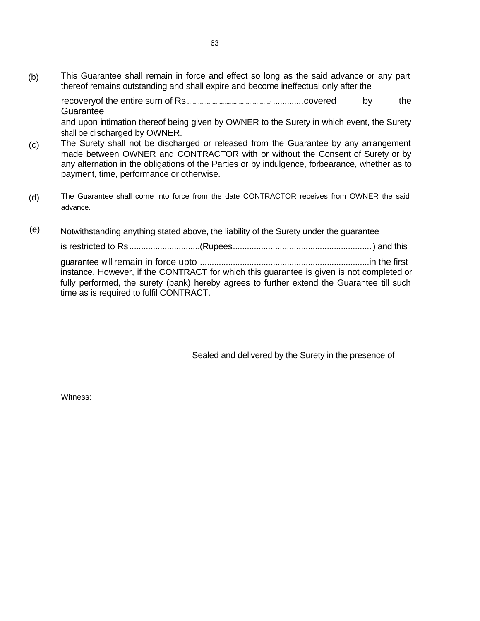(b) This Guarantee shall remain in force and effect so long as the said advance or any part thereof remains outstanding and shall expire and become ineffectual only after the

recoveryof the entire sum of Rs <u>Charles and Charles and Charles covered</u> by the **Guarantee** 

and upon intimation thereof being given by OWNER to the Surety in which event, the Surety shall be discharged by OWNER.

- (c) The Surety shall not be discharged or released from the Guarantee by any arrangement made between OWNER and CONTRACTOR with or without the Consent of Surety or by any alternation in the obligations of the Parties or by indulgence, forbearance, whether as to payment, time, performance or otherwise.
- (d) The Guarantee shall come into force from the date CONTRACTOR receives from OWNER the said advance.
- (e) Notwithstanding anything stated above, the liability of the Surety under the guarantee

is restricted to Rs ..............................(Rupees...........................................................) and this

guarantee will remain in force upto ........................................................................in the first instance. However, if the CONTRACT for which this guarantee is given is not completed or fully performed, the surety (bank) hereby agrees to further extend the Guarantee till such time as is required to fulfil CONTRACT.

Sealed and delivered by the Surety in the presence of

Witness: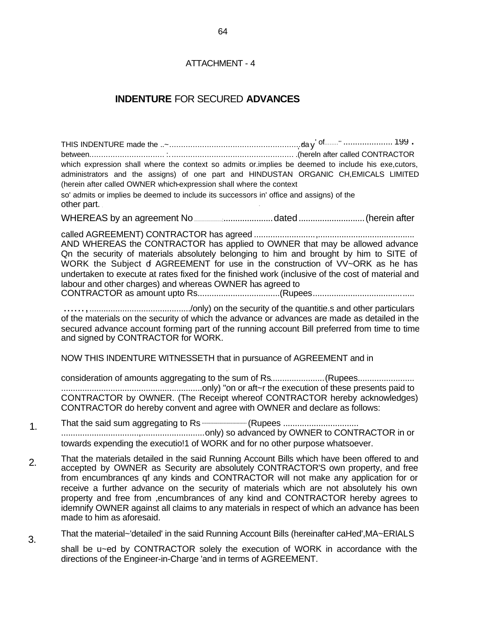## **INDENTURE FOR SECURED ADVANCES**

which expression shall where the context so admits or implies be deemed to include his exe, cutors, administrators and the assigns) of one part and HINDUSTAN ORGANIC CH, EMICALS LIMITED (herein after called OWNER which-expression shall where the context so' admits or implies be deemed to include its successors in' office and assigns) of the other part. WHEREAS by an agreement No **Constrained and Constrained Constrained** (herein after AND WHEREAS the CONTRACTOR has applied to OWNER that may be allowed advance On the security of materials absolutely belonging to him and brought by him to SITE of WORK the Subject of AGREEMENT for use in the construction of VV~ORK as he has undertaken to execute at rates fixed for the finished work (inclusive of the cost of material and labour and other charges) and whereas OWNER has agreed to of the materials on the security of which the advance or advances are made as detailed in the secured advance account forming part of the running account Bill preferred from time to time and signed by CONTRACTOR for WORK. NOW THIS INDENTURE WITNESSETH that in pursuance of AGREEMENT and in consideration of amounts aggregating to the sum of Rs..........................(Rupees....................... CONTRACTOR by OWNER. (The Receipt whereof CONTRACTOR hereby acknowledges) CONTRACTOR do hereby convent and agree with OWNER and declare as follows: towards expending the executio!1 of WORK and for no other purpose whatsoever. That the materials detailed in the said Running Account Bills which have been offered to and accepted by OWNER as Security are absolutely CONTRACTOR'S own property, and free from encumbrances qf any kinds and CONTRACTOR will not make any application for or receive a further advance on the security of materials which are not absolutely his own property and free from , encumbrances of any kind and CONTRACTOR hereby agrees to

That the material~'detailed' in the said Running Account Bills (hereinafter caHed', MA~ERIALS 3. shall be u~ed by CONTRACTOR solely the execution of WORK in accordance with the directions of the Engineer-in-Charge 'and in terms of AGREEMENT.

idemnify OWNER against all claims to any materials in respect of which an advance has been

 $1<sub>1</sub>$ 

 $2.$ 

made to him as aforesaid.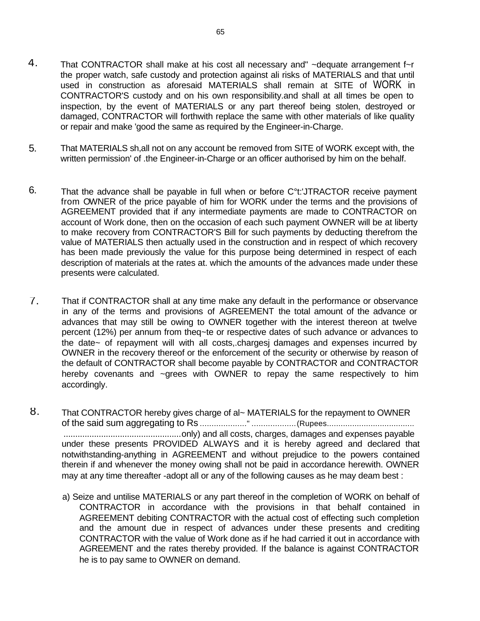- 4. That CONTRACTOR shall make at his cost all necessary and" ~dequate arrangement f~r the proper watch, safe custody and protection against ali risks of MATERIALS and that until used in construction as aforesaid MATERIALS shall remain at SITE of WORK in CONTRACTOR'S custody and on his own responsibility.and shall at all times be open to inspection, by the event of MATERIALS or any part thereof being stolen, destroyed or damaged, CONTRACTOR will forthwith replace the same with other materials of like quality or repair and make 'good the same as required by the Engineer-in-Charge.
- 5. That MATERIALS sh,all not on any account be removed from SITE of WORK except with, the written permission' of .the Engineer-in-Charge or an officer authorised by him on the behalf.
- 6. That the advance shall be payable in full when or before C°t:'JTRACTOR receive payment from OWNER of the price payable of him for WORK under the terms and the provisions of AGREEMENT provided that if any intermediate payments are made to CONTRACTOR on account of Work done, then on the occasion of each such payment OWNER will be at liberty to make recovery from CONTRACTOR'S Bill for such payments by deducting therefrom the value of MATERIALS then actually used in the construction and in respect of which recovery has been made previously the value for this purpose being determined in respect of each description of materials at the rates at. which the amounts of the advances made under these presents were calculated.
- 7. That if CONTRACTOR shall at any time make any default in the performance or observance in any of the terms and provisions of AGREEMENT the total amount of the advance or advances that may still be owing to OWNER together with the interest thereon at twelve percent (12%) per annum from theq~te or respective dates of such advance or advances to the date~ of repayment will with all costs,.chargesj damages and expenses incurred by OWNER in the recovery thereof or the enforcement of the security or otherwise by reason of the default of CONTRACTOR shall become payable by CONTRACTOR and CONTRACTOR hereby covenants and ~grees with OWNER to repay the same respectively to him accordingly.
- 8. That CONTRACTOR hereby gives charge of al~ MATERIALS for the repayment to OWNER of the said sum aggregating to Rs ...................." ...................(Rupees...................................... ..................................................only) and all costs, charges, damages and expenses payable under these presents PROVIDED ALWAYS and it is hereby agreed and declared that notwithstanding-anything in AGREEMENT and without prejudice to the powers contained therein if and whenever the money owing shall not be paid in accordance herewith. OWNER may at any time thereafter -adopt all or any of the following causes as he may deam best :
	- a) Seize and untilise MATERIALS or any part thereof in the completion of WORK on behalf of CONTRACTOR in accordance with the provisions in that behalf contained in AGREEMENT debiting CONTRACTOR with the actual cost of effecting such completion and the amount due in respect of advances under these presents and crediting CONTRACTOR with the value of Work done as if he had carried it out in accordance with AGREEMENT and the rates thereby provided. If the balance is against CONTRACTOR he is to pay same to OWNER on demand.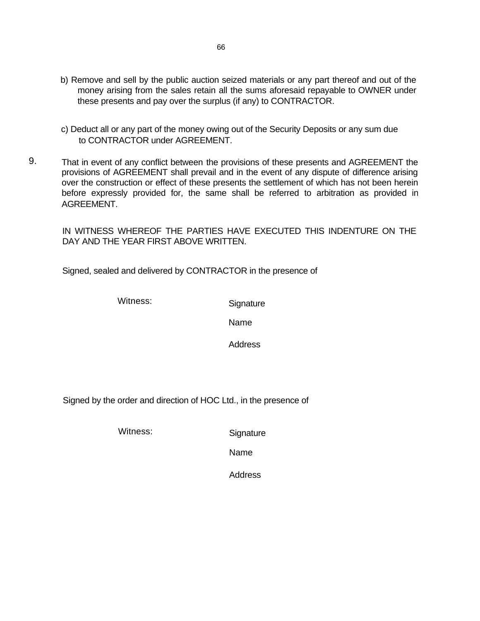- b) Remove and sell by the public auction seized materials or any part thereof and out of the money arising from the sales retain all the sums aforesaid repayable to OWNER under these presents and pay over the surplus (if any) to CONTRACTOR.
- c) Deduct all or any part of the money owing out of the Security Deposits or any sum due to CONTRACTOR under AGREEMENT.
- 9. That in event of any conflict between the provisions of these presents and AGREEMENT the provisions of AGREEMENT shall prevail and in the event of any dispute of difference arising over the construction or effect of these presents the settlement of which has not been herein before expressly provided for, the same shall be referred to arbitration as provided in AGREEMENT.

IN WITNESS WHEREOF THE PARTIES HAVE EXECUTED THIS INDENTURE ON THE DAY AND THE YEAR FIRST ABOVE WRITTEN.

Signed, sealed and delivered by CONTRACTOR in the presence of

Witness: Signature

Name

**Address** 

Signed by the order and direction of HOC Ltd., in the presence of

Witness: Signature

Name

Address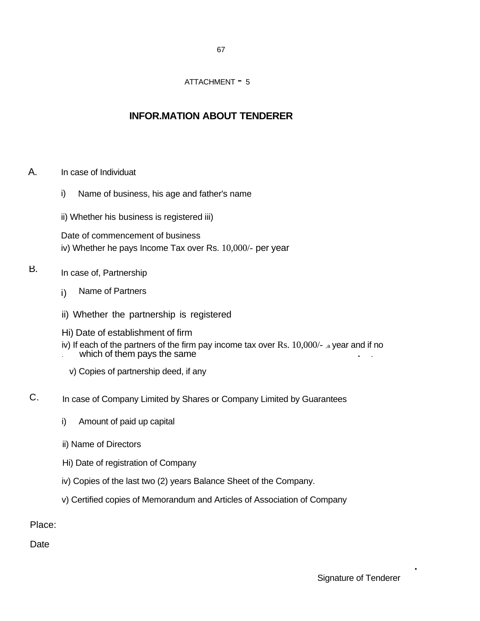67

### ATTACHMENT - 5

# **INFOR.MATION ABOUT TENDERER**

- A. In case of Individuat
	- i) Name of business, his age and father's name
	- ii) Whether his business is registered iii)

Date of commencement of business iv) Whether he pays Income Tax over Rs. 10,000/- per year

- B. In case of, Partnership
	- i) Name of Partners
	- ii) Whether the partnership is registered
	- Hi) Date of establishment of firm
	- iv) If each of the partners of the firm pay income tax over  $Rs. 10,000/-$  , a year and if no which of them pays the same
		- v) Copies of partnership deed, if any
- C. In case of Company Limited by Shares or Company Limited by Guarantees
	- i) Amount of paid up capital
	- ii) Name of Directors
	- Hi) Date of registration of Company
	- iv) Copies of the last two (2) years Balance Sheet of the Company.
	- v) Certified copies of Memorandum and Articles of Association of Company

Place:

**Date** 

.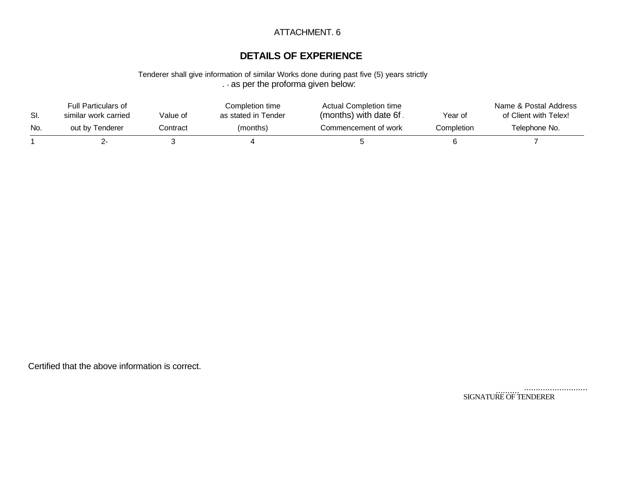## ATTACHMENT. 6

# **DETAILS OF EXPERIENCE**

Tenderer shall give information of similar Works done during past five (5) years strictly . - as per the proforma given below:

| SI. | <b>Full Particulars of</b><br>similar work carried | Value of | Completion time<br>as stated in Tender | <b>Actual Completion time</b><br>(months) with date 6f. | Year of    | Name & Postal Address<br>of Client with Telex! |
|-----|----------------------------------------------------|----------|----------------------------------------|---------------------------------------------------------|------------|------------------------------------------------|
| No. | out by Tenderer                                    | Contract | (months)                               | Commencement of work                                    | Completion | Telephone No.                                  |
|     |                                                    |          |                                        |                                                         |            |                                                |

Certified that the above information is correct.

........................... .......... SIGNATURE OF TENDERER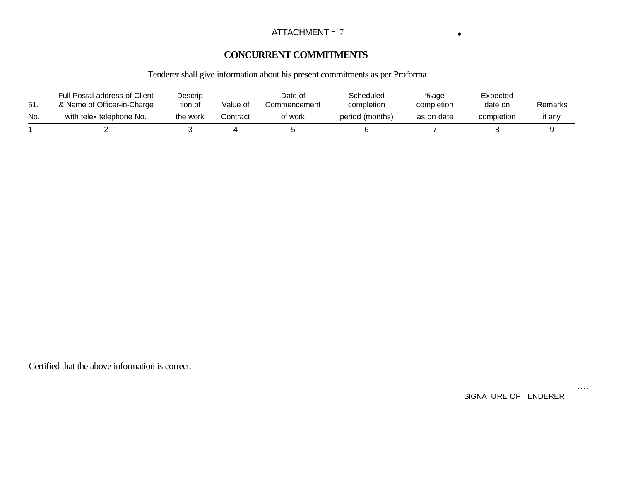### ATTACHMENT - 7 **.**

# **CONCURRENT COMMITMENTS**

# Tenderer shall give information about his present commitments as per Proforma

| - 51. | Full Postal address of Client<br>& Name of Officer-in-Charge | Descrip<br>tion of | Value of | Date of<br>Commencement | Scheduled<br>completion | %age<br>completion | Expected<br>date on | Remarks |
|-------|--------------------------------------------------------------|--------------------|----------|-------------------------|-------------------------|--------------------|---------------------|---------|
| No.   | with telex telephone No.                                     | the work           | Contract | of work                 | period (months)         | as on date         | completion          | if anv  |
|       |                                                              |                    |          |                         |                         |                    |                     |         |

Certified that the above information is correct.

SIGNATURE OF TENDERER

....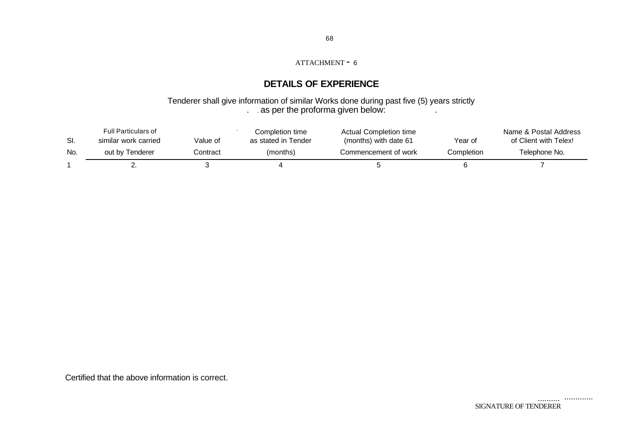# **DETAILS OF EXPERIENCE**

#### Tenderer shall give information of similar Works done during past five (5) years strictly . as per the proforma given below:

| SI. | <b>Full Particulars of</b><br>similar work carried | Value of | Completion time<br>as stated in Tender | Actual Completion time<br>(months) with date 61 | Year of    | Name & Postal Address<br>of Client with Telex! |
|-----|----------------------------------------------------|----------|----------------------------------------|-------------------------------------------------|------------|------------------------------------------------|
| No. | out by Tenderer                                    | Contract | (months)                               | Commencement of work                            | Completion | Telephone No.                                  |
|     |                                                    |          |                                        |                                                 |            |                                                |

Certified that the above information is correct.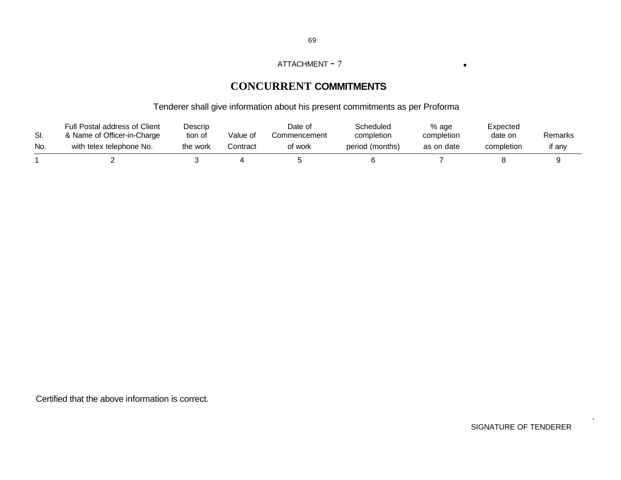#### ATTACHMENT - <sup>7</sup> .

# **CONCURRENT COMMITMENTS**

# Tenderer shall give information about his present commitments as per Proforma

| SI. | Full Postal address of Client<br>& Name of Officer-in-Charge | Descrip<br>tion of | Value of | Date of<br>Commencement | Scheduled<br>completion | % age<br>completion | Expected<br>date on | Remarks |
|-----|--------------------------------------------------------------|--------------------|----------|-------------------------|-------------------------|---------------------|---------------------|---------|
| No. | with telex telephone No.                                     | the work           | Contract | of work                 | period (months)         | as on date          | completion          | if any  |
|     |                                                              |                    |          |                         |                         |                     |                     |         |

Certified that the above information is correct.

SIGNATURE OF TENDERER

.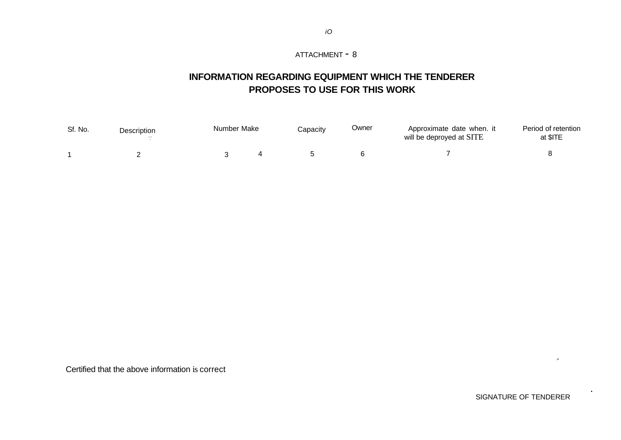# **INFORMATION REGARDING EQUIPMENT WHICH THE TENDERER PROPOSES TO USE FOR THIS WORK**

| Sf. No. | Description | Number Make | Capacity | <b>Owner</b> | Approximate date when. it<br>will be deproyed at SITE | Period of retention<br>at \$ITE |
|---------|-------------|-------------|----------|--------------|-------------------------------------------------------|---------------------------------|
|         |             |             |          |              |                                                       |                                 |

Certified that the above information is correct

SIGNATURE OF TENDERER

>

.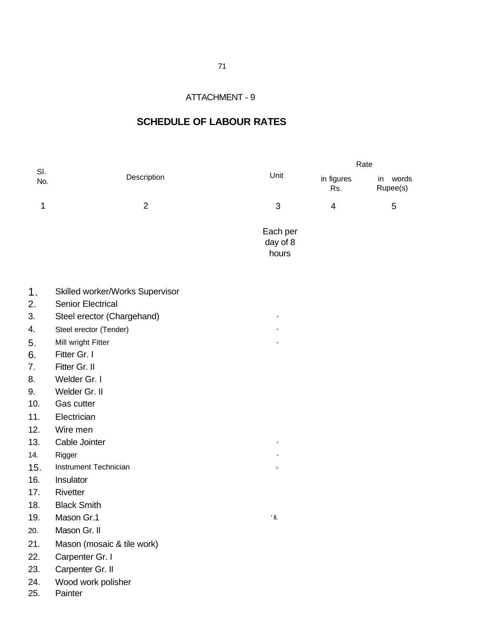## **SCHEDULE OF LABOUR RATES**

|            |                |                               | Rate              |                         |  |  |
|------------|----------------|-------------------------------|-------------------|-------------------------|--|--|
| SI.<br>No. | Description    | Unit                          | in figures<br>Rs. | in<br>words<br>Rupee(s) |  |  |
| 1          | $\overline{2}$ | 3                             | 4                 | 5                       |  |  |
|            |                | Each per<br>day of 8<br>hours |                   |                         |  |  |

- 1. Skilled worker/Works Supervisor
- 2. Senior Electrical
- 3. Steel erector (Chargehand) **III** III
- 4. Steel erector (Tender) **III** III
- 5. Mill wright Fitter **III** and the III and III and III and III and III and III and III and III and III and III and III and III and III and III and III and III and III and III and III and III and III and III and III and II
- 6. Fitter Gr. I
- 7. Fitter Gr. II
- 8. Welder Gr. I
- 9. Welder Gr. II
- 10. Gas cutter
- 11. Electrician
- 12. Wire men
- 13. Cable Jointer **III** and the *III* and *II* and *II* and *II* and *II* and *II* and *II* and *II* and *II* and *II* and *II* and *II* and *II* and *II* and *II* and *II* and *II* and *II* and *II* and *II* and *II* and
- 14. Rigger and the state of the state of the state of the state of the state of the state of the state of the state of the state of the state of the state of the state of the state of the state of the state of the state of
- 15. Instrument Technician  $\sqrt{u}$
- 16. Insulator
- 17. Rivetter
- 18. Black Smith
- 19. Mason Gr.1  $\blacksquare$
- 20. Mason Gr. II
- 21. Mason (mosaic & tile work)
- 22. Carpenter Gr. I
- 23. Carpenter Gr. II
- 24. Wood work polisher
- 25. Painter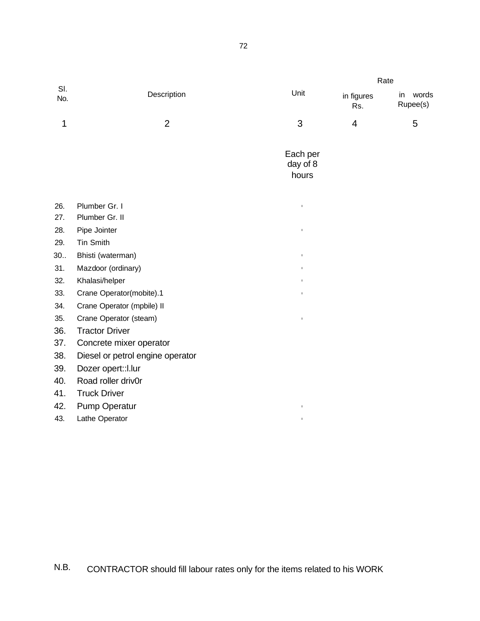|            |                                  |                               | Rate              |                         |
|------------|----------------------------------|-------------------------------|-------------------|-------------------------|
| SI.<br>No. | Description                      | Unit                          | in figures<br>Rs. | words<br>in<br>Rupee(s) |
| 1          | $\overline{2}$                   | 3                             | 4                 | 5                       |
|            |                                  | Each per<br>day of 8<br>hours |                   |                         |
| 26.        | Plumber Gr. I                    | $\mathbb{I}$                  |                   |                         |
| 27.        | Plumber Gr. II                   |                               |                   |                         |
| 28.        | Pipe Jointer                     | $\mathbf I$                   |                   |                         |
| 29.        | Tin Smith                        |                               |                   |                         |
| 30.        | Bhisti (waterman)                | $\mathbb{I}$                  |                   |                         |
| 31.        | Mazdoor (ordinary)               | $\mathbb{I}$                  |                   |                         |
| 32.        | Khalasi/helper                   | $\mathbb{I}$                  |                   |                         |
| 33.        | Crane Operator(mobite).1         | $\mathbb{I}$                  |                   |                         |
| 34.        | Crane Operator (mpbile) II       |                               |                   |                         |
| 35.        | Crane Operator (steam)           | $\mathbb{I}$                  |                   |                         |
| 36.        | <b>Tractor Driver</b>            |                               |                   |                         |
| 37.        | Concrete mixer operator          |                               |                   |                         |
| 38.        | Diesel or petrol engine operator |                               |                   |                         |
| 39.        | Dozer opert:: I.lur              |                               |                   |                         |
| 40.        | Road roller driv0r               |                               |                   |                         |
| 41.        | <b>Truck Driver</b>              |                               |                   |                         |
| 42.        | <b>Pump Operatur</b>             | $\mathbb{I}$                  |                   |                         |
| 43.        | Lathe Operator                   | $\mathbb{I}$                  |                   |                         |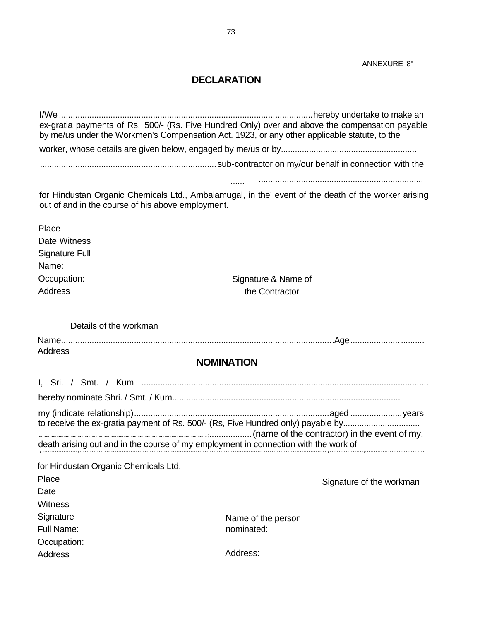#### **DECLARATION**

I/We............................................................................................................hereby undertake to make an ex-gratia payments of Rs. 500/- (Rs. Five Hundred Only) over and above the compensation payable by me/us under the Workmen's Compensation Act. 1923, or any other applicable statute, to the worker, whose details are given below, engaged by me/us or by.......................................................... ...........................................................................sub-contractor on my/our behalf in connection with the

...................................................................... ......

for Hindustan Organic Chemicals Ltd., Ambalamugal, in the' event of the death of the worker arising out of and in the course of his above employment.

| Place                 |
|-----------------------|
| <b>Date Witness</b>   |
| <b>Signature Full</b> |
| Name:                 |
| Occupation:           |
| Address               |

Signature & Name of the Contractor

Details of the workman

Name....................................................................................................................Age............................... Address

### **NOMINATION**

I, Sri. / Smt. / Kum .......................................................................................................................... hereby nominate Shri. / Smt. / Kum................................................................................................. my (indicate relationship)...................................................................................aged ......................years to receive the ex-gratia payment of Rs. 500/- (Rs, Five Hundred only) payable by.............................. ...............................................................................................................................................;..................(name of the contractor) in the event of my, death arising out and in the course of my employment in connection with the work of , ....................,................. ...................................................................................... ................................... ,...................,............................. ....

| for Hindustan Organic Chemicals Ltd. |                    |                          |
|--------------------------------------|--------------------|--------------------------|
| Place                                |                    | Signature of the workman |
| Date                                 |                    |                          |
| Witness                              |                    |                          |
| Signature                            | Name of the person |                          |
| Full Name:                           | nominated:         |                          |
| Occupation:                          |                    |                          |
| Address                              | Address:           |                          |